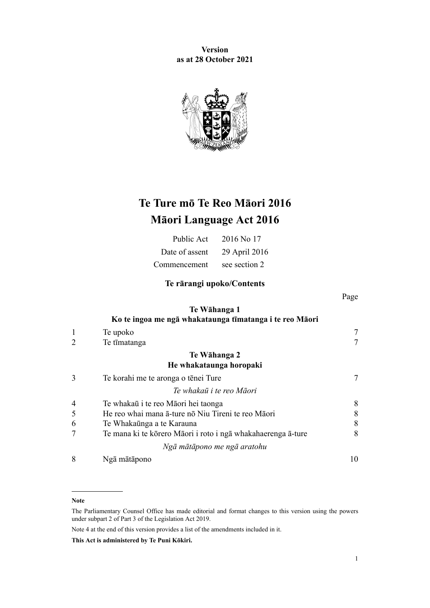**Version as at 28 October 2021**



# **Te Ture mō Te Reo Māori 2016 Māori Language Act 2016**

| Public Act     | 2016 No 17    |
|----------------|---------------|
| Date of assent | 29 April 2016 |
| Commencement   | see section 2 |

## **Te rārangi upoko/Contents**

Page

### **[Te Wāhanga 1](#page-6-0) [Ko te ingoa me ngā whakataunga tīmatanga i te reo Māori](#page-6-0)**

|                | Te upoko                                                     |    |
|----------------|--------------------------------------------------------------|----|
| $\overline{2}$ | Te tīmatanga                                                 |    |
|                | Te Wāhanga 2                                                 |    |
|                | He whakataunga horopaki                                      |    |
| 3              | Te korahi me te aronga o tēnei Ture                          | 7  |
|                | Te whakaū i te reo Māori                                     |    |
| $\overline{4}$ | Te whakaū i te reo Māori hei taonga                          | 8  |
| 5              | He reo whai mana a-ture no Niu Tireni te reo Maori           | 8  |
| 6              | Te Whakaūnga a te Karauna                                    | 8  |
| 7              | Te mana ki te kōrero Māori i roto i ngā whakahaerenga ā-ture | 8  |
|                | Ngā mātāpono me ngā aratohu                                  |    |
| 8              | Ngā mātāpono                                                 | 10 |

#### **Note**

Note 4 at the end of this version provides a list of the amendments included in it.

**This Act is administered by Te Puni Kōkiri.**

The Parliamentary Counsel Office has made editorial and format changes to this version using the powers under [subpart 2](http://legislation.govt.nz/pdflink.aspx?id=DLM7298371) of Part 3 of the Legislation Act 2019.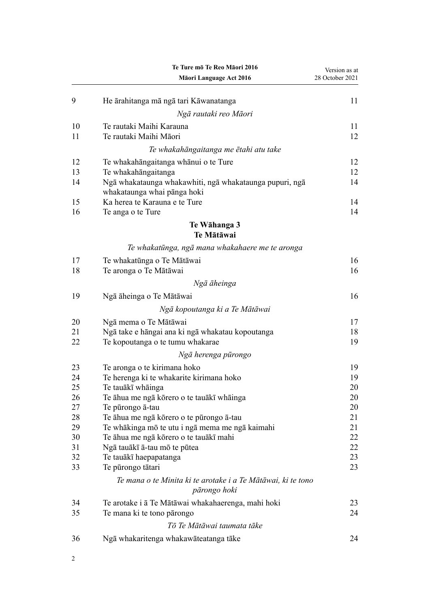|          | Te Ture mō Te Reo Māori 2016<br>Māori Language Act 2016                      | Version as at<br>28 October 2021 |
|----------|------------------------------------------------------------------------------|----------------------------------|
|          |                                                                              |                                  |
| 9        | He ārahitanga mā ngā tari Kāwanatanga                                        | 11                               |
|          | Ngā rautaki reo Māori                                                        |                                  |
| 10<br>11 | Te rautaki Maihi Karauna<br>Te rautaki Maihi Māori                           | 11<br>12                         |
|          | Te whakahāngaitanga me ētahi atu take                                        |                                  |
| 12       |                                                                              | 12                               |
| 13       | Te whakahāngaitanga whānui o te Ture<br>Te whakahāngaitanga                  | 12                               |
| 14       | Ngā whakataunga whakawhiti, ngā whakataunga pupuri, ngā                      | 14                               |
|          | whakataunga whai pānga hoki                                                  |                                  |
| 15       | Ka herea te Karauna e te Ture                                                | 14                               |
| 16       | Te anga o te Ture                                                            | 14                               |
|          | Te Wāhanga 3                                                                 |                                  |
|          | Te Mātāwai                                                                   |                                  |
|          | Te whakatūnga, ngā mana whakahaere me te aronga                              |                                  |
| 17       | Te whakatūnga o Te Mātāwai                                                   | 16                               |
| 18       | Te aronga o Te Mātāwai                                                       | 16                               |
|          | Ngā āheinga                                                                  |                                  |
| 19       | Ngā āheinga o Te Mātāwai                                                     | 16                               |
|          | Ngā kopoutanga ki a Te Mātāwai                                               |                                  |
| 20       | Ngā mema o Te Mātāwai                                                        | 17                               |
| 21       | Ngā take e hāngai ana ki ngā whakatau kopoutanga                             | 18                               |
| 22       | Te kopoutanga o te tumu whakarae                                             | 19                               |
|          | Ngā herenga pūrongo                                                          |                                  |
| 23       | Te aronga o te kirimana hoko                                                 | 19                               |
| 24       | Te herenga ki te whakarite kirimana hoko                                     | 19                               |
| 25       | Te tauākī whāinga                                                            | 20                               |
| 26       | Te āhua me ngā kōrero o te tauākī whāinga                                    | 20                               |
| 27       | Te pūrongo ā-tau                                                             | 20                               |
| 28       | Te āhua me ngā kōrero o te pūrongo ā-tau                                     | 21                               |
| 29       | Te whākinga mō te utu i ngā mema me ngā kaimahi                              | 21                               |
| 30       | Te āhua me ngā kōrero o te tauākī mahi                                       | 22                               |
| 31       | Ngā tauākī ā-tau mō te pūtea                                                 | 22                               |
| 32       | Te tauākī haepapatanga                                                       | 23                               |
| 33       | Te pūrongo tātari                                                            | 23                               |
|          | Te mana o te Minita ki te arotake i a Te Mātāwai, ki te tono<br>pārongo hoki |                                  |
| 34       | Te arotake i ā Te Mātāwai whakahaerenga, mahi hoki                           | 23                               |
| 35       | Te mana ki te tono pārongo                                                   | 24                               |
|          | Tō Te Mātāwai taumata tāke                                                   |                                  |
| 36       | Ngā whakaritenga whakawāteatanga tāke                                        | 24                               |
|          |                                                                              |                                  |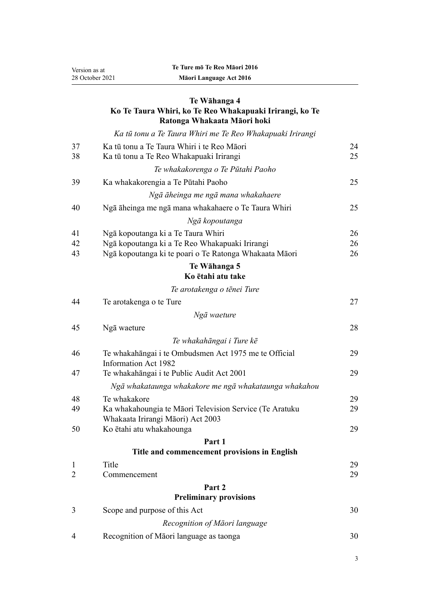Version as at 28 October 2021

## **[Te Wāhanga 4](#page-23-0) [Ko Te Taura Whiri, ko Te Reo Whakapuaki Irirangi, ko Te](#page-23-0) [Ratonga Whakaata Māori hoki](#page-23-0)**

*[Ka tū tonu a Te Taura Whiri me Te Reo Whakapuaki Irirangi](#page-23-0)*

| 37                | Ka tū tonu a Te Taura Whiri i te Reo Māori              | 24       |
|-------------------|---------------------------------------------------------|----------|
| 38                | Ka tū tonu a Te Reo Whakapuaki Irirangi                 | 25       |
|                   | Te whakakorenga o Te Pūtahi Paoho                       |          |
| 39                | Ka whakakorengia a Te Pūtahi Paoho                      | 25       |
|                   | Ngā āheinga me ngā mana whakahaere                      |          |
| 40                | Ngā āheinga me ngā mana whakahaere o Te Taura Whiri     | 25       |
|                   | Ngā kopoutanga                                          |          |
| 41                | Ngā kopoutanga ki a Te Taura Whiri                      | 26       |
| 42                | Ngā kopoutanga ki a Te Reo Whakapuaki Irirangi          | 26       |
| 43                | Ngā kopoutanga ki te poari o Te Ratonga Whakaata Māori  | 26       |
|                   | Te Wāhanga 5<br>Ko ētahi atu take                       |          |
|                   | Te arotakenga o tēnei Ture                              |          |
| 44                | Te arotakenga o te Ture                                 | 27       |
|                   | Ngā waeture                                             |          |
| 45                | Ngā waeture                                             | 28       |
|                   | Te whakahāngai i Ture kē                                |          |
| 46                | Te whakahāngai i te Ombudsmen Act 1975 me te Official   | 29       |
|                   | <b>Information Act 1982</b>                             |          |
| 47                | Te whakahāngai i te Public Audit Act 2001               | 29       |
|                   | Ngā whakataunga whakakore me ngā whakataunga whakahou   |          |
| 48                | Te whakakore                                            | 29       |
| 49                | Ka whakahoungia te Māori Television Service (Te Aratuku | 29       |
|                   | Whakaata Irirangi Māori) Act 2003                       |          |
| 50                | Ko ētahi atu whakahounga                                | 29       |
|                   | Part 1<br>Title and commencement provisions in English  |          |
|                   |                                                         |          |
| $\mathbf{1}$<br>2 | Title<br>Commencement                                   | 29<br>29 |
|                   | Part 2                                                  |          |
|                   | <b>Preliminary provisions</b>                           |          |
| 3                 | Scope and purpose of this Act                           | 30       |
|                   | Recognition of Māori language                           |          |
| 4                 | Recognition of Māori language as taonga                 | 30       |
|                   |                                                         |          |

3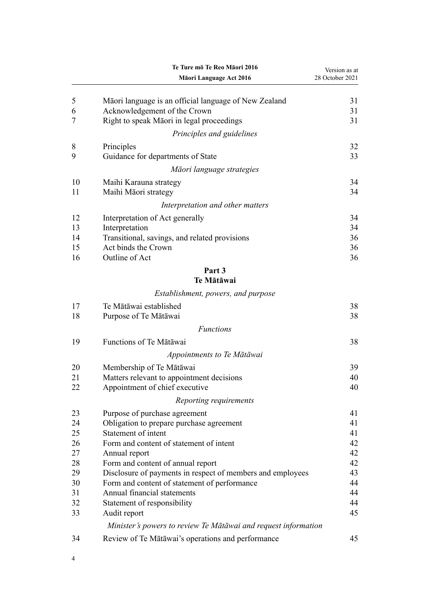|    | Te Ture mō Te Reo Māori 2016                                   | Version as at   |
|----|----------------------------------------------------------------|-----------------|
|    | Māori Language Act 2016                                        | 28 October 2021 |
| 5  | Māori language is an official language of New Zealand          | 31              |
| 6  | Acknowledgement of the Crown                                   | 31              |
| 7  | Right to speak Māori in legal proceedings                      | 31              |
|    | Principles and guidelines                                      |                 |
| 8  | Principles                                                     | 32              |
| 9  | Guidance for departments of State                              | 33              |
|    | Māori language strategies                                      |                 |
| 10 | Maihi Karauna strategy                                         | 34              |
| 11 | Maihi Māori strategy                                           | 34              |
|    | Interpretation and other matters                               |                 |
| 12 | Interpretation of Act generally                                | 34              |
| 13 | Interpretation                                                 | 34              |
| 14 | Transitional, savings, and related provisions                  | 36              |
| 15 | Act binds the Crown                                            | 36              |
| 16 | Outline of Act                                                 | 36              |
|    | Part 3<br>Te Mātāwai                                           |                 |
|    | Establishment, powers, and purpose                             |                 |
| 17 | Te Mātāwai established                                         | 38              |
| 18 | Purpose of Te Mātāwai                                          | 38              |
|    | <b>Functions</b>                                               |                 |
| 19 | Functions of Te Mātāwai                                        | 38              |
|    | Appointments to Te Mātāwai                                     |                 |
| 20 | Membership of Te Mātāwai                                       | 39              |
| 21 | Matters relevant to appointment decisions                      | 40              |
| 22 | Appointment of chief executive                                 | 40              |
|    | Reporting requirements                                         |                 |
| 23 | Purpose of purchase agreement                                  | 41              |
| 24 | Obligation to prepare purchase agreement                       | 41              |
| 25 | Statement of intent                                            | 41              |
| 26 | Form and content of statement of intent                        | 42              |
| 27 | Annual report                                                  | 42              |
| 28 | Form and content of annual report                              | 42              |
| 29 | Disclosure of payments in respect of members and employees     | 43              |
| 30 | Form and content of statement of performance                   | 44              |
| 31 | Annual financial statements                                    | 44              |
| 32 | Statement of responsibility                                    | 44              |
| 33 | Audit report                                                   | 45              |
|    | Minister's powers to review Te Mātāwai and request information |                 |
| 34 | Review of Te Mātāwai's operations and performance              | 45              |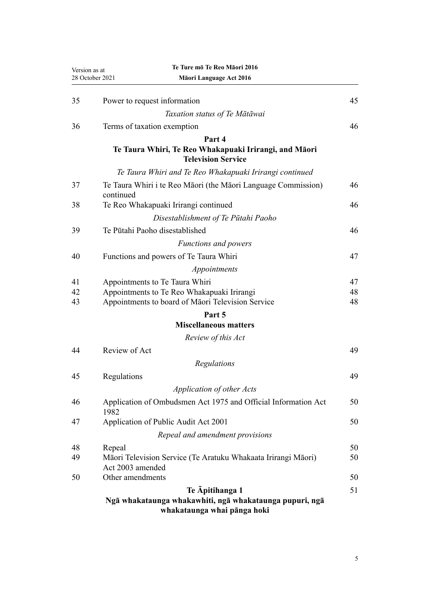| Version as at   | Te Ture mō Te Reo Māori 2016                                                                              |          |
|-----------------|-----------------------------------------------------------------------------------------------------------|----------|
| 28 October 2021 | Māori Language Act 2016                                                                                   |          |
| 35              | Power to request information                                                                              | 45       |
|                 | Taxation status of Te Mātāwai                                                                             |          |
| 36              | Terms of taxation exemption                                                                               | 46       |
|                 | Part 4<br>Te Taura Whiri, Te Reo Whakapuaki Irirangi, and Māori<br><b>Television Service</b>              |          |
|                 | Te Taura Whiri and Te Reo Whakapuaki Irirangi continued                                                   |          |
| 37              | Te Taura Whiri i te Reo Māori (the Māori Language Commission)<br>continued                                | 46       |
| 38              | Te Reo Whakapuaki Irirangi continued                                                                      | 46       |
|                 | Disestablishment of Te Pūtahi Paoho                                                                       |          |
| 39              | Te Pūtahi Paoho disestablished                                                                            | 46       |
|                 | <b>Functions and powers</b>                                                                               |          |
| 40              | Functions and powers of Te Taura Whiri                                                                    | 47       |
|                 | Appointments                                                                                              |          |
| 41              | Appointments to Te Taura Whiri                                                                            | 47       |
| 42<br>43        | Appointments to Te Reo Whakapuaki Irirangi<br>Appointments to board of Māori Television Service           | 48<br>48 |
|                 | Part 5                                                                                                    |          |
|                 | <b>Miscellaneous matters</b>                                                                              |          |
|                 | Review of this Act                                                                                        |          |
| 44              | Review of Act                                                                                             | 49       |
|                 | Regulations                                                                                               |          |
| 45              | Regulations                                                                                               | 49       |
|                 | Application of other Acts                                                                                 |          |
| 46              | Application of Ombudsmen Act 1975 and Official Information Act<br>1982                                    | 50       |
| 47              | Application of Public Audit Act 2001                                                                      | 50       |
|                 | Repeal and amendment provisions                                                                           |          |
| 48              | Repeal                                                                                                    | 50       |
| 49              | Māori Television Service (Te Aratuku Whakaata Irirangi Māori)<br>Act 2003 amended                         | 50       |
| 50              | Other amendments                                                                                          | 50       |
|                 | Te Apitihanga 1<br>Ngā whakataunga whakawhiti, ngā whakataunga pupuri, ngā<br>whakataunga whai pānga hoki | 51       |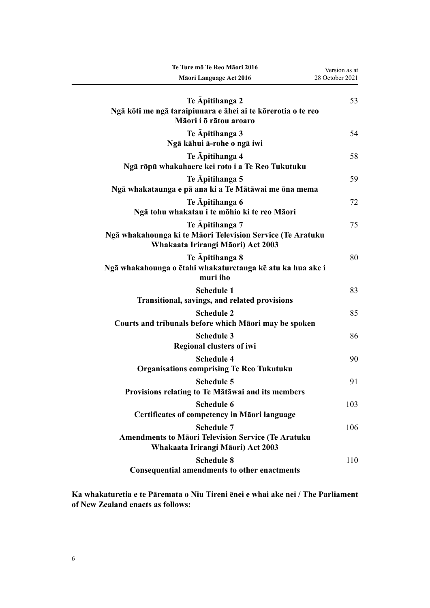| Te Ture mō Te Reo Māori 2016                                                                                        | Version as at   |
|---------------------------------------------------------------------------------------------------------------------|-----------------|
| Māori Language Act 2016                                                                                             | 28 October 2021 |
| Te Apitihanga 2<br>Ngā kōti me ngā taraipiunara e āhei ai te kōrerotia o te reo<br>Māori i ō rātou aroaro           | 53              |
| Te Apitihanga 3<br>Ngā kāhui ā-rohe o ngā iwi                                                                       | 54              |
| Te Apitihanga 4<br>Ngā rōpū whakahaere kei roto i a Te Reo Tukutuku                                                 | 58              |
| Te Apitihanga 5<br>Ngā whakataunga e pā ana ki a Te Mātāwai me ōna mema                                             | 59              |
| Te Apitihanga 6<br>Ngā tohu whakatau i te mōhio ki te reo Māori                                                     | 72              |
| Te Apitihanga 7<br>Ngā whakahounga ki te Māori Television Service (Te Aratuku<br>Whakaata Irirangi Māori) Act 2003  | 75              |
| Te Apitihanga 8<br>Ngā whakahounga o ētahi whakaturetanga kē atu ka hua ake i<br>muri iho                           | 80              |
| <b>Schedule 1</b><br>Transitional, savings, and related provisions                                                  | 83              |
| <b>Schedule 2</b><br>Courts and tribunals before which Māori may be spoken                                          | 85              |
| <b>Schedule 3</b><br><b>Regional clusters of iwi</b>                                                                | 86              |
| <b>Schedule 4</b><br><b>Organisations comprising Te Reo Tukutuku</b>                                                | 90              |
| <b>Schedule 5</b><br>Provisions relating to Te Mātāwai and its members                                              | 91              |
| <b>Schedule 6</b><br><b>Certificates of competency in Māori language</b>                                            | 103             |
| <b>Schedule 7</b><br><b>Amendments to Māori Television Service (Te Aratuku</b><br>Whakaata Irirangi Māori) Act 2003 | 106             |
| <b>Schedule 8</b><br><b>Consequential amendments to other enactments</b>                                            | 110             |

**Ka whakaturetia e te Pāremata o Niu Tireni ēnei e whai ake nei / The Parliament of New Zealand enacts as follows:**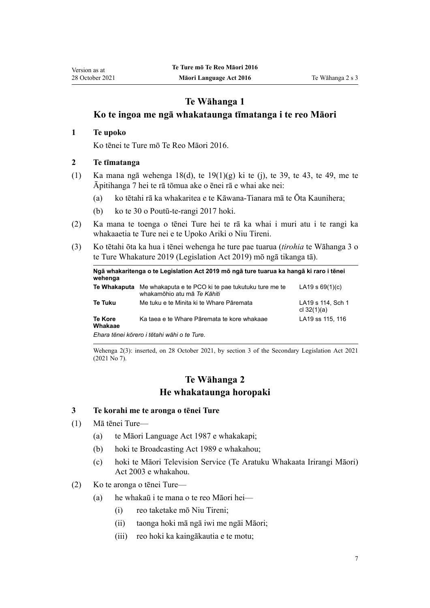## **Te Wāhanga 1**

## <span id="page-6-0"></span>**Ko te ingoa me ngā whakataunga tīmatanga i te reo Māori**

### **1 Te upoko**

Ko tēnei te Ture mō Te Reo Māori 2016.

### **2 Te tīmatanga**

- (1) Ka mana ngā [wehenga 18\(d\),](#page-15-0) te [19\(1\)\(g\) ki te \(j\)](#page-15-0), te [39,](#page-24-0) te [43](#page-25-0), te [49,](#page-28-0) me te [Āpitihanga 7](#page-74-0) hei te rā tōmua ake o ēnei rā e whai ake nei:
	- (a) ko tētahi rā ka whakaritea e te Kāwana-Tianara mā te Ōta Kaunihera;
	- (b) ko te 30 o Poutū-te-rangi 2017 hoki.
- (2) Ka mana te toenga o tēnei Ture hei te rā ka whai i muri atu i te rangi ka whakaaetia te Ture nei e te Upoko Ariki o Niu Tireni.
- (3) Ko tētahi ōta ka hua i tēnei wehenga he ture pae tuarua (*tirohia* te [Wāhanga 3](http://legislation.govt.nz/pdflink.aspx?id=DLM7298343) o te Ture Whakature 2019 (Legislation Act 2019) mō ngā tikanga tā).

| wehenga                                     | Ngā whakaritenga o te Legislation Act 2019 mō ngā ture tuarua ka hangā ki raro i tēnei          |                                    |
|---------------------------------------------|-------------------------------------------------------------------------------------------------|------------------------------------|
|                                             | Te Whakaputa Me whakaputa e te PCO ki te pae tukutuku ture me te<br>whakamōhio atu mā Te Kāhiti | LA19 s $69(1)(c)$                  |
| Te Tuku                                     | Me tuku e te Minita ki te Whare Pāremata                                                        | LA19 s 114, Sch 1<br>cl $32(1)(a)$ |
| <b>Te Kore</b><br>Whakaae                   | Ka taea e te Whare Pāremata te kore whakaae                                                     | LA19 ss 115, 116                   |
| Ehara tēnei kōrero i tētahi wāhi o te Ture. |                                                                                                 |                                    |

Wehenga 2(3): inserted, on 28 October 2021, by [section 3](http://legislation.govt.nz/pdflink.aspx?id=LMS268932) of the Secondary Legislation Act 2021 (2021 No 7).

## **Te Wāhanga 2 He whakataunga horopaki**

### **3 Te korahi me te aronga o tēnei Ture**

- (1) Mā tēnei Ture—
	- (a) te [Māori Language Act 1987](http://legislation.govt.nz/pdflink.aspx?id=DLM124115) e whakakapi;
	- (b) hoki te [Broadcasting Act 1989](http://legislation.govt.nz/pdflink.aspx?id=DLM155364) e whakahou;
	- (c) hoki te [Māori Television Service \(Te Aratuku Whakaata Irirangi Māori\)](http://legislation.govt.nz/pdflink.aspx?id=DLM193695) [Act 2003](http://legislation.govt.nz/pdflink.aspx?id=DLM193695) e whakahou.
- (2) Ko te aronga o tēnei Ture—
	- (a) he whakaū i te mana o te reo Māori hei—
		- (i) reo taketake mō Niu Tireni;
		- (ii) taonga hoki mā ngā iwi me ngāi Māori;
		- (iii) reo hoki ka kaingākautia e te motu;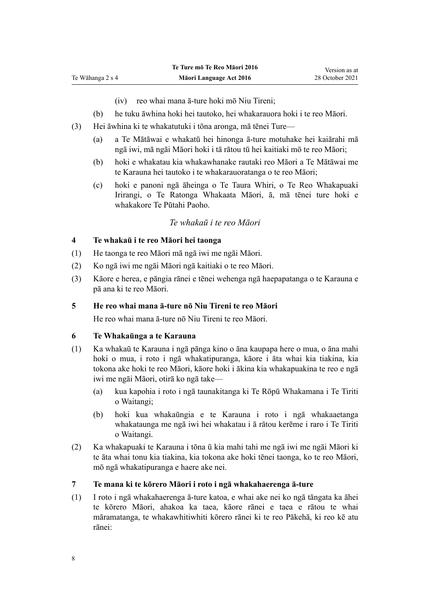(iv) reo whai mana ā-ture hoki mō Niu Tireni;

- <span id="page-7-0"></span>(b) he tuku āwhina hoki hei tautoko, hei whakarauora hoki i te reo Māori.
- (3) Hei āwhina ki te whakatutuki i tōna aronga, mā tēnei Ture—
	- (a) a Te Mātāwai e whakatū hei hinonga ā-ture motuhake hei kaiārahi mā ngā iwi, mā ngāi Māori hoki i tā rātou tū hei kaitiaki mō te reo Māori;
	- (b) hoki e whakatau kia whakawhanake rautaki reo Māori a Te Mātāwai me te Karauna hei tautoko i te whakarauoratanga o te reo Māori;
	- (c) hoki e panoni ngā āheinga o Te Taura Whiri, o Te Reo Whakapuaki Irirangi, o Te Ratonga Whakaata Māori, ā, mā tēnei ture hoki e whakakore Te Pūtahi Paoho.

### *Te whakaū i te reo Māori*

### **4 Te whakaū i te reo Māori hei taonga**

- (1) He taonga te reo Māori mā ngā iwi me ngāi Māori.
- (2) Ko ngā iwi me ngāi Māori ngā kaitiaki o te reo Māori.
- (3) Kāore e herea, e pāngia rānei e tēnei wehenga ngā haepapatanga o te Karauna e pā ana ki te reo Māori.

### **5 He reo whai mana ā-ture nō Niu Tireni te reo Māori**

He reo whai mana ā-ture nō Niu Tireni te reo Māori.

### **6 Te Whakaūnga a te Karauna**

- (1) Ka whakaū te Karauna i ngā pānga kino o āna kaupapa here o mua, o āna mahi hoki o mua, i roto i ngā whakatipuranga, kāore i āta whai kia tiakina, kia tokona ake hoki te reo Māori, kāore hoki i ākina kia whakapuakina te reo e ngā iwi me ngāi Māori, otirā ko ngā take—
	- (a) kua kapohia i roto i ngā taunakitanga ki Te Rōpū Whakamana i Te Tiriti o Waitangi;
	- (b) hoki kua whakaūngia e te Karauna i roto i ngā whakaaetanga whakataunga me ngā iwi hei whakatau i ā rātou kerēme i raro i [Te Tiriti](http://legislation.govt.nz/pdflink.aspx?id=DLM435834) [o Waitangi](http://legislation.govt.nz/pdflink.aspx?id=DLM435834).
- (2) Ka whakapuaki te Karauna i tōna ū kia mahi tahi me ngā iwi me ngāi Māori ki te āta whai tonu kia tiakina, kia tokona ake hoki tēnei taonga, ko te reo Māori, mō ngā whakatipuranga e haere ake nei.

#### **7 Te mana ki te kōrero Māori i roto i ngā whakahaerenga ā-ture**

(1) I roto i ngā whakahaerenga ā-ture katoa, e whai ake nei ko ngā tāngata ka āhei te kōrero Māori, ahakoa ka taea, kāore rānei e taea e rātou te whai māramatanga, te whakawhitiwhiti kōrero rānei ki te reo Pākehā, ki reo kē atu rānei: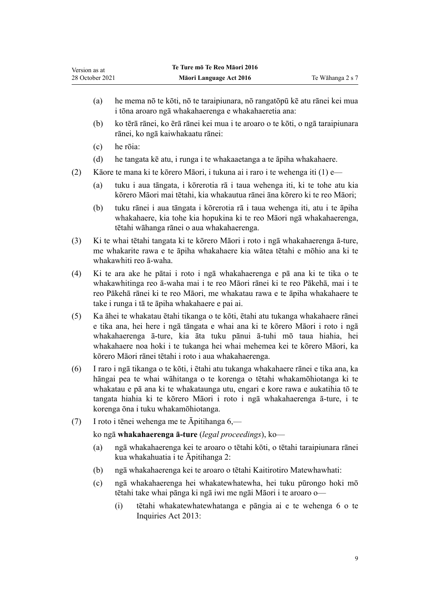- (a) he mema nō te kōti, nō te taraipiunara, nō rangatōpū kē atu rānei kei mua i tōna aroaro ngā whakahaerenga e whakahaeretia ana:
- (b) ko tērā rānei, ko ērā rānei kei mua i te aroaro o te kōti, o ngā taraipiunara rānei, ko ngā kaiwhakaatu rānei:
- (c) he rōia:
- (d) he tangata kē atu, i runga i te whakaaetanga a te āpiha whakahaere.
- (2) Kāore te mana ki te kōrero Māori, i tukuna ai i raro i te wehenga iti (1) e—
	- (a) tuku i aua tāngata, i kōrerotia rā i taua wehenga iti, ki te tohe atu kia kōrero Māori mai tētahi, kia whakautua rānei āna kōrero ki te reo Māori;
	- (b) tuku rānei i aua tāngata i kōrerotia rā i taua wehenga iti, atu i te āpiha whakahaere, kia tohe kia hopukina ki te reo Māori ngā whakahaerenga, tētahi wāhanga rānei o aua whakahaerenga.
- (3) Ki te whai tētahi tangata ki te kōrero Māori i roto i ngā whakahaerenga ā-ture, me whakarite rawa e te āpiha whakahaere kia wātea tētahi e mōhio ana ki te whakawhiti reo ā-waha.
- (4) Ki te ara ake he pātai i roto i ngā whakahaerenga e pā ana ki te tika o te whakawhitinga reo ā-waha mai i te reo Māori rānei ki te reo Pākehā, mai i te reo Pākehā rānei ki te reo Māori, me whakatau rawa e te āpiha whakahaere te take i runga i tā te āpiha whakahaere e pai ai.
- (5) Ka āhei te whakatau ētahi tikanga o te kōti, ētahi atu tukanga whakahaere rānei e tika ana, hei here i ngā tāngata e whai ana ki te kōrero Māori i roto i ngā whakahaerenga ā-ture, kia āta tuku pānui ā-tuhi mō taua hiahia, hei whakahaere noa hoki i te tukanga hei whai mehemea kei te kōrero Māori, ka kōrero Māori rānei tētahi i roto i aua whakahaerenga.
- (6) I raro i ngā tikanga o te kōti, i ētahi atu tukanga whakahaere rānei e tika ana, ka hāngai pea te whai wāhitanga o te korenga o tētahi whakamōhiotanga ki te whakatau e pā ana ki te whakataunga utu, engari e kore rawa e aukatihia tō te tangata hiahia ki te kōrero Māori i roto i ngā whakahaerenga ā-ture, i te korenga ōna i tuku whakamōhiotanga.
- (7) I roto i tēnei wehenga me te [Āpitihanga 6](#page-71-0),—

ko ngā **whakahaerenga ā-ture** (*legal proceedings*), ko—

- (a) ngā whakahaerenga kei te aroaro o tētahi kōti, o tētahi taraipiunara rānei kua whakahuatia i te [Āpitihanga 2:](#page-52-0)
- (b) ngā whakahaerenga kei te aroaro o tētahi Kaitirotiro Matewhawhati:
- (c) ngā whakahaerenga hei whakatewhatewha, hei tuku pūrongo hoki mō tētahi take whai pānga ki ngā iwi me ngāi Māori i te aroaro o—
	- (i) tētahi whakatewhatewhatanga e pāngia ai e te [wehenga 6](http://legislation.govt.nz/pdflink.aspx?id=DLM1566136) o te Inquiries Act 2013: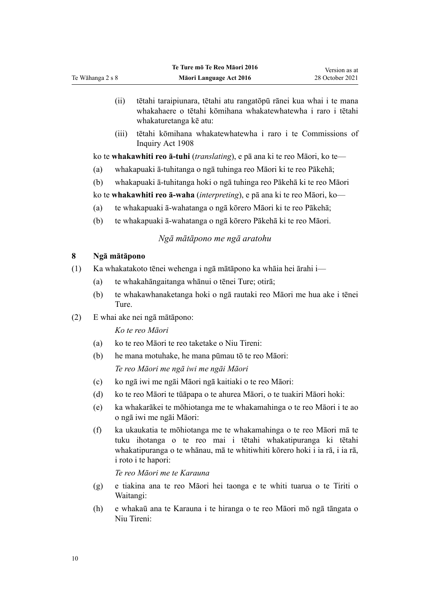- (ii) tētahi taraipiunara, tētahi atu rangatōpū rānei kua whai i te mana whakahaere o tētahi kōmihana whakatewhatewha i raro i tētahi whakaturetanga kē atu:
- (iii) tētahi kōmihana whakatewhatewha i raro i te [Commissions of](http://legislation.govt.nz/pdflink.aspx?id=DLM139130) [Inquiry Act 1908](http://legislation.govt.nz/pdflink.aspx?id=DLM139130)

ko te **whakawhiti reo ā-tuhi** (*translating*), e pā ana ki te reo Māori, ko te—

- (a) whakapuaki ā-tuhitanga o ngā tuhinga reo Māori ki te reo Pākehā;
- (b) whakapuaki ā-tuhitanga hoki o ngā tuhinga reo Pākehā ki te reo Māori

ko te **whakawhiti reo ā-waha** (*interpreting*), e pā ana ki te reo Māori, ko—

- (a) te whakapuaki ā-wahatanga o ngā kōrero Māori ki te reo Pākehā;
- (b) te whakapuaki ā-wahatanga o ngā kōrero Pākehā ki te reo Māori.

### *Ngā mātāpono me ngā aratohu*

### **8 Ngā mātāpono**

<span id="page-9-0"></span>Te Wāhanga 2 s 8

- (1) Ka whakatakoto tēnei wehenga i ngā mātāpono ka whāia hei ārahi i—
	- (a) te whakahāngaitanga whānui o tēnei Ture; otirā;
	- (b) te whakawhanaketanga hoki o ngā rautaki reo Māori me hua ake i tēnei Ture.
- (2) E whai ake nei ngā mātāpono:

*Ko te reo Māori*

- (a) ko te reo Māori te reo taketake o Niu Tireni:
- (b) he mana motuhake, he mana pūmau tō te reo Māori: *Te reo Māori me ngā iwi me ngāi Māori*
- (c) ko ngā iwi me ngāi Māori ngā kaitiaki o te reo Māori:
- (d) ko te reo Māori te tūāpapa o te ahurea Māori, o te tuakiri Māori hoki:
- (e) ka whakarākei te mōhiotanga me te whakamahinga o te reo Māori i te ao o ngā iwi me ngāi Māori:
- (f) ka ukaukatia te mōhiotanga me te whakamahinga o te reo Māori mā te tuku ihotanga o te reo mai i tētahi whakatipuranga ki tētahi whakatipuranga o te whānau, mā te whitiwhiti kōrero hoki i ia rā, i ia rā, i roto i te hapori:

*Te reo Māori me te Karauna*

- (g) e tiakina ana te reo Māori hei taonga e te whiti tuarua o te [Tiriti o](http://legislation.govt.nz/pdflink.aspx?id=DLM435834) [Waitangi](http://legislation.govt.nz/pdflink.aspx?id=DLM435834):
- (h) e whakaū ana te Karauna i te hiranga o te reo Māori mō ngā tāngata o Niu Tireni: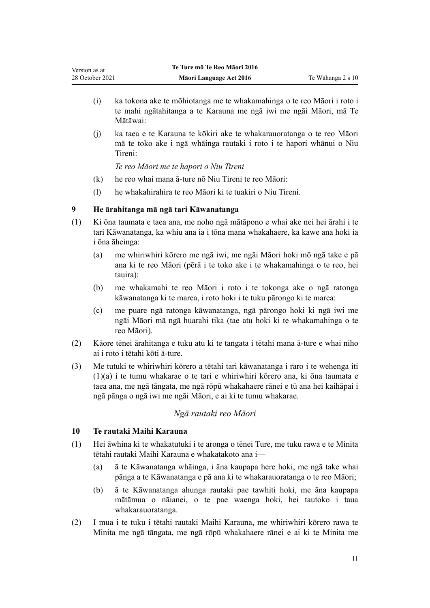- <span id="page-10-0"></span>(i) ka tokona ake te mōhiotanga me te whakamahinga o te reo Māori i roto i te mahi ngātahitanga a te Karauna me ngā iwi me ngāi Māori, mā Te Mātāwai:
- (j) ka taea e te Karauna te kōkiri ake te whakarauoratanga o te reo Māori mā te toko ake i ngā whāinga rautaki i roto i te hapori whānui o Niu Tireni:

*Te reo Māori me te hapori o Niu Tireni*

- (k) he reo whai mana ā-ture nō Niu Tireni te reo Māori:
- (l) he whakahirahira te reo Māori ki te tuakiri o Niu Tireni.

### **9 He ārahitanga mā ngā tari Kāwanatanga**

- (1) Ki ōna taumata e taea ana, me noho ngā mātāpono e whai ake nei hei ārahi i te tari Kāwanatanga, ka whiu ana ia i tōna mana whakahaere, ka kawe ana hoki ia i ōna āheinga:
	- (a) me whiriwhiri kōrero me ngā iwi, me ngāi Māori hoki mō ngā take e pā ana ki te reo Māori (pērā i te toko ake i te whakamahinga o te reo, hei tauira):
	- (b) me whakamahi te reo Māori i roto i te tokonga ake o ngā ratonga kāwanatanga ki te marea, i roto hoki i te tuku pārongo ki te marea:
	- (c) me puare ngā ratonga kāwanatanga, ngā pārongo hoki ki ngā iwi me ngāi Māori mā ngā huarahi tika (tae atu hoki ki te whakamahinga o te reo Māori).
- (2) Kāore tēnei ārahitanga e tuku atu ki te tangata i tētahi mana ā-ture e whai niho ai i roto i tētahi kōti ā-ture.
- (3) Me tutuki te whiriwhiri kōrero a tētahi tari kāwanatanga i raro i te wehenga iti (1)(a) i te tumu whakarae o te tari e whiriwhiri kōrero ana, ki ōna taumata e taea ana, me ngā tāngata, me ngā rōpū whakahaere rānei e tū ana hei kaihāpai i ngā pānga o ngā iwi me ngāi Māori, e ai ki te tumu whakarae.

## *Ngā rautaki reo Māori*

### **10 Te rautaki Maihi Karauna**

- (1) Hei āwhina ki te whakatutuki i te aronga o tēnei Ture, me tuku rawa e te Minita tētahi rautaki Maihi Karauna e whakatakoto ana i—
	- (a) ā te Kāwanatanga whāinga, i āna kaupapa here hoki, me ngā take whai pānga a te Kāwanatanga e pā ana ki te whakarauoratanga o te reo Māori;
	- (b) ā te Kāwanatanga ahunga rautaki pae tawhiti hoki, me āna kaupapa mātāmua o nāianei, o te pae waenga hoki, hei tautoko i taua whakarauoratanga.
- (2) I mua i te tuku i tētahi rautaki Maihi Karauna, me whiriwhiri kōrero rawa te Minita me ngā tāngata, me ngā rōpū whakahaere rānei e ai ki te Minita me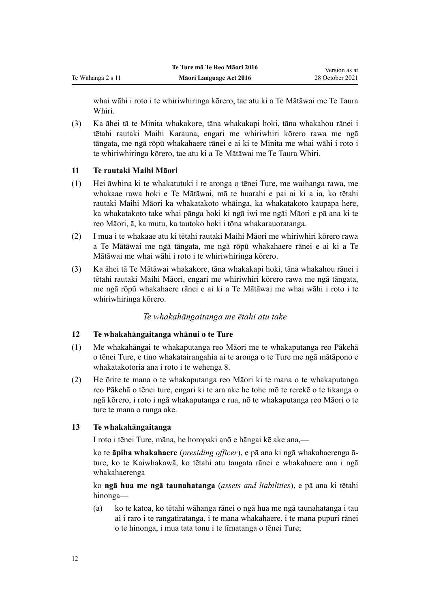whai wāhi i roto i te whiriwhiringa kōrero, tae atu ki a Te Mātāwai me Te Taura Whiri.

(3) Ka āhei tā te Minita whakakore, tāna whakakapi hoki, tāna whakahou rānei i tētahi rautaki Maihi Karauna, engari me whiriwhiri kōrero rawa me ngā tāngata, me ngā rōpū whakahaere rānei e ai ki te Minita me whai wāhi i roto i te whiriwhiringa kōrero, tae atu ki a Te Mātāwai me Te Taura Whiri.

## **11 Te rautaki Maihi Māori**

<span id="page-11-0"></span>Te Wāhanga 2 s 11

- (1) Hei āwhina ki te whakatutuki i te aronga o tēnei Ture, me waihanga rawa, me whakaae rawa hoki e Te Mātāwai, mā te huarahi e pai ai ki a ia, ko tētahi rautaki Maihi Māori ka whakatakoto whāinga, ka whakatakoto kaupapa here, ka whakatakoto take whai pānga hoki ki ngā iwi me ngāi Māori e pā ana ki te reo Māori, ā, ka mutu, ka tautoko hoki i tōna whakarauoratanga.
- (2) I mua i te whakaae atu ki tētahi rautaki Maihi Māori me whiriwhiri kōrero rawa a Te Mātāwai me ngā tāngata, me ngā rōpū whakahaere rānei e ai ki a Te Mātāwai me whai wāhi i roto i te whiriwhiringa kōrero.
- (3) Ka āhei tā Te Mātāwai whakakore, tāna whakakapi hoki, tāna whakahou rānei i tētahi rautaki Maihi Māori, engari me whiriwhiri kōrero rawa me ngā tāngata, me ngā rōpū whakahaere rānei e ai ki a Te Mātāwai me whai wāhi i roto i te whiriwhiringa kōrero.

## *Te whakahāngaitanga me ētahi atu take*

## **12 Te whakahāngaitanga whānui o te Ture**

- (1) Me whakahāngai te whakaputanga reo Māori me te whakaputanga reo Pākehā o tēnei Ture, e tino whakatairangahia ai te aronga o te Ture me ngā mātāpono e whakatakotoria ana i roto i te [wehenga 8](#page-9-0).
- (2) He ōrite te mana o te whakaputanga reo Māori ki te mana o te whakaputanga reo Pākehā o tēnei ture, engari ki te ara ake he tohe mō te rerekē o te tikanga o ngā kōrero, i roto i ngā whakaputanga e rua, nō te whakaputanga reo Māori o te ture te mana o runga ake.

## **13 Te whakahāngaitanga**

I roto i tēnei Ture, māna, he horopaki anō e hāngai kē ake ana,—

ko te **āpiha whakahaere** (*presiding officer*), e pā ana ki ngā whakahaerenga āture, ko te Kaiwhakawā, ko tētahi atu tangata rānei e whakahaere ana i ngā whakahaerenga

ko **ngā hua me ngā taunahatanga** (*assets and liabilities*), e pā ana ki tētahi hinonga—

(a) ko te katoa, ko tētahi wāhanga rānei o ngā hua me ngā taunahatanga i tau ai i raro i te rangatiratanga, i te mana whakahaere, i te mana pupuri rānei o te hinonga, i mua tata tonu i te tīmatanga o tēnei Ture;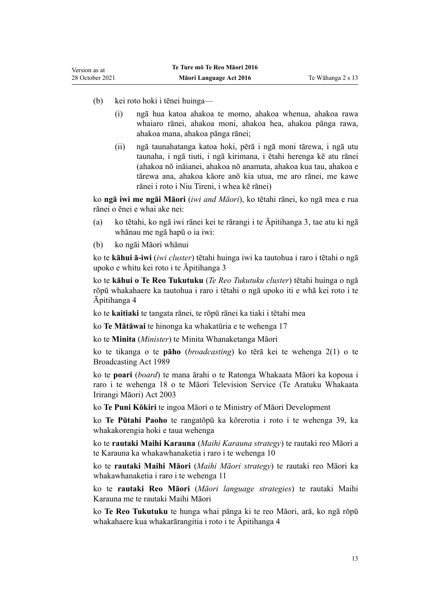- (b) kei roto hoki i tēnei huinga—
	- (i) ngā hua katoa ahakoa te momo, ahakoa whenua, ahakoa rawa whaiaro rānei, ahakoa moni, ahakoa hea, ahakoa pānga rawa, ahakoa mana, ahakoa pānga rānei;
	- (ii) ngā taunahatanga katoa hoki, pērā i ngā moni tārewa, i ngā utu taunaha, i ngā tiuti, i ngā kirimana, i ētahi herenga kē atu rānei (ahakoa nō ināianei, ahakoa nō anamata, ahakoa kua tau, ahakoa e tārewa ana, ahakoa kāore anō kia utua, me aro rānei, me kawe rānei i roto i Niu Tireni, i whea kē rānei)

ko **ngā iwi me ngāi Māori** (*iwi and Māori*), ko tētahi rānei, ko ngā mea e rua rānei o ēnei e whai ake nei:

- (a) ko tētahi, ko ngā iwi rānei kei te rārangi i te [Āpitihanga 3](#page-53-0), tae atu ki ngā whānau me ngā hapū o ia iwi:
- (b) ko ngāi Māori whānui

ko te **kāhui ā-iwi** (*iwi cluster*) tētahi huinga iwi ka tautohua i raro i tētahi o ngā upoko e whitu kei roto i te [Āpitihanga 3](#page-53-0)

ko te **kāhui o Te Reo Tukutuku** (*Te Reo Tukutuku cluster*) tētahi huinga o ngā rōpū whakahaere ka tautohua i raro i tētahi o ngā upoko iti e whā kei roto i te [Āpitihanga 4](#page-57-0)

ko te **kaitiaki** te tangata rānei, te rōpū rānei ka tiaki i tētahi mea

ko **Te Mātāwai** te hinonga ka whakatūria e te [wehenga 17](#page-15-0)

ko te **Minita** (*Minister*) te Minita Whanaketanga Māori

ko te tikanga o te **pāho** (*broadcasting*) ko tērā kei te [wehenga 2\(1\)](http://legislation.govt.nz/pdflink.aspx?id=DLM155371) o te Broadcasting Act 1989

ko te **poari** (*board*) te mana ārahi o te Ratonga Whakaata Māori ka kopoua i raro i te [wehenga 18](http://legislation.govt.nz/pdflink.aspx?id=DLM194360) o te Māori Television Service (Te Aratuku Whakaata Irirangi Māori) Act 2003

ko **Te Puni Kōkiri** te ingoa Māori o te Ministry of Māori Development

ko **Te Pūtahi Paoho** te rangatōpū ka kōrerotia i roto i te [wehenga 39,](#page-24-0) ka whakakorengia hoki e taua wehenga

ko te **rautaki Maihi Karauna** (*Maihi Karauna strategy*) te rautaki reo Māori a te Karauna ka whakawhanaketia i raro i te [wehenga 10](#page-10-0)

ko te **rautaki Maihi Māori** (*Maihi Māori strategy*) te rautaki reo Māori ka whakawhanaketia i raro i te [wehenga 11](#page-11-0)

ko te **rautaki Reo Māori** (*Māori language strategies*) te rautaki Maihi Karauna me te rautaki Maihi Māori

ko **Te Reo Tukutuku** te hunga whai pānga ki te reo Māori, arā, ko ngā rōpū whakahaere kua whakarārangitia i roto i te [Āpitihanga 4](#page-57-0)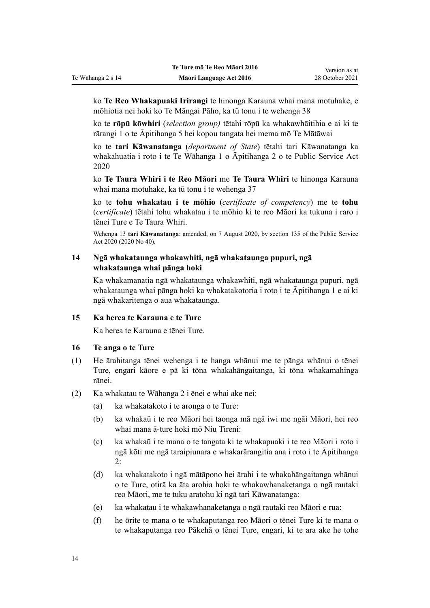ko **Te Reo Whakapuaki Irirangi** te hinonga Karauna whai mana motuhake, e mōhiotia nei hoki ko Te Māngai Pāho, ka tū tonu i te [wehenga 38](#page-24-0)

ko te **rōpū kōwhiri** (*selection group)* tētahi rōpū ka whakawhāitihia e ai ki te [rārangi 1](#page-59-0) o te Āpitihanga 5 hei kopou tangata hei mema mō Te Mātāwai

ko te **tari Kāwanatanga** (*department of State*) tētahi tari Kāwanatanga ka whakahuatia i roto i te [Te Wāhanga 1](http://legislation.govt.nz/pdflink.aspx?id=LMS207452) o Āpitihanga 2 o te Public Service Act 2020

ko **Te Taura Whiri i te Reo Māori** me **Te Taura Whiri** te hinonga Karauna whai mana motuhake, ka tū tonu i te [wehenga 37](#page-23-0)

ko te **tohu whakatau i te mōhio** (*certificate of competency*) me te **tohu** (*certificate*) tētahi tohu whakatau i te mōhio ki te reo Māori ka tukuna i raro i tēnei Ture e Te Taura Whiri.

Wehenga 13 **tari Kāwanatanga**: amended, on 7 August 2020, by [section 135](http://legislation.govt.nz/pdflink.aspx?id=LMS176959) of the Public Service Act 2020 (2020 No 40).

### **14 Ngā whakataunga whakawhiti, ngā whakataunga pupuri, ngā whakataunga whai pānga hoki**

Ka whakamanatia ngā whakataunga whakawhiti, ngā whakataunga pupuri, ngā whakataunga whai pānga hoki ka whakatakotoria i roto i te [Āpitihanga 1](#page-50-0) e ai ki ngā whakaritenga o aua whakataunga.

### **15 Ka herea te Karauna e te Ture**

Ka herea te Karauna e tēnei Ture.

### **16 Te anga o te Ture**

<span id="page-13-0"></span>Te Wāhanga 2 s 14

- (1) He ārahitanga tēnei wehenga i te hanga whānui me te pānga whānui o tēnei Ture, engari kāore e pā ki tōna whakahāngaitanga, ki tōna whakamahinga rānei.
- (2) Ka whakatau te [Wāhanga 2](#page-6-0) i ēnei e whai ake nei:
	- (a) ka whakatakoto i te aronga o te Ture:
	- (b) ka whakaū i te reo Māori hei taonga mā ngā iwi me ngāi Māori, hei reo whai mana ā-ture hoki mō Niu Tireni:
	- (c) ka whakaū i te mana o te tangata ki te whakapuaki i te reo Māori i roto i ngā kōti me ngā taraipiunara e whakarārangitia ana i roto i te [Āpitihanga](#page-52-0) [2:](#page-52-0)
	- (d) ka whakatakoto i ngā mātāpono hei ārahi i te whakahāngaitanga whānui o te Ture, otirā ka āta arohia hoki te whakawhanaketanga o ngā rautaki reo Māori, me te tuku aratohu ki ngā tari Kāwanatanga:
	- (e) ka whakatau i te whakawhanaketanga o ngā rautaki reo Māori e rua:
	- (f) he ōrite te mana o te whakaputanga reo Māori o tēnei Ture ki te mana o te whakaputanga reo Pākehā o tēnei Ture, engari, ki te ara ake he tohe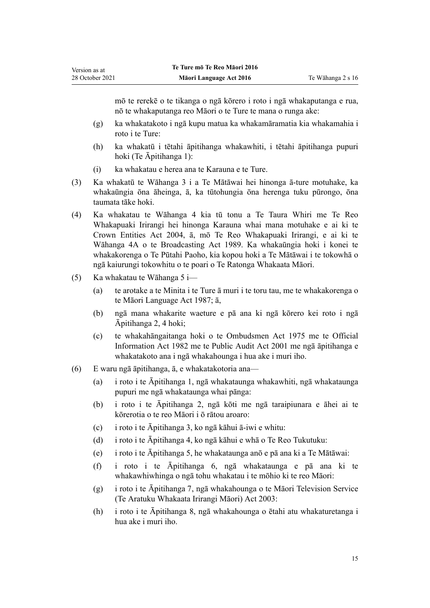mō te rerekē o te tikanga o ngā kōrero i roto i ngā whakaputanga e rua, nō te whakaputanga reo Māori o te Ture te mana o runga ake:

- (g) ka whakatakoto i ngā kupu matua ka whakamāramatia kia whakamahia i roto i te Ture:
- (h) ka whakatū i tētahi āpitihanga whakawhiti, i tētahi āpitihanga pupuri hoki [\(Te Āpitihanga 1](#page-50-0)):
- (i) ka whakatau e herea ana te Karauna e te Ture.
- (3) Ka whakatū te [Wāhanga 3](#page-15-0) i a Te Mātāwai hei hinonga ā-ture motuhake, ka whakaūngia ōna āheinga, ā, ka tūtohungia ōna herenga tuku pūrongo, ōna taumata tāke hoki.
- (4) Ka whakatau te [Wāhanga 4](#page-23-0) kia tū tonu a Te Taura Whiri me Te Reo Whakapuaki Irirangi hei hinonga Karauna whai mana motuhake e ai ki te [Crown Entities Act 2004,](http://legislation.govt.nz/pdflink.aspx?id=DLM329630) ā, mō Te Reo Whakapuaki Irirangi, e ai ki te [Wāhanga 4A](http://legislation.govt.nz/pdflink.aspx?id=DLM158054) o te Broadcasting Act 1989. Ka whakaūngia hoki i konei te whakakorenga o Te Pūtahi Paoho, kia kopou hoki a Te Mātāwai i te tokowhā o ngā kaiurungi tokowhitu o te poari o Te Ratonga Whakaata Māori.
- (5) Ka whakatau te [Wāhanga 5](#page-26-0) i—

Version as at

- (a) te arotake a te Minita i te Ture ā muri i te toru tau, me te whakakorenga o te [Māori Language Act 1987](http://legislation.govt.nz/pdflink.aspx?id=DLM124115); ā,
- (b) ngā mana whakarite waeture e pā ana ki ngā kōrero kei roto i ngā [Āpitihanga 2,](#page-52-0) [4](#page-57-0) hoki;
- (c) te whakahāngaitanga hoki o te [Ombudsmen Act 1975](http://legislation.govt.nz/pdflink.aspx?id=DLM430983) me te [Official](http://legislation.govt.nz/pdflink.aspx?id=DLM64784) [Information Act 1982](http://legislation.govt.nz/pdflink.aspx?id=DLM64784) me te [Public Audit Act 2001](http://legislation.govt.nz/pdflink.aspx?id=DLM88540) me ngā āpitihanga e whakatakoto ana i ngā whakahounga i hua ake i muri iho.
- (6) E waru ngā āpitihanga, ā, e whakatakotoria ana—
	- (a) i roto i te [Āpitihanga 1,](#page-50-0) ngā whakataunga whakawhiti, ngā whakataunga pupuri me ngā whakataunga whai pānga:
	- (b) i roto i te [Āpitihanga 2,](#page-52-0) ngā kōti me ngā taraipiunara e āhei ai te kōrerotia o te reo Māori i ō rātou aroaro:
	- (c) i roto i te [Āpitihanga 3,](#page-53-0) ko ngā kāhui ā-iwi e whitu:
	- (d) i roto i te [Āpitihanga 4,](#page-57-0) ko ngā kāhui e whā o Te Reo Tukutuku:
	- (e) i roto i te [Āpitihanga 5,](#page-58-0) he whakataunga anō e pā ana ki a Te Mātāwai:
	- (f) i roto i te [Āpitihanga 6](#page-71-0), ngā whakataunga e pā ana ki te whakawhiwhinga o ngā tohu whakatau i te mōhio ki te reo Māori:
	- (g) i roto i te [Āpitihanga 7,](#page-74-0) ngā whakahounga o te [Māori Television Service](http://legislation.govt.nz/pdflink.aspx?id=DLM193695) [\(Te Aratuku Whakaata Irirangi Māori\) Act 2003](http://legislation.govt.nz/pdflink.aspx?id=DLM193695):
	- (h) i roto i te [Āpitihanga 8](#page-79-0), ngā whakahounga o ētahi atu whakaturetanga i hua ake i muri iho.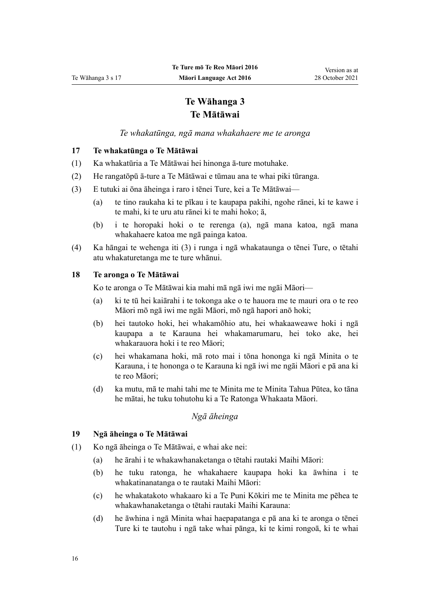## **Te Wāhanga 3 Te Mātāwai**

*Te whakatūnga, ngā mana whakahaere me te aronga*

### <span id="page-15-0"></span>**17 Te whakatūnga o Te Mātāwai**

- (1) Ka whakatūria a Te Mātāwai hei hinonga ā-ture motuhake.
- (2) He rangatōpū ā-ture a Te Mātāwai e tūmau ana te whai piki tūranga.
- (3) E tutuki ai ōna āheinga i raro i tēnei Ture, kei a Te Mātāwai—
	- (a) te tino raukaha ki te pīkau i te kaupapa pakihi, ngohe rānei, ki te kawe i te mahi, ki te uru atu rānei ki te mahi hoko; ā,
	- (b) i te horopaki hoki o te rerenga (a), ngā mana katoa, ngā mana whakahaere katoa me ngā painga katoa.
- (4) Ka hāngai te wehenga iti (3) i runga i ngā whakataunga o tēnei Ture, o tētahi atu whakaturetanga me te ture whānui.

### **18 Te aronga o Te Mātāwai**

Ko te aronga o Te Mātāwai kia mahi mā ngā iwi me ngāi Māori—

- (a) ki te tū hei kaiārahi i te tokonga ake o te hauora me te mauri ora o te reo Māori mō ngā iwi me ngāi Māori, mō ngā hapori anō hoki;
- (b) hei tautoko hoki, hei whakamōhio atu, hei whakaaweawe hoki i ngā kaupapa a te Karauna hei whakamarumaru, hei toko ake, hei whakarauora hoki i te reo Māori;
- (c) hei whakamana hoki, mā roto mai i tōna hononga ki ngā Minita o te Karauna, i te hononga o te Karauna ki ngā iwi me ngāi Māori e pā ana ki te reo Māori;
- (d) ka mutu, mā te mahi tahi me te Minita me te Minita Tahua Pūtea, ko tāna he mātai, he tuku tohutohu ki a Te Ratonga Whakaata Māori.

### *Ngā āheinga*

### **19 Ngā āheinga o Te Mātāwai**

- (1) Ko ngā āheinga o Te Mātāwai, e whai ake nei:
	- (a) he ārahi i te whakawhanaketanga o tētahi rautaki Maihi Māori:
	- (b) he tuku ratonga, he whakahaere kaupapa hoki ka āwhina i te whakatinanatanga o te rautaki Maihi Māori:
	- (c) he whakatakoto whakaaro ki a Te Puni Kōkiri me te Minita me pēhea te whakawhanaketanga o tētahi rautaki Maihi Karauna:
	- (d) he āwhina i ngā Minita whai haepapatanga e pā ana ki te aronga o tēnei Ture ki te tautohu i ngā take whai pānga, ki te kimi rongoā, ki te whai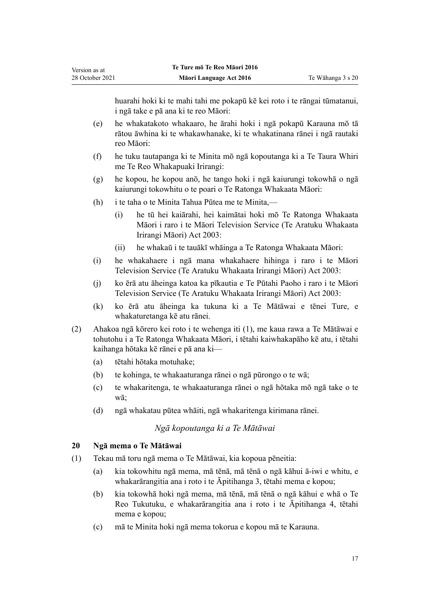<span id="page-16-0"></span>huarahi hoki ki te mahi tahi me pokapū kē kei roto i te rāngai tūmatanui, i ngā take e pā ana ki te reo Māori:

- (e) he whakatakoto whakaaro, he ārahi hoki i ngā pokapū Karauna mō tā rātou āwhina ki te whakawhanake, ki te whakatinana rānei i ngā rautaki reo Māori:
- (f) he tuku tautapanga ki te Minita mō ngā kopoutanga ki a Te Taura Whiri me Te Reo Whakapuaki Irirangi:
- (g) he kopou, he kopou anō, he tango hoki i ngā kaiurungi tokowhā o ngā kaiurungi tokowhitu o te poari o Te Ratonga Whakaata Māori:
- (h) i te taha o te Minita Tahua Pūtea me te Minita,—
	- (i) he tū hei kaiārahi, hei kaimātai hoki mō Te Ratonga Whakaata Māori i raro i te [Māori Television Service \(Te Aratuku Whakaata](http://legislation.govt.nz/pdflink.aspx?id=DLM193695) [Irirangi Māori\) Act 2003:](http://legislation.govt.nz/pdflink.aspx?id=DLM193695)
	- (ii) he whakaū i te tauākī whāinga a Te Ratonga Whakaata Māori:
- (i) he whakahaere i ngā mana whakahaere hihinga i raro i te [Māori](http://legislation.govt.nz/pdflink.aspx?id=DLM193695) [Television Service \(Te Aratuku Whakaata Irirangi Māori\) Act 2003](http://legislation.govt.nz/pdflink.aspx?id=DLM193695):
- (j) ko ērā atu āheinga katoa ka pīkautia e Te Pūtahi Paoho i raro i te [Māori](http://legislation.govt.nz/pdflink.aspx?id=DLM193695) [Television Service \(Te Aratuku Whakaata Irirangi Māori\) Act 2003](http://legislation.govt.nz/pdflink.aspx?id=DLM193695):
- (k) ko ērā atu āheinga ka tukuna ki a Te Mātāwai e tēnei Ture, e whakaturetanga kē atu rānei.
- (2) Ahakoa ngā kōrero kei roto i te wehenga iti (1), me kaua rawa a Te Mātāwai e tohutohu i a Te Ratonga Whakaata Māori, i tētahi kaiwhakapāho kē atu, i tētahi kaihanga hōtaka kē rānei e pā ana ki—
	- (a) tētahi hōtaka motuhake;
	- (b) te kohinga, te whakaaturanga rānei o ngā pūrongo o te wā;
	- (c) te whakaritenga, te whakaaturanga rānei o ngā hōtaka mō ngā take o te wā;
	- (d) ngā whakatau pūtea whāiti, ngā whakaritenga kirimana rānei.

### *Ngā kopoutanga ki a Te Mātāwai*

### **20 Ngā mema o Te Mātāwai**

- (1) Tekau mā toru ngā mema o Te Mātāwai, kia kopoua pēneitia:
	- (a) kia tokowhitu ngā mema, mā tēnā, mā tēnā o ngā kāhui ā-iwi e whitu, e whakarārangitia ana i roto i te [Āpitihanga 3](#page-53-0), tētahi mema e kopou;
	- (b) kia tokowhā hoki ngā mema, mā tēnā, mā tēnā o ngā kāhui e whā o Te Reo Tukutuku, e whakarārangitia ana i roto i te [Āpitihanga 4](#page-57-0), tētahi mema e kopou;
	- (c) mā te Minita hoki ngā mema tokorua e kopou mā te Karauna.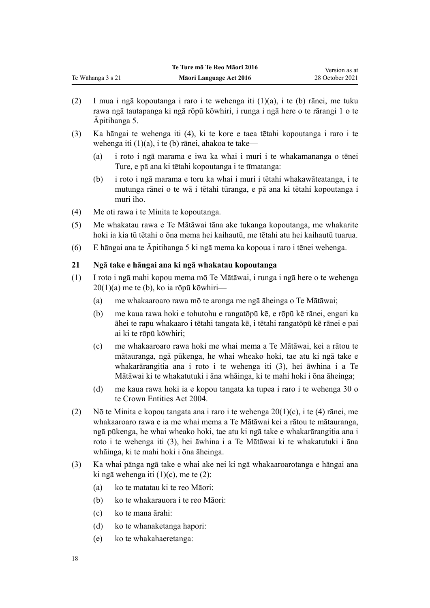- <span id="page-17-0"></span>(2) I mua i ngā kopoutanga i raro i te wehenga iti (1)(a), i te (b) rānei, me tuku rawa ngā tautapanga ki ngā rōpū kōwhiri, i runga i ngā here o te [rārangi 1](#page-59-0) o te Āpitihanga 5.
- (3) Ka hāngai te wehenga iti (4), ki te kore e taea tētahi kopoutanga i raro i te wehenga iti (1)(a), i te (b) rānei, ahakoa te take—
	- (a) i roto i ngā marama e iwa ka whai i muri i te whakamananga o tēnei Ture, e pā ana ki tētahi kopoutanga i te tīmatanga:
	- (b) i roto i ngā marama e toru ka whai i muri i tētahi whakawāteatanga, i te mutunga rānei o te wā i tētahi tūranga, e pā ana ki tētahi kopoutanga i muri iho.
- (4) Me oti rawa i te Minita te kopoutanga.
- (5) Me whakatau rawa e Te Mātāwai tāna ake tukanga kopoutanga, me whakarite hoki ia kia tū tētahi o ōna mema hei kaihautū, me tētahi atu hei kaihautū tuarua.
- (6) E hāngai ana te [Āpitihanga 5](#page-58-0) ki ngā mema ka kopoua i raro i tēnei wehenga.

## **21 Ngā take e hāngai ana ki ngā whakatau kopoutanga**

- (1) I roto i ngā mahi kopou mema mō Te Mātāwai, i runga i ngā here o te [wehenga](#page-16-0)  $20(1)(a)$  me te (b), ko ia rōpū kōwhiri—
	- (a) me whakaaroaro rawa mō te aronga me ngā āheinga o Te Mātāwai;
	- (b) me kaua rawa hoki e tohutohu e rangatōpū kē, e rōpū kē rānei, engari ka āhei te rapu whakaaro i tētahi tangata kē, i tētahi rangatōpū kē rānei e pai ai ki te rōpū kōwhiri;
	- (c) me whakaaroaro rawa hoki me whai mema a Te Mātāwai, kei a rātou te mātauranga, ngā pūkenga, he whai wheako hoki, tae atu ki ngā take e whakarārangitia ana i roto i te wehenga iti (3), hei āwhina i a Te Mātāwai ki te whakatutuki i āna whāinga, ki te mahi hoki i ōna āheinga;
	- (d) me kaua rawa hoki ia e kopou tangata ka tupea i raro i te [wehenga 30](http://legislation.govt.nz/pdflink.aspx?id=DLM329956) o te Crown Entities Act 2004.
- (2) Nō te Minita e kopou tangata ana i raro i te [wehenga 20\(1\)\(c\), i te \(4\)](#page-16-0) rānei, me whakaaroaro rawa e ia me whai mema a Te Mātāwai kei a rātou te mātauranga, ngā pūkenga, he whai wheako hoki, tae atu ki ngā take e whakarārangitia ana i roto i te wehenga iti (3), hei āwhina i a Te Mātāwai ki te whakatutuki i āna whāinga, ki te mahi hoki i ōna āheinga.
- (3) Ka whai pānga ngā take e whai ake nei ki ngā whakaaroarotanga e hāngai ana ki ngā wehenga iti  $(1)(c)$ , me te  $(2)$ :
	- (a) ko te matatau ki te reo Māori:
	- (b) ko te whakarauora i te reo Māori:
	- (c) ko te mana ārahi:
	- (d) ko te whanaketanga hapori:
	- (e) ko te whakahaeretanga: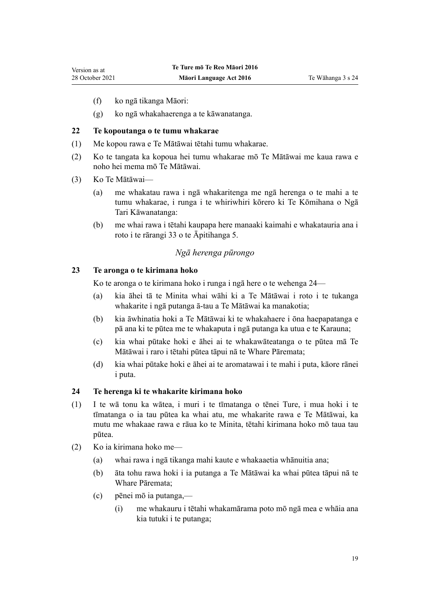- <span id="page-18-0"></span>(f) ko ngā tikanga Māori:
- (g) ko ngā whakahaerenga a te kāwanatanga.

## **22 Te kopoutanga o te tumu whakarae**

- (1) Me kopou rawa e Te Mātāwai tētahi tumu whakarae.
- (2) Ko te tangata ka kopoua hei tumu whakarae mō Te Mātāwai me kaua rawa e noho hei mema mō Te Mātāwai.
- (3) Ko Te Mātāwai—
	- (a) me whakatau rawa i ngā whakaritenga me ngā herenga o te mahi a te tumu whakarae, i runga i te whiriwhiri kōrero ki Te Kōmihana o Ngā Tari Kāwanatanga:
	- (b) me whai rawa i tētahi kaupapa here manaaki kaimahi e whakatauria ana i roto i te [rārangi 33](#page-70-0) o te Āpitihanga 5.

## *Ngā herenga pūrongo*

## **23 Te aronga o te kirimana hoko**

Ko te aronga o te kirimana hoko i runga i ngā here o te wehenga 24—

- (a) kia āhei tā te Minita whai wāhi ki a Te Mātāwai i roto i te tukanga whakarite i ngā putanga ā-tau a Te Mātāwai ka manakotia;
- (b) kia āwhinatia hoki a Te Mātāwai ki te whakahaere i ōna haepapatanga e pā ana ki te pūtea me te whakaputa i ngā putanga ka utua e te Karauna;
- (c) kia whai pūtake hoki e āhei ai te whakawāteatanga o te pūtea mā Te Mātāwai i raro i tētahi pūtea tāpui nā te Whare Pāremata;
- (d) kia whai pūtake hoki e āhei ai te aromatawai i te mahi i puta, kāore rānei i puta.

### **24 Te herenga ki te whakarite kirimana hoko**

- (1) I te wā tonu ka wātea, i muri i te tīmatanga o tēnei Ture, i mua hoki i te tīmatanga o ia tau pūtea ka whai atu, me whakarite rawa e Te Mātāwai, ka mutu me whakaae rawa e rāua ko te Minita, tētahi kirimana hoko mō taua tau pūtea.
- (2) Ko ia kirimana hoko me—
	- (a) whai rawa i ngā tikanga mahi kaute e whakaaetia whānuitia ana;
	- (b) āta tohu rawa hoki i ia putanga a Te Mātāwai ka whai pūtea tāpui nā te Whare Pāremata;
	- (c) pēnei mō ia putanga,—
		- (i) me whakauru i tētahi whakamārama poto mō ngā mea e whāia ana kia tutuki i te putanga;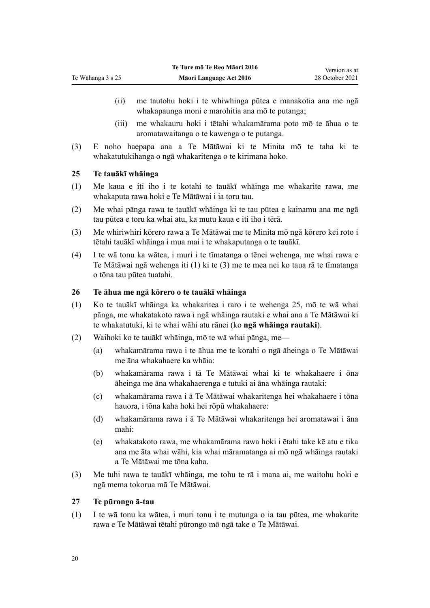- (ii) me tautohu hoki i te whiwhinga pūtea e manakotia ana me ngā whakapaunga moni e marohitia ana mō te putanga;
- (iii) me whakauru hoki i tētahi whakamārama poto mō te āhua o te aromatawaitanga o te kawenga o te putanga.
- (3) E noho haepapa ana a Te Mātāwai ki te Minita mō te taha ki te whakatutukihanga o ngā whakaritenga o te kirimana hoko.

### **25 Te tauākī whāinga**

<span id="page-19-0"></span>Te Wāhanga 3 s 25

- (1) Me kaua e iti iho i te kotahi te tauākī whāinga me whakarite rawa, me whakaputa rawa hoki e Te Mātāwai i ia toru tau.
- (2) Me whai pānga rawa te tauākī whāinga ki te tau pūtea e kainamu ana me ngā tau pūtea e toru ka whai atu, ka mutu kaua e iti iho i tērā.
- (3) Me whiriwhiri kōrero rawa a Te Mātāwai me te Minita mō ngā kōrero kei roto i tētahi tauākī whāinga i mua mai i te whakaputanga o te tauākī.
- (4) I te wā tonu ka wātea, i muri i te tīmatanga o tēnei wehenga, me whai rawa e Te Mātāwai ngā wehenga iti (1) ki te (3) me te mea nei ko taua rā te tīmatanga o tōna tau pūtea tuatahi.

### **26 Te āhua me ngā kōrero o te tauākī whāinga**

- (1) Ko te tauākī whāinga ka whakaritea i raro i te wehenga 25, mō te wā whai pānga, me whakatakoto rawa i ngā whāinga rautaki e whai ana a Te Mātāwai ki te whakatutuki, ki te whai wāhi atu rānei (ko **ngā whāinga rautaki**).
- (2) Waihoki ko te tauākī whāinga, mō te wā whai pānga, me—
	- (a) whakamārama rawa i te āhua me te korahi o ngā āheinga o Te Mātāwai me āna whakahaere ka whāia:
	- (b) whakamārama rawa i tā Te Mātāwai whai ki te whakahaere i ōna āheinga me āna whakahaerenga e tutuki ai āna whāinga rautaki:
	- (c) whakamārama rawa i ā Te Mātāwai whakaritenga hei whakahaere i tōna hauora, i tōna kaha hoki hei rōpū whakahaere:
	- (d) whakamārama rawa i ā Te Mātāwai whakaritenga hei aromatawai i āna mahi:
	- (e) whakatakoto rawa, me whakamārama rawa hoki i ētahi take kē atu e tika ana me āta whai wāhi, kia whai māramatanga ai mō ngā whāinga rautaki a Te Mātāwai me tōna kaha.
- (3) Me tuhi rawa te tauākī whāinga, me tohu te rā i mana ai, me waitohu hoki e ngā mema tokorua mā Te Mātāwai.

### **27 Te pūrongo ā-tau**

(1) I te wā tonu ka wātea, i muri tonu i te mutunga o ia tau pūtea, me whakarite rawa e Te Mātāwai tētahi pūrongo mō ngā take o Te Mātāwai.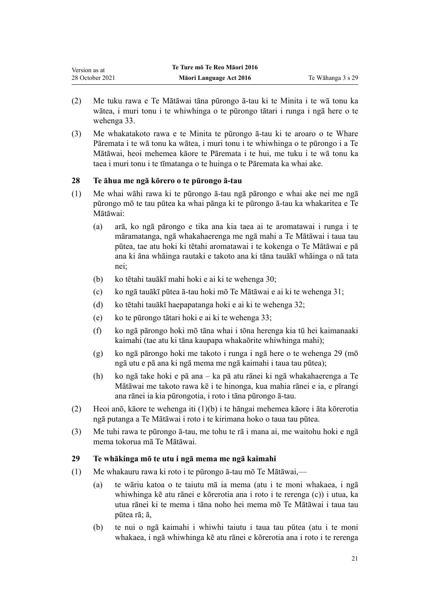<span id="page-20-0"></span>

| Version as at   | Te Ture mō Te Reo Māori 2016 |                   |
|-----------------|------------------------------|-------------------|
| 28 October 2021 | Māori Language Act 2016      | Te Wāhanga 3 s 29 |

- (2) Me tuku rawa e Te Mātāwai tāna pūrongo ā-tau ki te Minita i te wā tonu ka wātea, i muri tonu i te whiwhinga o te pūrongo tātari i runga i ngā here o te [wehenga 33](#page-22-0).
- (3) Me whakatakoto rawa e te Minita te pūrongo ā-tau ki te aroaro o te Whare Pāremata i te wā tonu ka wātea, i muri tonu i te whiwhinga o te pūrongo i a Te Mātāwai, heoi mehemea kāore te Pāremata i te hui, me tuku i te wā tonu ka taea i muri tonu i te tīmatanga o te huinga o te Pāremata ka whai ake.

### **28 Te āhua me ngā kōrero o te pūrongo ā-tau**

- (1) Me whai wāhi rawa ki te pūrongo ā-tau ngā pārongo e whai ake nei me ngā pūrongo mō te tau pūtea ka whai pānga ki te pūrongo ā-tau ka whakaritea e Te Mātāwai:
	- (a) arā, ko ngā pārongo e tika ana kia taea ai te aromatawai i runga i te māramatanga, ngā whakahaerenga me ngā mahi a Te Mātāwai i taua tau pūtea, tae atu hoki ki tētahi aromatawai i te kokenga o Te Mātāwai e pā ana ki āna whāinga rautaki e takoto ana ki tāna tauākī whāinga o nā tata nei;
	- (b) ko tētahi tauākī mahi hoki e ai ki te [wehenga 30;](#page-21-0)
	- (c) ko ngā tauākī pūtea ā-tau hoki mō Te Mātāwai e ai ki te [wehenga 31](#page-21-0);
	- (d) ko tētahi tauākī haepapatanga hoki e ai ki te [wehenga 32](#page-22-0);
	- (e) ko te pūrongo tātari hoki e ai ki te [wehenga 33](#page-22-0);
	- (f) ko ngā pārongo hoki mō tāna whai i tōna herenga kia tū hei kaimanaaki kaimahi (tae atu ki tāna kaupapa whakaōrite whiwhinga mahi);
	- (g) ko ngā pārongo hoki me takoto i runga i ngā here o te wehenga 29 (mō ngā utu e pā ana ki ngā mema me ngā kaimahi i taua tau pūtea);
	- (h) ko ngā take hoki e pā ana ka pā atu rānei ki ngā whakahaerenga a Te Mātāwai me takoto rawa kē i te hinonga, kua mahia rānei e ia, e pīrangi ana rānei ia kia pūrongotia, i roto i tāna pūrongo ā-tau.
- (2) Heoi anō, kāore te wehenga iti (1)(b) i te hāngai mehemea kāore i āta kōrerotia ngā putanga a Te Mātāwai i roto i te kirimana hoko o taua tau pūtea.
- (3) Me tuhi rawa te pūrongo ā-tau, me tohu te rā i mana ai, me waitohu hoki e ngā mema tokorua mā Te Mātāwai.

### **29 Te whākinga mō te utu i ngā mema me ngā kaimahi**

- (1) Me whakauru rawa ki roto i te pūrongo ā-tau mō Te Mātāwai,—
	- (a) te wāriu katoa o te taiutu mā ia mema (atu i te moni whakaea, i ngā whiwhinga kē atu rānei e kōrerotia ana i roto i te rerenga (c)) i utua, ka utua rānei ki te mema i tāna noho hei mema mō Te Mātāwai i taua tau pūtea rā; ā,
	- (b) te nui o ngā kaimahi i whiwhi taiutu i taua tau pūtea (atu i te moni whakaea, i ngā whiwhinga kē atu rānei e kōrerotia ana i roto i te rerenga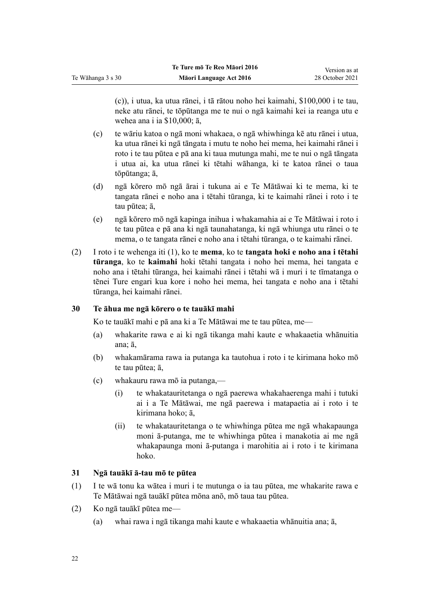(c)), i utua, ka utua rānei, i tā rātou noho hei kaimahi, \$100,000 i te tau, neke atu rānei, te tōpūtanga me te nui o ngā kaimahi kei ia reanga utu e wehea ana i ia \$10,000; ā,

- (c) te wāriu katoa o ngā moni whakaea, o ngā whiwhinga kē atu rānei i utua, ka utua rānei ki ngā tāngata i mutu te noho hei mema, hei kaimahi rānei i roto i te tau pūtea e pā ana ki taua mutunga mahi, me te nui o ngā tāngata i utua ai, ka utua rānei ki tētahi wāhanga, ki te katoa rānei o taua tōpūtanga; ā,
- (d) ngā kōrero mō ngā ārai i tukuna ai e Te Mātāwai ki te mema, ki te tangata rānei e noho ana i tētahi tūranga, ki te kaimahi rānei i roto i te tau pūtea; ā,
- (e) ngā kōrero mō ngā kapinga inihua i whakamahia ai e Te Mātāwai i roto i te tau pūtea e pā ana ki ngā taunahatanga, ki ngā whiunga utu rānei o te mema, o te tangata rānei e noho ana i tētahi tūranga, o te kaimahi rānei.
- (2) I roto i te wehenga iti (1), ko te **mema**, ko te **tangata hoki e noho ana i tētahi tūranga**, ko te **kaimahi** hoki tētahi tangata i noho hei mema, hei tangata e noho ana i tētahi tūranga, hei kaimahi rānei i tētahi wā i muri i te tīmatanga o tēnei Ture engari kua kore i noho hei mema, hei tangata e noho ana i tētahi tūranga, hei kaimahi rānei.

## **30 Te āhua me ngā kōrero o te tauākī mahi**

<span id="page-21-0"></span>Te Wāhanga 3 s 30

Ko te tauākī mahi e pā ana ki a Te Mātāwai me te tau pūtea, me—

- (a) whakarite rawa e ai ki ngā tikanga mahi kaute e whakaaetia whānuitia ana; ā,
- (b) whakamārama rawa ia putanga ka tautohua i roto i te kirimana hoko mō te tau pūtea; ā,
- (c) whakauru rawa mō ia putanga,—
	- (i) te whakatauritetanga o ngā paerewa whakahaerenga mahi i tutuki ai i a Te Mātāwai, me ngā paerewa i matapaetia ai i roto i te kirimana hoko; ā,
	- (ii) te whakatauritetanga o te whiwhinga pūtea me ngā whakapaunga moni ā-putanga, me te whiwhinga pūtea i manakotia ai me ngā whakapaunga moni ā-putanga i marohitia ai i roto i te kirimana hoko.

## **31 Ngā tauākī ā-tau mō te pūtea**

- (1) I te wā tonu ka wātea i muri i te mutunga o ia tau pūtea, me whakarite rawa e Te Mātāwai ngā tauākī pūtea mōna anō, mō taua tau pūtea.
- (2) Ko ngā tauākī pūtea me—
	- (a) whai rawa i ngā tikanga mahi kaute e whakaaetia whānuitia ana; ā,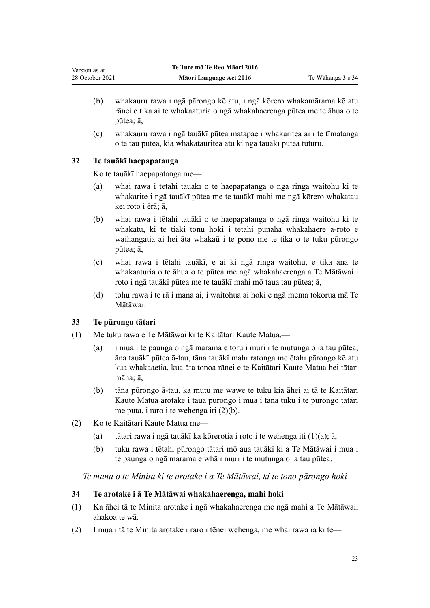- <span id="page-22-0"></span>(b) whakauru rawa i ngā pārongo kē atu, i ngā kōrero whakamārama kē atu rānei e tika ai te whakaaturia o ngā whakahaerenga pūtea me te āhua o te pūtea; ā,
- (c) whakauru rawa i ngā tauākī pūtea matapae i whakaritea ai i te tīmatanga o te tau pūtea, kia whakatauritea atu ki ngā tauākī pūtea tūturu.

## **32 Te tauākī haepapatanga**

Ko te tauākī haepapatanga me—

- (a) whai rawa i tētahi tauākī o te haepapatanga o ngā ringa waitohu ki te whakarite i ngā tauākī pūtea me te tauākī mahi me ngā kōrero whakatau kei roto i ērā; ā,
- (b) whai rawa i tētahi tauākī o te haepapatanga o ngā ringa waitohu ki te whakatū, ki te tiaki tonu hoki i tētahi pūnaha whakahaere ā-roto e waihangatia ai hei āta whakaū i te pono me te tika o te tuku pūrongo pūtea; ā,
- (c) whai rawa i tētahi tauākī, e ai ki ngā ringa waitohu, e tika ana te whakaaturia o te āhua o te pūtea me ngā whakahaerenga a Te Mātāwai i roto i ngā tauākī pūtea me te tauākī mahi mō taua tau pūtea; ā,
- (d) tohu rawa i te rā i mana ai, i waitohua ai hoki e ngā mema tokorua mā Te Mātāwai.

## **33 Te pūrongo tātari**

- (1) Me tuku rawa e Te Mātāwai ki te Kaitātari Kaute Matua,—
	- (a) i mua i te paunga o ngā marama e toru i muri i te mutunga o ia tau pūtea, āna tauākī pūtea ā-tau, tāna tauākī mahi ratonga me ētahi pārongo kē atu kua whakaaetia, kua āta tonoa rānei e te Kaitātari Kaute Matua hei tātari māna; ā,
	- (b) tāna pūrongo ā-tau, ka mutu me wawe te tuku kia āhei ai tā te Kaitātari Kaute Matua arotake i taua pūrongo i mua i tāna tuku i te pūrongo tātari me puta, i raro i te wehenga iti (2)(b).
- (2) Ko te Kaitātari Kaute Matua me—
	- (a) tātari rawa i ngā tauākī ka kōrerotia i roto i te wehenga iti (1)(a); ā,
	- (b) tuku rawa i tētahi pūrongo tātari mō aua tauākī ki a Te Mātāwai i mua i te paunga o ngā marama e whā i muri i te mutunga o ia tau pūtea.

*Te mana o te Minita ki te arotake i a Te Mātāwai, ki te tono pārongo hoki*

## **34 Te arotake i ā Te Mātāwai whakahaerenga, mahi hoki**

- (1) Ka āhei tā te Minita arotake i ngā whakahaerenga me ngā mahi a Te Mātāwai, ahakoa te wā.
- (2) I mua i tā te Minita arotake i raro i tēnei wehenga, me whai rawa ia ki te—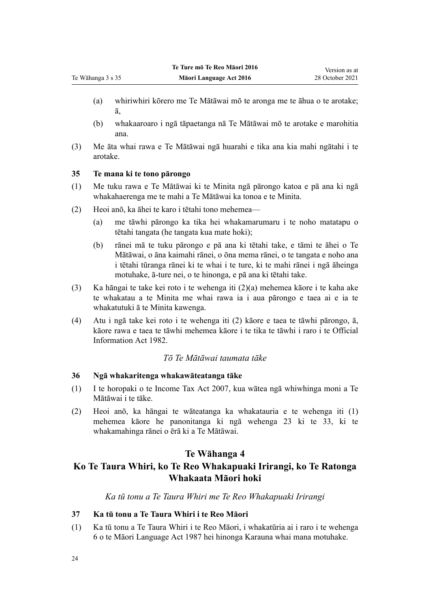- (a) whiriwhiri kōrero me Te Mātāwai mō te aronga me te āhua o te arotake; ā,
- (b) whakaaroaro i ngā tāpaetanga nā Te Mātāwai mō te arotake e marohitia ana.
- (3) Me āta whai rawa e Te Mātāwai ngā huarahi e tika ana kia mahi ngātahi i te arotake.

## **35 Te mana ki te tono pārongo**

<span id="page-23-0"></span>Te Wāhanga 3 s 35

- (1) Me tuku rawa e Te Mātāwai ki te Minita ngā pārongo katoa e pā ana ki ngā whakahaerenga me te mahi a Te Mātāwai ka tonoa e te Minita.
- (2) Heoi anō, ka āhei te karo i tētahi tono mehemea—
	- (a) me tāwhi pārongo ka tika hei whakamarumaru i te noho matatapu o tētahi tangata (he tangata kua mate hoki);
	- (b) rānei mā te tuku pārongo e pā ana ki tētahi take, e tāmi te āhei o Te Mātāwai, o āna kaimahi rānei, o ōna mema rānei, o te tangata e noho ana i tētahi tūranga rānei ki te whai i te ture, ki te mahi rānei i ngā āheinga motuhake, ā-ture nei, o te hinonga, e pā ana ki tētahi take.
- (3) Ka hāngai te take kei roto i te wehenga iti (2)(a) mehemea kāore i te kaha ake te whakatau a te Minita me whai rawa ia i aua pārongo e taea ai e ia te whakatutuki ā te Minita kawenga.
- (4) Atu i ngā take kei roto i te wehenga iti (2) kāore e taea te tāwhi pārongo, ā, kāore rawa e taea te tāwhi mehemea kāore i te tika te tāwhi i raro i te [Official](http://legislation.govt.nz/pdflink.aspx?id=DLM64784) [Information Act 1982](http://legislation.govt.nz/pdflink.aspx?id=DLM64784).

## *Tō Te Mātāwai taumata tāke*

### **36 Ngā whakaritenga whakawāteatanga tāke**

- (1) I te horopaki o te [Income Tax Act 2007,](http://legislation.govt.nz/pdflink.aspx?id=DLM1512300) kua wātea ngā whiwhinga moni a Te Mātāwai i te tāke.
- (2) Heoi anō, ka hāngai te wāteatanga ka whakatauria e te wehenga iti (1) mehemea kāore he panonitanga ki ngā [wehenga 23 ki te 33,](#page-18-0) ki te whakamahinga rānei o ērā ki a Te Mātāwai.

## **Te Wāhanga 4**

## **Ko Te Taura Whiri, ko Te Reo Whakapuaki Irirangi, ko Te Ratonga Whakaata Māori hoki**

*Ka tū tonu a Te Taura Whiri me Te Reo Whakapuaki Irirangi*

### **37 Ka tū tonu a Te Taura Whiri i te Reo Māori**

(1) Ka tū tonu a Te Taura Whiri i te Reo Māori, i whakatūria ai i raro i te [wehenga](http://legislation.govt.nz/pdflink.aspx?id=DLM124146) [6](http://legislation.govt.nz/pdflink.aspx?id=DLM124146) o te Māori Language Act 1987 hei hinonga Karauna whai mana motuhake.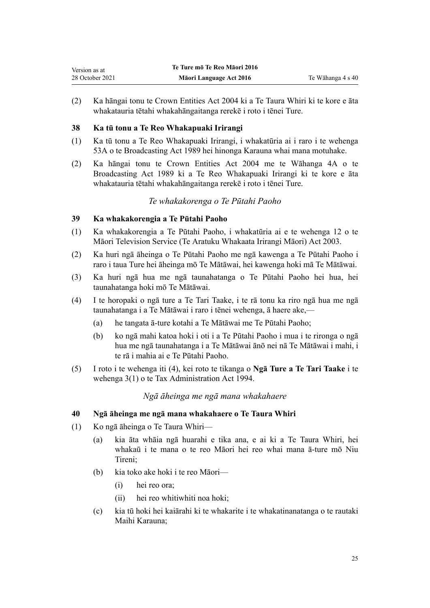<span id="page-24-0"></span>(2) Ka hāngai tonu te [Crown Entities Act 2004](http://legislation.govt.nz/pdflink.aspx?id=DLM329630) ki a Te Taura Whiri ki te kore e āta whakatauria tētahi whakahāngaitanga rerekē i roto i tēnei Ture.

## **38 Ka tū tonu a Te Reo Whakapuaki Irirangi**

- (1) Ka tū tonu a Te Reo Whakapuaki Irirangi, i whakatūria ai i raro i te [wehenga](http://legislation.govt.nz/pdflink.aspx?id=DLM158056) [53A](http://legislation.govt.nz/pdflink.aspx?id=DLM158056) o te Broadcasting Act 1989 hei hinonga Karauna whai mana motuhake.
- (2) Ka hāngai tonu te [Crown Entities Act 2004](http://legislation.govt.nz/pdflink.aspx?id=DLM329630) me te [Wāhanga 4A](http://legislation.govt.nz/pdflink.aspx?id=DLM158054) o te Broadcasting Act 1989 ki a Te Reo Whakapuaki Irirangi ki te kore e āta whakatauria tētahi whakahāngaitanga rerekē i roto i tēnei Ture.

## *Te whakakorenga o Te Pūtahi Paoho*

## **39 Ka whakakorengia a Te Pūtahi Paoho**

- (1) Ka whakakorengia a Te Pūtahi Paoho, i whakatūria ai e te [wehenga 12](http://legislation.govt.nz/pdflink.aspx?id=DLM194350) o te Māori Television Service (Te Aratuku Whakaata Irirangi Māori) Act 2003.
- (2) Ka huri ngā āheinga o Te Pūtahi Paoho me ngā kawenga a Te Pūtahi Paoho i raro i taua Ture hei āheinga mō Te Mātāwai, hei kawenga hoki mā Te Mātāwai.
- (3) Ka huri ngā hua me ngā taunahatanga o Te Pūtahi Paoho hei hua, hei taunahatanga hoki mō Te Mātāwai.
- (4) I te horopaki o ngā ture a Te Tari Taake, i te rā tonu ka riro ngā hua me ngā taunahatanga i a Te Mātāwai i raro i tēnei wehenga, ā haere ake,—
	- (a) he tangata ā-ture kotahi a Te Mātāwai me Te Pūtahi Paoho;
	- (b) ko ngā mahi katoa hoki i oti i a Te Pūtahi Paoho i mua i te rironga o ngā hua me ngā taunahatanga i a Te Mātāwai ānō nei nā Te Mātāwai i mahi, i te rā i mahia ai e Te Pūtahi Paoho.
- (5) I roto i te wehenga iti (4), kei roto te tikanga o **Ngā Ture a Te Tari Taake** i te [wehenga 3\(1\)](http://legislation.govt.nz/pdflink.aspx?id=DLM348353) o te Tax Administration Act 1994.

## *Ngā āheinga me ngā mana whakahaere*

## **40 Ngā āheinga me ngā mana whakahaere o Te Taura Whiri**

- (1) Ko ngā āheinga o Te Taura Whiri—
	- (a) kia āta whāia ngā huarahi e tika ana, e ai ki a Te Taura Whiri, hei whakaū i te mana o te reo Māori hei reo whai mana ā-ture mō Niu Tireni;
	- (b) kia toko ake hoki i te reo Māori—
		- (i) hei reo ora;
		- (ii) hei reo whitiwhiti noa hoki;
	- (c) kia tū hoki hei kaiārahi ki te whakarite i te whakatinanatanga o te rautaki Maihi Karauna;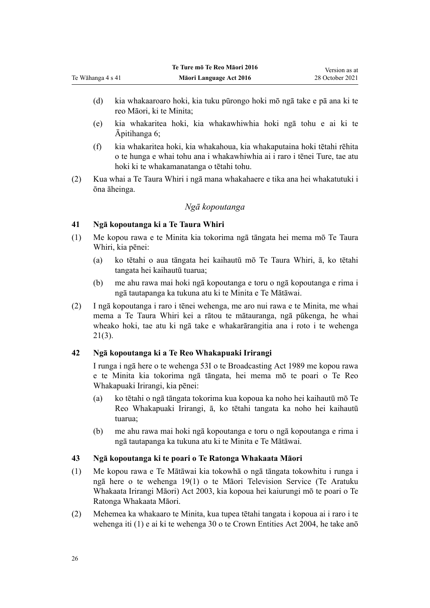- (d) kia whakaaroaro hoki, kia tuku pūrongo hoki mō ngā take e pā ana ki te reo Māori, ki te Minita;
- (e) kia whakaritea hoki, kia whakawhiwhia hoki ngā tohu e ai ki te [Āpitihanga 6;](#page-71-0)
- (f) kia whakaritea hoki, kia whakahoua, kia whakaputaina hoki tētahi rēhita o te hunga e whai tohu ana i whakawhiwhia ai i raro i tēnei Ture, tae atu hoki ki te whakamanatanga o tētahi tohu.
- (2) Kua whai a Te Taura Whiri i ngā mana whakahaere e tika ana hei whakatutuki i ōna āheinga.

## *Ngā kopoutanga*

## **41 Ngā kopoutanga ki a Te Taura Whiri**

<span id="page-25-0"></span>Te Wāhanga 4 s 41

- (1) Me kopou rawa e te Minita kia tokorima ngā tāngata hei mema mō Te Taura Whiri, kia pēnei:
	- (a) ko tētahi o aua tāngata hei kaihautū mō Te Taura Whiri, ā, ko tētahi tangata hei kaihautū tuarua;
	- (b) me ahu rawa mai hoki ngā kopoutanga e toru o ngā kopoutanga e rima i ngā tautapanga ka tukuna atu ki te Minita e Te Mātāwai.
- (2) I ngā kopoutanga i raro i tēnei wehenga, me aro nui rawa e te Minita, me whai mema a Te Taura Whiri kei a rātou te mātauranga, ngā pūkenga, he whai wheako hoki, tae atu ki ngā take e whakarārangitia ana i roto i te [wehenga](#page-17-0) [21\(3\)](#page-17-0).

## **42 Ngā kopoutanga ki a Te Reo Whakapuaki Irirangi**

I runga i ngā here o te [wehenga 53I](http://legislation.govt.nz/pdflink.aspx?id=DLM158077) o te Broadcasting Act 1989 me kopou rawa e te Minita kia tokorima ngā tāngata, hei mema mō te poari o Te Reo Whakapuaki Irirangi, kia pēnei:

- (a) ko tētahi o ngā tāngata tokorima kua kopoua ka noho hei kaihautū mō Te Reo Whakapuaki Irirangi, ā, ko tētahi tangata ka noho hei kaihautū tuarua;
- (b) me ahu rawa mai hoki ngā kopoutanga e toru o ngā kopoutanga e rima i ngā tautapanga ka tukuna atu ki te Minita e Te Mātāwai.

## **43 Ngā kopoutanga ki te poari o Te Ratonga Whakaata Māori**

- (1) Me kopou rawa e Te Mātāwai kia tokowhā o ngā tāngata tokowhitu i runga i ngā here o te [wehenga 19\(1\)](http://legislation.govt.nz/pdflink.aspx?id=DLM194362) o te Māori Television Service (Te Aratuku Whakaata Irirangi Māori) Act 2003, kia kopoua hei kaiurungi mō te poari o Te Ratonga Whakaata Māori.
- (2) Mehemea ka whakaaro te Minita, kua tupea tētahi tangata i kopoua ai i raro i te wehenga iti (1) e ai ki te [wehenga 30](http://legislation.govt.nz/pdflink.aspx?id=DLM329956) o te Crown Entities Act 2004, he take anō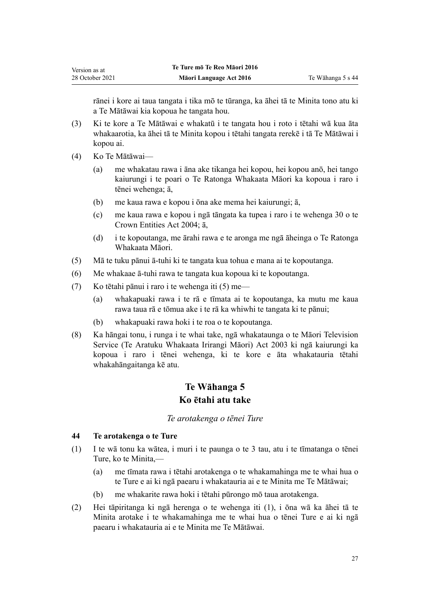<span id="page-26-0"></span>rānei i kore ai taua tangata i tika mō te tūranga, ka āhei tā te Minita tono atu ki a Te Mātāwai kia kopoua he tangata hou.

- (3) Ki te kore a Te Mātāwai e whakatū i te tangata hou i roto i tētahi wā kua āta whakaarotia, ka āhei tā te Minita kopou i tētahi tangata rerekē i tā Te Mātāwai i kopou ai.
- (4) Ko Te Mātāwai—
	- (a) me whakatau rawa i āna ake tikanga hei kopou, hei kopou anō, hei tango kaiurungi i te poari o Te Ratonga Whakaata Māori ka kopoua i raro i tēnei wehenga; ā,
	- (b) me kaua rawa e kopou i ōna ake mema hei kaiurungi; ā,
	- (c) me kaua rawa e kopou i ngā tāngata ka tupea i raro i te [wehenga 30](http://legislation.govt.nz/pdflink.aspx?id=DLM329956) o te Crown Entities Act 2004; ā,
	- (d) i te kopoutanga, me ārahi rawa e te aronga me ngā āheinga o Te Ratonga Whakaata Māori.
- (5) Mā te tuku pānui ā-tuhi ki te tangata kua tohua e mana ai te kopoutanga.
- (6) Me whakaae ā-tuhi rawa te tangata kua kopoua ki te kopoutanga.
- (7) Ko tētahi pānui i raro i te wehenga iti (5) me—
	- (a) whakapuaki rawa i te rā e tīmata ai te kopoutanga, ka mutu me kaua rawa taua rā e tōmua ake i te rā ka whiwhi te tangata ki te pānui;
	- (b) whakapuaki rawa hoki i te roa o te kopoutanga.
- (8) Ka hāngai tonu, i runga i te whai take, ngā whakataunga o te [Māori Television](http://legislation.govt.nz/pdflink.aspx?id=DLM193695) [Service \(Te Aratuku Whakaata Irirangi Māori\) Act 2003](http://legislation.govt.nz/pdflink.aspx?id=DLM193695) ki ngā kaiurungi ka kopoua i raro i tēnei wehenga, ki te kore e āta whakatauria tētahi whakahāngaitanga kē atu.

## **Te Wāhanga 5 Ko ētahi atu take**

#### *Te arotakenga o tēnei Ture*

#### **44 Te arotakenga o te Ture**

- (1) I te wā tonu ka wātea, i muri i te paunga o te 3 tau, atu i te tīmatanga o tēnei Ture, ko te Minita,—
	- (a) me tīmata rawa i tētahi arotakenga o te whakamahinga me te whai hua o te Ture e ai ki ngā paearu i whakatauria ai e te Minita me Te Mātāwai;
	- (b) me whakarite rawa hoki i tētahi pūrongo mō taua arotakenga.
- (2) Hei tāpiritanga ki ngā herenga o te wehenga iti (1), i ōna wā ka āhei tā te Minita arotake i te whakamahinga me te whai hua o tēnei Ture e ai ki ngā paearu i whakatauria ai e te Minita me Te Mātāwai.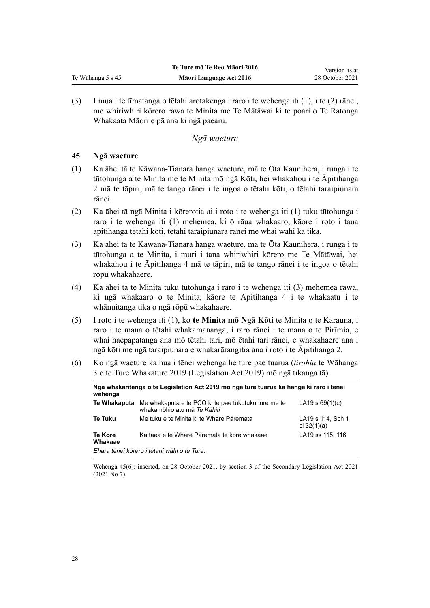(3) I mua i te tīmatanga o tētahi arotakenga i raro i te wehenga iti (1), i te (2) rānei, me whiriwhiri kōrero rawa te Minita me Te Mātāwai ki te poari o Te Ratonga Whakaata Māori e pā ana ki ngā paearu.

### *Ngā waeture*

### **45 Ngā waeture**

<span id="page-27-0"></span>Te Wāhanga 5 s 45

- (1) Ka āhei tā te Kāwana-Tianara hanga waeture, mā te Ōta Kaunihera, i runga i te tūtohunga a te Minita me te Minita mō ngā Kōti, hei whakahou i te [Āpitihanga](#page-52-0) [2](#page-52-0) mā te tāpiri, mā te tango rānei i te ingoa o tētahi kōti, o tētahi taraipiunara rānei.
- (2) Ka āhei tā ngā Minita i kōrerotia ai i roto i te wehenga iti (1) tuku tūtohunga i raro i te wehenga iti (1) mehemea, ki ō rāua whakaaro, kāore i roto i taua āpitihanga tētahi kōti, tētahi taraipiunara rānei me whai wāhi ka tika.
- (3) Ka āhei tā te Kāwana-Tianara hanga waeture, mā te Ōta Kaunihera, i runga i te tūtohunga a te Minita, i muri i tana whiriwhiri kōrero me Te Mātāwai, hei whakahou i te [Āpitihanga 4](#page-57-0) mā te tāpiri, mā te tango rānei i te ingoa o tētahi rōpū whakahaere.
- (4) Ka āhei tā te Minita tuku tūtohunga i raro i te wehenga iti (3) mehemea rawa, ki ngā whakaaro o te Minita, kāore te [Āpitihanga 4](#page-57-0) i te whakaatu i te whānuitanga tika o ngā rōpū whakahaere.
- (5) I roto i te wehenga iti (1), ko **te Minita mō Ngā Kōti** te Minita o te Karauna, i raro i te mana o tētahi whakamananga, i raro rānei i te mana o te Pirīmia, e whai haepapatanga ana mō tētahi tari, mō ētahi tari rānei, e whakahaere ana i ngā kōti me ngā taraipiunara e whakarārangitia ana i roto i te [Āpitihanga 2.](#page-52-0)
- (6) Ko ngā waeture ka hua i tēnei wehenga he ture pae tuarua (*tirohia* te [Wāhanga](http://legislation.govt.nz/pdflink.aspx?id=DLM7298343) [3](http://legislation.govt.nz/pdflink.aspx?id=DLM7298343) o te Ture Whakature 2019 (Legislation Act 2019) mō ngā tikanga tā).

| wehenga                                     | Ngā whakaritenga o te Legislation Act 2019 mō ngā ture tuarua ka hangā ki raro i tēnei |                                    |
|---------------------------------------------|----------------------------------------------------------------------------------------|------------------------------------|
| Te Whakaputa                                | Me whakaputa e te PCO ki te pae tukutuku ture me te<br>whakamōhio atu mā Te Kāhiti     | LA19 s $69(1)(c)$                  |
| <b>Te Tuku</b>                              | Me tuku e te Minita ki te Whare Pāremata                                               | LA19 s 114, Sch 1<br>cl $32(1)(a)$ |
| <b>Te Kore</b><br>Whakaae                   | Ka taea e te Whare Pāremata te kore whakaae                                            | LA19 ss 115, 116                   |
| Ehara tēnei kōrero i tētahi wāhi o te Ture. |                                                                                        |                                    |

Wehenga 45(6): inserted, on 28 October 2021, by [section 3](http://legislation.govt.nz/pdflink.aspx?id=LMS268932) of the Secondary Legislation Act 2021 (2021 No 7).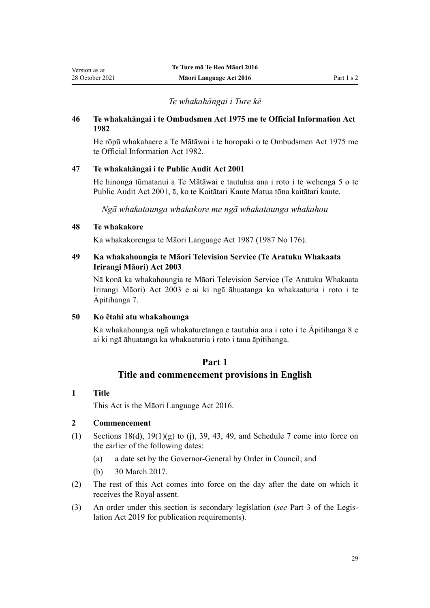## *Te whakahāngai i Ture kē*

### <span id="page-28-0"></span>**46 Te whakahāngai i te Ombudsmen Act 1975 me te Official Information Act 1982**

He rōpū whakahaere a Te Mātāwai i te horopaki o te [Ombudsmen Act 1975](http://legislation.govt.nz/pdflink.aspx?id=DLM430983) me te [Official Information Act 1982](http://legislation.govt.nz/pdflink.aspx?id=DLM64784).

### **47 Te whakahāngai i te Public Audit Act 2001**

He hinonga tūmatanui a Te Mātāwai e tautuhia ana i roto i te [wehenga 5](http://legislation.govt.nz/pdflink.aspx?id=DLM88578) o te Public Audit Act 2001, ā, ko te Kaitātari Kaute Matua tōna kaitātari kaute.

*Ngā whakataunga whakakore me ngā whakataunga whakahou*

## **48 Te whakakore**

Ka whakakorengia te [Māori Language Act 1987](http://legislation.govt.nz/pdflink.aspx?id=DLM124115) (1987 No 176).

### **49 Ka whakahoungia te Māori Television Service (Te Aratuku Whakaata Irirangi Māori) Act 2003**

Nā konā ka whakahoungia te [Māori Television Service \(Te Aratuku Whakaata](http://legislation.govt.nz/pdflink.aspx?id=DLM193695) [Irirangi Māori\) Act 2003](http://legislation.govt.nz/pdflink.aspx?id=DLM193695) e ai ki ngā āhuatanga ka whakaaturia i roto i te [Āpitihanga 7.](#page-74-0)

### **50 Ko ētahi atu whakahounga**

Ka whakahoungia ngā whakaturetanga e tautuhia ana i roto i te [Āpitihanga 8](#page-79-0) e ai ki ngā āhuatanga ka whakaaturia i roto i taua āpitihanga.

## **Part 1**

## **Title and commencement provisions in English**

### **1 Title**

This Act is the Māori Language Act 2016.

## **2 Commencement**

- (1) Sections  $18(d)$ ,  $19(1)(g)$  to (j), [39,](#page-45-0) [43,](#page-47-0) [49,](#page-49-0) and [Schedule 7](#page-105-0) come into force on the earlier of the following dates:
	- (a) a date set by the Governor-General by Order in Council; and
	- (b) 30 March 2017.
- (2) The rest of this Act comes into force on the day after the date on which it receives the Royal assent.
- (3) An order under this section is secondary legislation (*see* [Part 3](http://legislation.govt.nz/pdflink.aspx?id=DLM7298343) of the Legis‐ lation Act 2019 for publication requirements).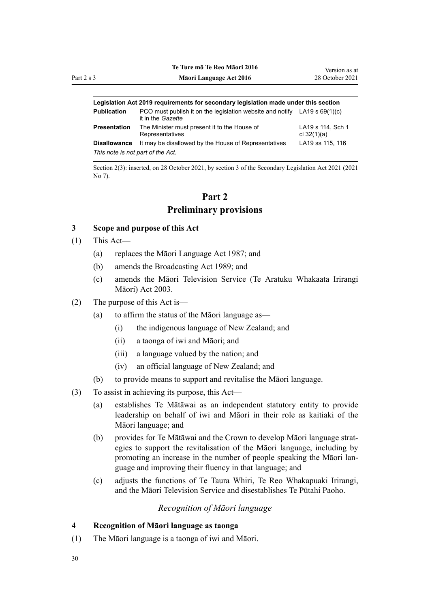|                                   | Legislation Act 2019 requirements for secondary legislation made under this section              |                                    |
|-----------------------------------|--------------------------------------------------------------------------------------------------|------------------------------------|
| <b>Publication</b>                | PCO must publish it on the legislation website and notify LA19 s $69(1)(c)$<br>it in the Gazette |                                    |
| Presentation                      | The Minister must present it to the House of<br>Representatives                                  | LA19 s 114, Sch 1<br>cl $32(1)(a)$ |
| <b>Disallowance</b>               | It may be disallowed by the House of Representatives                                             | LA19 ss 115, 116                   |
| This note is not part of the Act. |                                                                                                  |                                    |

Section 2(3): inserted, on 28 October 2021, by [section 3](http://legislation.govt.nz/pdflink.aspx?id=LMS268932) of the Secondary Legislation Act 2021 (2021 No 7).

## **Part 2 Preliminary provisions**

### **3 Scope and purpose of this Act**

- (1) This Act—
	- (a) replaces the [Māori Language Act 1987](http://legislation.govt.nz/pdflink.aspx?id=DLM124115); and
	- (b) amends the [Broadcasting Act 1989](http://legislation.govt.nz/pdflink.aspx?id=DLM155364); and
	- (c) amends the [Māori Television Service \(Te Aratuku Whakaata Irirangi](http://legislation.govt.nz/pdflink.aspx?id=DLM193695) [Māori\) Act 2003.](http://legislation.govt.nz/pdflink.aspx?id=DLM193695)
- (2) The purpose of this Act is—
	- (a) to affirm the status of the Māori language as—
		- (i) the indigenous language of New Zealand; and
		- (ii) a taonga of iwi and Māori; and
		- (iii) a language valued by the nation; and
		- (iv) an official language of New Zealand; and
	- (b) to provide means to support and revitalise the Māori language.
- (3) To assist in achieving its purpose, this Act—
	- (a) establishes Te Mātāwai as an independent statutory entity to provide leadership on behalf of iwi and Māori in their role as kaitiaki of the Māori language; and
	- (b) provides for Te Mātāwai and the Crown to develop Māori language strat‐ egies to support the revitalisation of the Māori language, including by promoting an increase in the number of people speaking the Māori lan‐ guage and improving their fluency in that language; and
	- (c) adjusts the functions of Te Taura Whiri, Te Reo Whakapuaki Irirangi, and the Māori Television Service and disestablishes Te Pūtahi Paoho.

### *Recognition of Māori language*

## **4 Recognition of Māori language as taonga**

(1) The Māori language is a taonga of iwi and Māori.

<span id="page-29-0"></span>Part  $2s$  3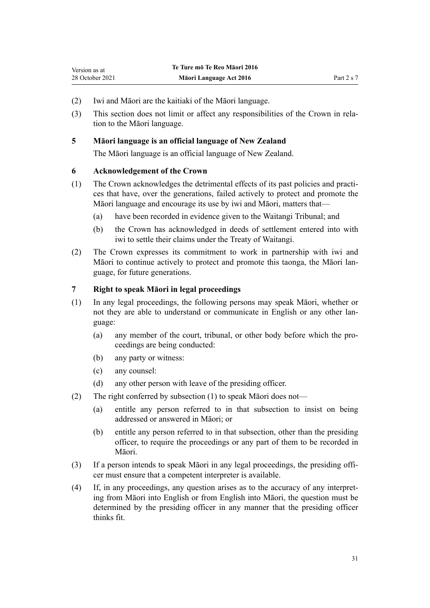- <span id="page-30-0"></span>(2) Iwi and Māori are the kaitiaki of the Māori language.
- (3) This section does not limit or affect any responsibilities of the Crown in rela‐ tion to the Māori language.

### **5 Māori language is an official language of New Zealand**

The Māori language is an official language of New Zealand.

### **6 Acknowledgement of the Crown**

- (1) The Crown acknowledges the detrimental effects of its past policies and practi‐ ces that have, over the generations, failed actively to protect and promote the Māori language and encourage its use by iwi and Māori, matters that—
	- (a) have been recorded in evidence given to the Waitangi Tribunal; and
	- (b) the Crown has acknowledged in deeds of settlement entered into with iwi to settle their claims under the [Treaty of Waitangi.](http://legislation.govt.nz/pdflink.aspx?id=DLM435834)
- (2) The Crown expresses its commitment to work in partnership with iwi and Māori to continue actively to protect and promote this taonga, the Māori lan‐ guage, for future generations.

### **7 Right to speak Māori in legal proceedings**

- (1) In any legal proceedings, the following persons may speak Māori, whether or not they are able to understand or communicate in English or any other language:
	- (a) any member of the court, tribunal, or other body before which the pro‐ ceedings are being conducted:
	- (b) any party or witness:
	- (c) any counsel:
	- (d) any other person with leave of the presiding officer.
- (2) The right conferred by subsection (1) to speak Māori does not—
	- (a) entitle any person referred to in that subsection to insist on being addressed or answered in Māori; or
	- (b) entitle any person referred to in that subsection, other than the presiding officer, to require the proceedings or any part of them to be recorded in Māori.
- (3) If a person intends to speak Māori in any legal proceedings, the presiding offi‐ cer must ensure that a competent interpreter is available.
- (4) If, in any proceedings, any question arises as to the accuracy of any interpret‐ ing from Māori into English or from English into Māori, the question must be determined by the presiding officer in any manner that the presiding officer thinks fit.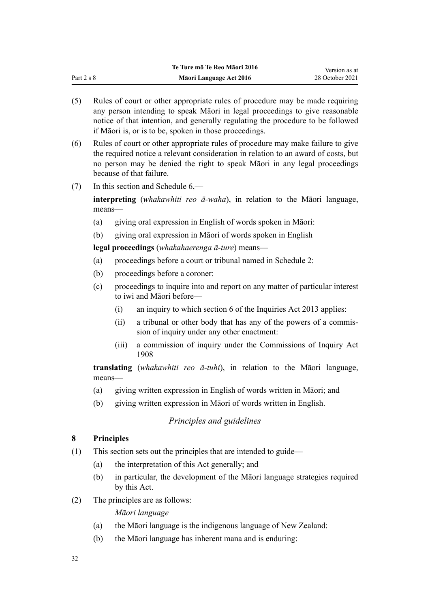<span id="page-31-0"></span>

|              | Te Ture mō Te Reo Māori 2016 | Version as at   |
|--------------|------------------------------|-----------------|
| Part $2 s 8$ | Māori Language Act 2016      | 28 October 2021 |

- (5) Rules of court or other appropriate rules of procedure may be made requiring any person intending to speak Māori in legal proceedings to give reasonable notice of that intention, and generally regulating the procedure to be followed if Māori is, or is to be, spoken in those proceedings.
- (6) Rules of court or other appropriate rules of procedure may make failure to give the required notice a relevant consideration in relation to an award of costs, but no person may be denied the right to speak Māori in any legal proceedings because of that failure.
- (7) In this section and [Schedule 6,](#page-102-0)—

**interpreting** (*whakawhiti reo ā-waha*), in relation to the Māori language, means—

- (a) giving oral expression in English of words spoken in Māori:
- (b) giving oral expression in Māori of words spoken in English

**legal proceedings** (*whakahaerenga ā-ture*) means—

- (a) proceedings before a court or tribunal named in [Schedule 2:](#page-84-0)
- (b) proceedings before a coroner:
- (c) proceedings to inquire into and report on any matter of particular interest to iwi and Māori before—
	- (i) an inquiry to which [section 6](http://legislation.govt.nz/pdflink.aspx?id=DLM1566136) of the Inquiries Act 2013 applies:
	- (ii) a tribunal or other body that has any of the powers of a commis‐ sion of inquiry under any other enactment:
	- (iii) a commission of inquiry under the [Commissions of Inquiry Act](http://legislation.govt.nz/pdflink.aspx?id=DLM139130) [1908](http://legislation.govt.nz/pdflink.aspx?id=DLM139130)

**translating** (*whakawhiti reo ā-tuhi*), in relation to the Māori language, means—

- (a) giving written expression in English of words written in Māori; and
- (b) giving written expression in Māori of words written in English.

### *Principles and guidelines*

## **8 Principles**

- (1) This section sets out the principles that are intended to guide—
	- (a) the interpretation of this Act generally; and
	- (b) in particular, the development of the Māori language strategies required by this Act.
- (2) The principles are as follows:

*Māori language*

- (a) the Māori language is the indigenous language of New Zealand:
- (b) the Māori language has inherent mana and is enduring: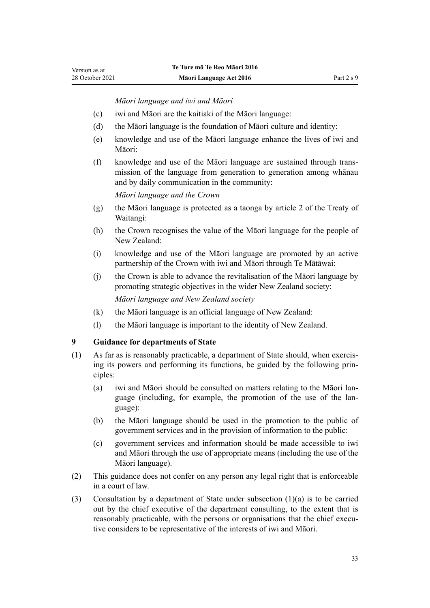*Māori language and iwi and Māori*

- <span id="page-32-0"></span>(c) iwi and Māori are the kaitiaki of the Māori language:
- (d) the Māori language is the foundation of Māori culture and identity:
- (e) knowledge and use of the Māori language enhance the lives of iwi and Māori:
- (f) knowledge and use of the Māori language are sustained through trans‐ mission of the language from generation to generation among whānau and by daily communication in the community:

*Māori language and the Crown*

- (g) the Māori language is protected as a taonga by article 2 of the [Treaty of](http://legislation.govt.nz/pdflink.aspx?id=DLM435834) [Waitangi](http://legislation.govt.nz/pdflink.aspx?id=DLM435834):
- (h) the Crown recognises the value of the Māori language for the people of New Zealand:
- (i) knowledge and use of the Māori language are promoted by an active partnership of the Crown with iwi and Māori through Te Mātāwai:
- (j) the Crown is able to advance the revitalisation of the Māori language by promoting strategic objectives in the wider New Zealand society: *Māori language and New Zealand society*
- (k) the Māori language is an official language of New Zealand:
- (l) the Māori language is important to the identity of New Zealand.

### **9 Guidance for departments of State**

- (1) As far as is reasonably practicable, a department of State should, when exercis‐ ing its powers and performing its functions, be guided by the following prin‐ ciples:
	- (a) iwi and Māori should be consulted on matters relating to the Māori lan‐ guage (including, for example, the promotion of the use of the language):
	- (b) the Māori language should be used in the promotion to the public of government services and in the provision of information to the public:
	- (c) government services and information should be made accessible to iwi and Māori through the use of appropriate means (including the use of the Māori language).
- (2) This guidance does not confer on any person any legal right that is enforceable in a court of law.
- (3) Consultation by a department of State under subsection (1)(a) is to be carried out by the chief executive of the department consulting, to the extent that is reasonably practicable, with the persons or organisations that the chief executive considers to be representative of the interests of iwi and Māori.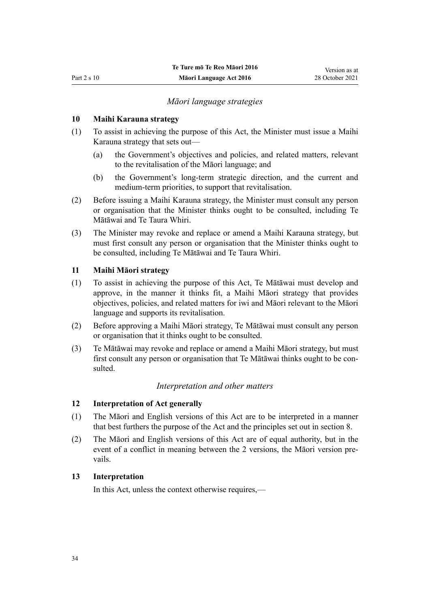### *Māori language strategies*

### <span id="page-33-0"></span>**10 Maihi Karauna strategy**

- (1) To assist in achieving the purpose of this Act, the Minister must issue a Maihi Karauna strategy that sets out—
	- (a) the Government's objectives and policies, and related matters, relevant to the revitalisation of the Māori language; and
	- (b) the Government's long-term strategic direction, and the current and medium-term priorities, to support that revitalisation.
- (2) Before issuing a Maihi Karauna strategy, the Minister must consult any person or organisation that the Minister thinks ought to be consulted, including Te Mātāwai and Te Taura Whiri.
- (3) The Minister may revoke and replace or amend a Maihi Karauna strategy, but must first consult any person or organisation that the Minister thinks ought to be consulted, including Te Mātāwai and Te Taura Whiri.

### **11 Maihi Māori strategy**

- (1) To assist in achieving the purpose of this Act, Te Mātāwai must develop and approve, in the manner it thinks fit, a Maihi Māori strategy that provides objectives, policies, and related matters for iwi and Māori relevant to the Māori language and supports its revitalisation.
- (2) Before approving a Maihi Māori strategy, Te Mātāwai must consult any person or organisation that it thinks ought to be consulted.
- (3) Te Mātāwai may revoke and replace or amend a Maihi Māori strategy, but must first consult any person or organisation that Te Mātāwai thinks ought to be consulted.

### *Interpretation and other matters*

### **12 Interpretation of Act generally**

- (1) The Māori and English versions of this Act are to be interpreted in a manner that best furthers the purpose of the Act and the principles set out in [section 8](#page-31-0).
- (2) The Māori and English versions of this Act are of equal authority, but in the event of a conflict in meaning between the 2 versions, the Māori version prevails.

#### **13 Interpretation**

In this Act, unless the context otherwise requires,—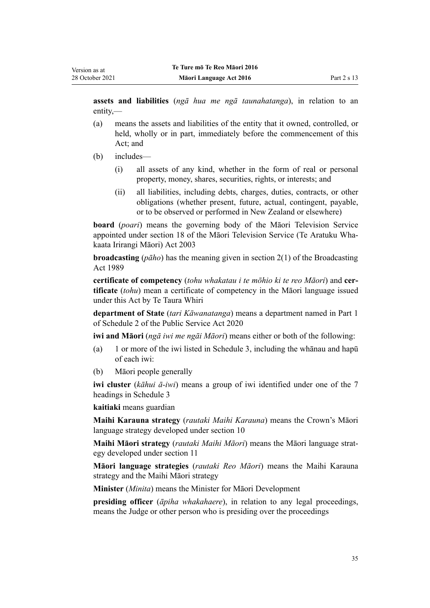**assets and liabilities** (*ngā hua me ngā taunahatanga*), in relation to an entity,—

- (a) means the assets and liabilities of the entity that it owned, controlled, or held, wholly or in part, immediately before the commencement of this Act; and
- (b) includes—
	- (i) all assets of any kind, whether in the form of real or personal property, money, shares, securities, rights, or interests; and
	- (ii) all liabilities, including debts, charges, duties, contracts, or other obligations (whether present, future, actual, contingent, payable, or to be observed or performed in New Zealand or elsewhere)

**board** (*poari*) means the governing body of the Māori Television Service appointed under [section 18](http://legislation.govt.nz/pdflink.aspx?id=DLM194360) of the Māori Television Service (Te Aratuku Wha‐ kaata Irirangi Māori) Act 2003

**broadcasting** (*pāho*) has the meaning given in [section 2\(1\)](http://legislation.govt.nz/pdflink.aspx?id=DLM155371) of the Broadcasting Act 1989

**certificate of competency** (*tohu whakatau i te mōhio ki te reo Māori*) and **cer‐ tificate** (*tohu*) mean a certificate of competency in the Māori language issued under this Act by Te Taura Whiri

**department of State** (*tari Kāwanatanga*) means a department named in [Part 1](http://legislation.govt.nz/pdflink.aspx?id=LMS207452) of Schedule 2 of the Public Service Act 2020

**iwi and Māori** (*ngā iwi me ngāi Māori*) means either or both of the following:

- (a) 1 or more of the iwi listed in [Schedule 3,](#page-85-0) including the whānau and hapū of each iwi:
- (b) Māori people generally

**iwi cluster** (*kāhui ā-iwi*) means a group of iwi identified under one of the 7 headings in [Schedule 3](#page-85-0)

**kaitiaki** means guardian

**Maihi Karauna strategy** (*rautaki Maihi Karauna*) means the Crown's Māori language strategy developed under [section 10](#page-33-0)

**Maihi Māori strategy** (*rautaki Maihi Māori*) means the Māori language strat‐ egy developed under [section 11](#page-33-0)

**Māori language strategies** (*rautaki Reo Māori*) means the Maihi Karauna strategy and the Maihi Māori strategy

**Minister** (*Minita*) means the Minister for Māori Development

**presiding officer** (*āpiha whakahaere*), in relation to any legal proceedings, means the Judge or other person who is presiding over the proceedings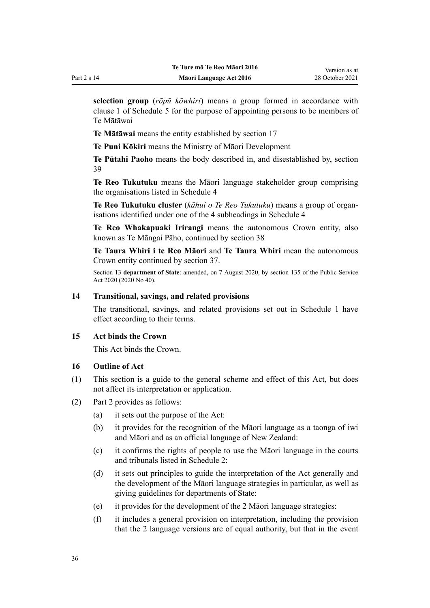<span id="page-35-0"></span>**selection group** (*rōpū kōwhiri*) means a group formed in accordance with [clause 1](#page-91-0) of Schedule 5 for the purpose of appointing persons to be members of Te Mātāwai

**Te Mātāwai** means the entity established by [section 17](#page-37-0)

**Te Puni Kōkiri** means the Ministry of Māori Development

**Te Pūtahi Paoho** means the body described in, and disestablished by, [section](#page-45-0) [39](#page-45-0)

**Te Reo Tukutuku** means the Māori language stakeholder group comprising the organisations listed in [Schedule 4](#page-89-0)

**Te Reo Tukutuku cluster** (*kāhui o Te Reo Tukutuku*) means a group of organ‐ isations identified under one of the 4 subheadings in [Schedule 4](#page-89-0)

**Te Reo Whakapuaki Irirangi** means the autonomous Crown entity, also known as Te Māngai Pāho, continued by [section 38](#page-45-0)

**Te Taura Whiri i te Reo Māori** and **Te Taura Whiri** mean the autonomous Crown entity continued by [section 37.](#page-45-0)

Section 13 **department of State**: amended, on 7 August 2020, by [section 135](http://legislation.govt.nz/pdflink.aspx?id=LMS176959) of the Public Service Act 2020 (2020 No 40).

### **14 Transitional, savings, and related provisions**

The transitional, savings, and related provisions set out in [Schedule 1](#page-82-0) have effect according to their terms.

### **15 Act binds the Crown**

This Act binds the Crown.

### **16 Outline of Act**

- (1) This section is a guide to the general scheme and effect of this Act, but does not affect its interpretation or application.
- (2) [Part 2](#page-29-0) provides as follows:
	- (a) it sets out the purpose of the Act:
	- (b) it provides for the recognition of the Māori language as a taonga of iwi and Māori and as an official language of New Zealand:
	- (c) it confirms the rights of people to use the Māori language in the courts and tribunals listed in [Schedule 2](#page-84-0):
	- (d) it sets out principles to guide the interpretation of the Act generally and the development of the Māori language strategies in particular, as well as giving guidelines for departments of State:
	- (e) it provides for the development of the 2 Māori language strategies:
	- (f) it includes a general provision on interpretation, including the provision that the 2 language versions are of equal authority, but that in the event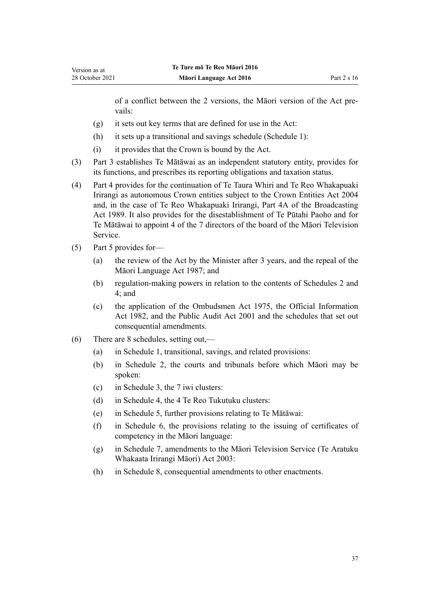of a conflict between the 2 versions, the Māori version of the Act pre‐ vails:

- (g) it sets out key terms that are defined for use in the Act:
- (h) it sets up a transitional and savings schedule [\(Schedule 1](#page-82-0)):
- (i) it provides that the Crown is bound by the Act.
- (3) [Part 3](#page-37-0) establishes Te Mātāwai as an independent statutory entity, provides for its functions, and prescribes its reporting obligations and taxation status.
- (4) [Part 4](#page-45-0) provides for the continuation of Te Taura Whiri and Te Reo Whakapuaki Irirangi as autonomous Crown entities subject to the [Crown Entities Act 2004](http://legislation.govt.nz/pdflink.aspx?id=DLM329630) and, in the case of Te Reo Whakapuaki Irirangi, [Part 4A](http://legislation.govt.nz/pdflink.aspx?id=DLM158054) of the Broadcasting Act 1989. It also provides for the disestablishment of Te Pūtahi Paoho and for Te Mātāwai to appoint 4 of the 7 directors of the board of the Māori Television Service.
- (5) [Part 5](#page-48-0) provides for—
	- (a) the review of the Act by the Minister after 3 years, and the repeal of the [Māori Language Act 1987;](http://legislation.govt.nz/pdflink.aspx?id=DLM124115) and
	- (b) regulation-making powers in relation to the contents of [Schedules 2](#page-84-0) and [4;](#page-89-0) and
	- (c) the application of the [Ombudsmen Act 1975,](http://legislation.govt.nz/pdflink.aspx?id=DLM430983) the [Official Information](http://legislation.govt.nz/pdflink.aspx?id=DLM64784) [Act 1982,](http://legislation.govt.nz/pdflink.aspx?id=DLM64784) and the [Public Audit Act 2001](http://legislation.govt.nz/pdflink.aspx?id=DLM88540) and the schedules that set out consequential amendments.
- (6) There are 8 schedules, setting out,—
	- (a) in [Schedule 1,](#page-82-0) transitional, savings, and related provisions:
	- (b) in [Schedule 2](#page-84-0), the courts and tribunals before which Māori may be spoken:
	- (c) in [Schedule 3,](#page-85-0) the 7 iwi clusters:
	- (d) in [Schedule 4,](#page-89-0) the 4 Te Reo Tukutuku clusters:
	- (e) in [Schedule 5,](#page-90-0) further provisions relating to Te Mātāwai:
	- (f) in [Schedule 6](#page-102-0), the provisions relating to the issuing of certificates of competency in the Māori language:
	- (g) in [Schedule 7,](#page-105-0) amendments to the [Māori Television Service \(Te Aratuku](http://legislation.govt.nz/pdflink.aspx?id=DLM193695) [Whakaata Irirangi Māori\) Act 2003:](http://legislation.govt.nz/pdflink.aspx?id=DLM193695)
	- (h) in [Schedule 8,](#page-109-0) consequential amendments to other enactments.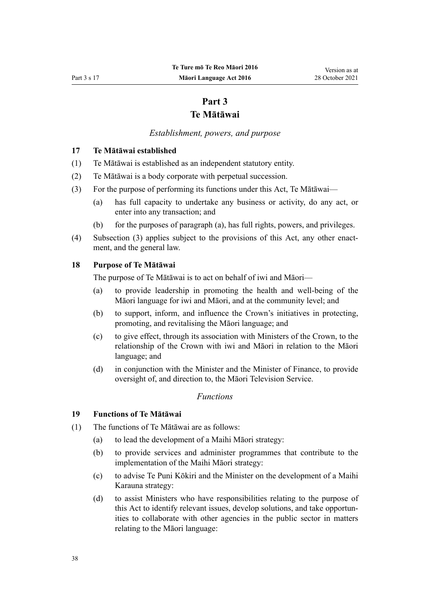# **Part 3 Te Mātāwai**

## *Establishment, powers, and purpose*

## <span id="page-37-0"></span>**17 Te Mātāwai established**

- (1) Te Mātāwai is established as an independent statutory entity.
- (2) Te Mātāwai is a body corporate with perpetual succession.
- (3) For the purpose of performing its functions under this Act, Te Mātāwai—
	- (a) has full capacity to undertake any business or activity, do any act, or enter into any transaction; and
	- (b) for the purposes of paragraph (a), has full rights, powers, and privileges.
- (4) Subsection (3) applies subject to the provisions of this Act, any other enactment, and the general law.

## **18 Purpose of Te Mātāwai**

The purpose of Te Mātāwai is to act on behalf of iwi and Māori—

- (a) to provide leadership in promoting the health and well-being of the Māori language for iwi and Māori, and at the community level; and
- (b) to support, inform, and influence the Crown's initiatives in protecting, promoting, and revitalising the Māori language; and
- (c) to give effect, through its association with Ministers of the Crown, to the relationship of the Crown with iwi and Māori in relation to the Māori language; and
- (d) in conjunction with the Minister and the Minister of Finance, to provide oversight of, and direction to, the Māori Television Service.

## *Functions*

## **19 Functions of Te Mātāwai**

- (1) The functions of Te Mātāwai are as follows:
	- (a) to lead the development of a Maihi Māori strategy:
	- (b) to provide services and administer programmes that contribute to the implementation of the Maihi Māori strategy:
	- (c) to advise Te Puni Kōkiri and the Minister on the development of a Maihi Karauna strategy:
	- (d) to assist Ministers who have responsibilities relating to the purpose of this Act to identify relevant issues, develop solutions, and take opportun‐ ities to collaborate with other agencies in the public sector in matters relating to the Māori language: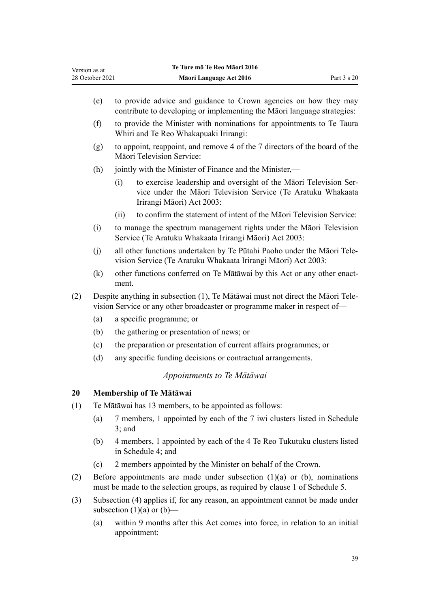<span id="page-38-0"></span>

| (e)                                                                                                                                                         | to provide advice and guidance to Crown agencies on how they may<br>contribute to developing or implementing the Māori language strategies:                           |
|-------------------------------------------------------------------------------------------------------------------------------------------------------------|-----------------------------------------------------------------------------------------------------------------------------------------------------------------------|
| (f)                                                                                                                                                         | to provide the Minister with nominations for appointments to Te Taura<br>Whiri and Te Reo Whakapuaki Irirangi:                                                        |
| (g)                                                                                                                                                         | to appoint, reappoint, and remove 4 of the 7 directors of the board of the<br>Māori Television Service:                                                               |
| (h)                                                                                                                                                         | jointly with the Minister of Finance and the Minister,—                                                                                                               |
|                                                                                                                                                             | to exercise leadership and oversight of the Māori Television Ser-<br>(i)<br>vice under the Māori Television Service (Te Aratuku Whakaata<br>Irirangi Māori) Act 2003: |
|                                                                                                                                                             | to confirm the statement of intent of the Māori Television Service:<br>(ii)                                                                                           |
| (i)                                                                                                                                                         | to manage the spectrum management rights under the Maori Television<br>Service (Te Aratuku Whakaata Irirangi Māori) Act 2003:                                         |
| (j)                                                                                                                                                         | all other functions undertaken by Te Pūtahi Paoho under the Māori Tele-<br>vision Service (Te Aratuku Whakaata Irirangi Māori) Act 2003:                              |
| (k)                                                                                                                                                         | other functions conferred on Te Mātāwai by this Act or any other enact-<br>ment.                                                                                      |
| Despite anything in subsection (1), Te Mātāwai must not direct the Māori Tele-<br>vision Service or any other broadcaster or programme maker in respect of- |                                                                                                                                                                       |
| (a)                                                                                                                                                         | a specific programme; or                                                                                                                                              |
| (b)                                                                                                                                                         | the gathering or presentation of news; or                                                                                                                             |
| (c)                                                                                                                                                         | the preparation or presentation of current affairs programmes; or                                                                                                     |
| (d)                                                                                                                                                         | any specific funding decisions or contractual arrangements.                                                                                                           |
|                                                                                                                                                             | Appointments to Te Mātāwai                                                                                                                                            |
|                                                                                                                                                             | Membership of Te Mātāwai                                                                                                                                              |
|                                                                                                                                                             | Te Mātāwai has 13 members, to be appointed as follows:                                                                                                                |
|                                                                                                                                                             |                                                                                                                                                                       |

- (a) 7 members, 1 appointed by each of the 7 iwi clusters listed in [Schedule](#page-85-0) [3;](#page-85-0) and
- (b) 4 members, 1 appointed by each of the 4 Te Reo Tukutuku clusters listed in [Schedule 4;](#page-89-0) and
- (c) 2 members appointed by the Minister on behalf of the Crown.
- (2) Before appointments are made under subsection (1)(a) or (b), nominations must be made to the selection groups, as required by [clause 1](#page-91-0) of Schedule 5.
- (3) Subsection (4) applies if, for any reason, an appointment cannot be made under subsection  $(1)(a)$  or  $(b)$ —
	- (a) within 9 months after this Act comes into force, in relation to an initial appointment: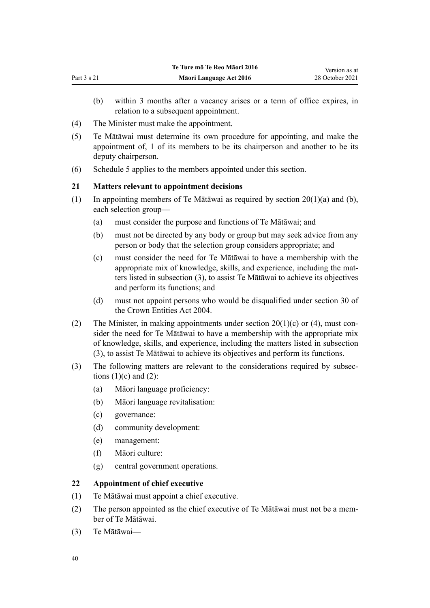- <span id="page-39-0"></span>(b) within 3 months after a vacancy arises or a term of office expires, in relation to a subsequent appointment.
- (4) The Minister must make the appointment.
- (5) Te Mātāwai must determine its own procedure for appointing, and make the appointment of, 1 of its members to be its chairperson and another to be its deputy chairperson.
- (6) [Schedule 5](#page-90-0) applies to the members appointed under this section.

# **21 Matters relevant to appointment decisions**

- (1) In appointing members of Te Mātāwai as required by section  $20(1)(a)$  and (b), each selection group—
	- (a) must consider the purpose and functions of Te Mātāwai; and
	- (b) must not be directed by any body or group but may seek advice from any person or body that the selection group considers appropriate; and
	- (c) must consider the need for Te Mātāwai to have a membership with the appropriate mix of knowledge, skills, and experience, including the matters listed in subsection (3), to assist Te Mātāwai to achieve its objectives and perform its functions; and
	- (d) must not appoint persons who would be disqualified under [section 30](http://legislation.govt.nz/pdflink.aspx?id=DLM329956) of the Crown Entities Act 2004.
- (2) The Minister, in making appointments under section  $20(1)(c)$  or (4), must consider the need for Te Mātāwai to have a membership with the appropriate mix of knowledge, skills, and experience, including the matters listed in subsection (3), to assist Te Mātāwai to achieve its objectives and perform its functions.
- (3) The following matters are relevant to the considerations required by subsec‐ tions  $(1)(c)$  and  $(2)$ :
	- (a) Māori language proficiency:
	- (b) Māori language revitalisation:
	- (c) governance:
	- (d) community development:
	- (e) management:
	- (f) Māori culture:
	- (g) central government operations.

## **22 Appointment of chief executive**

- (1) Te Mātāwai must appoint a chief executive.
- (2) The person appointed as the chief executive of Te Mātāwai must not be a mem‐ ber of Te Mātāwai.
- (3) Te Mātāwai—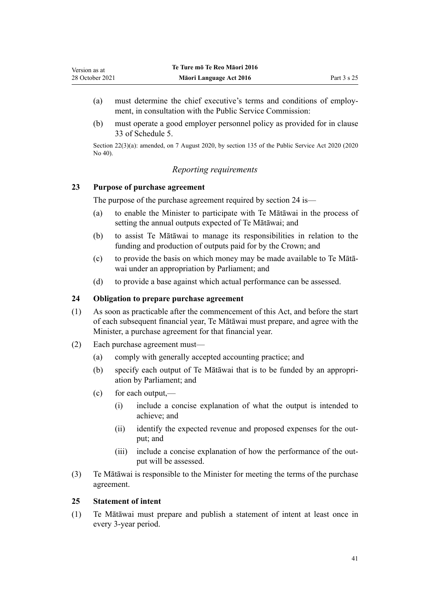- <span id="page-40-0"></span>(a) must determine the chief executive's terms and conditions of employ‐ ment, in consultation with the Public Service Commission:
- (b) must operate a good employer personnel policy as provided for in [clause](#page-101-0) [33](#page-101-0) of Schedule 5.

Section 22(3)(a): amended, on 7 August 2020, by [section 135](http://legislation.govt.nz/pdflink.aspx?id=LMS176959) of the Public Service Act 2020 (2020 No 40).

## *Reporting requirements*

## **23 Purpose of purchase agreement**

The purpose of the purchase agreement required by section 24 is—

- (a) to enable the Minister to participate with Te Mātāwai in the process of setting the annual outputs expected of Te Mātāwai; and
- (b) to assist Te Mātāwai to manage its responsibilities in relation to the funding and production of outputs paid for by the Crown; and
- (c) to provide the basis on which money may be made available to Te Mātā‐ wai under an appropriation by Parliament; and
- (d) to provide a base against which actual performance can be assessed.

## **24 Obligation to prepare purchase agreement**

- (1) As soon as practicable after the commencement of this Act, and before the start of each subsequent financial year, Te Mātāwai must prepare, and agree with the Minister, a purchase agreement for that financial year.
- (2) Each purchase agreement must—
	- (a) comply with generally accepted accounting practice; and
	- (b) specify each output of Te Mātāwai that is to be funded by an appropri‐ ation by Parliament; and
	- $(c)$  for each output,—
		- (i) include a concise explanation of what the output is intended to achieve; and
		- (ii) identify the expected revenue and proposed expenses for the output; and
		- (iii) include a concise explanation of how the performance of the output will be assessed.
- (3) Te Mātāwai is responsible to the Minister for meeting the terms of the purchase agreement.

### **25 Statement of intent**

(1) Te Mātāwai must prepare and publish a statement of intent at least once in every 3-year period.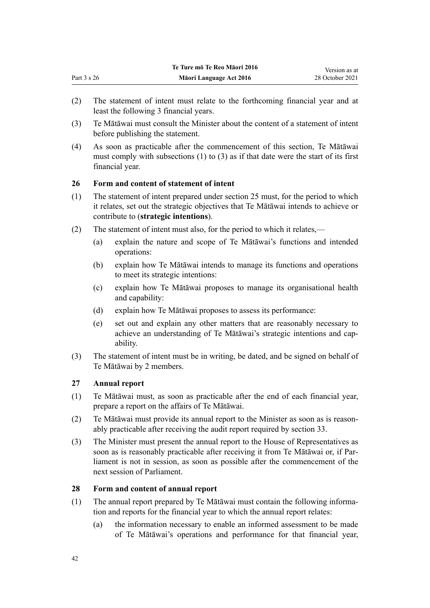- (2) The statement of intent must relate to the forthcoming financial year and at least the following 3 financial years.
- (3) Te Mātāwai must consult the Minister about the content of a statement of intent before publishing the statement.
- (4) As soon as practicable after the commencement of this section, Te Mātāwai must comply with subsections (1) to (3) as if that date were the start of its first financial year.

## **26 Form and content of statement of intent**

- (1) The statement of intent prepared under [section 25](#page-40-0) must, for the period to which it relates, set out the strategic objectives that Te Mātāwai intends to achieve or contribute to (**strategic intentions**).
- (2) The statement of intent must also, for the period to which it relates,—
	- (a) explain the nature and scope of Te Mātāwai's functions and intended operations:
	- (b) explain how Te Mātāwai intends to manage its functions and operations to meet its strategic intentions:
	- (c) explain how Te Mātāwai proposes to manage its organisational health and capability:
	- (d) explain how Te Mātāwai proposes to assess its performance:
	- (e) set out and explain any other matters that are reasonably necessary to achieve an understanding of Te Mātāwai's strategic intentions and cap‐ ability.
- (3) The statement of intent must be in writing, be dated, and be signed on behalf of Te Mātāwai by 2 members.

## **27 Annual report**

- (1) Te Mātāwai must, as soon as practicable after the end of each financial year, prepare a report on the affairs of Te Mātāwai.
- (2) Te Mātāwai must provide its annual report to the Minister as soon as is reason‐ ably practicable after receiving the audit report required by [section 33](#page-44-0).
- (3) The Minister must present the annual report to the House of Representatives as soon as is reasonably practicable after receiving it from Te Mātāwai or, if Parliament is not in session, as soon as possible after the commencement of the next session of Parliament.

## **28 Form and content of annual report**

- (1) The annual report prepared by Te Mātāwai must contain the following informa‐ tion and reports for the financial year to which the annual report relates:
	- (a) the information necessary to enable an informed assessment to be made of Te Mātāwai's operations and performance for that financial year,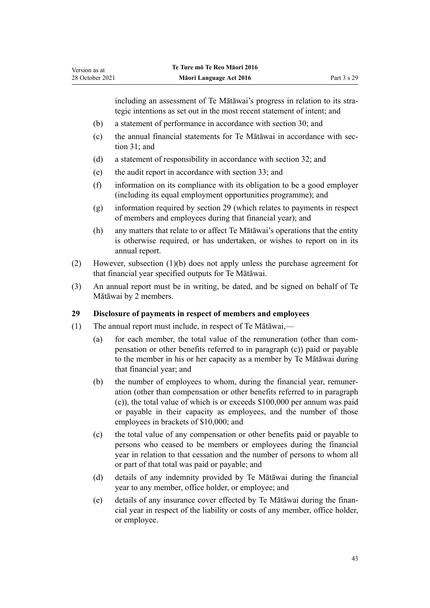including an assessment of Te Mātāwai's progress in relation to its strategic intentions as set out in the most recent statement of intent; and

- (b) a statement of performance in accordance with [section 30](#page-43-0); and
- (c) the annual financial statements for Te Mātāwai in accordance with [sec‐](#page-43-0) [tion 31](#page-43-0); and
- (d) a statement of responsibility in accordance with [section 32;](#page-43-0) and
- (e) the audit report in accordance with [section 33](#page-44-0); and
- (f) information on its compliance with its obligation to be a good employer (including its equal employment opportunities programme); and
- (g) information required by section 29 (which relates to payments in respect of members and employees during that financial year); and
- (h) any matters that relate to or affect Te Mātāwai's operations that the entity is otherwise required, or has undertaken, or wishes to report on in its annual report.
- (2) However, subsection (1)(b) does not apply unless the purchase agreement for that financial year specified outputs for Te Mātāwai.
- (3) An annual report must be in writing, be dated, and be signed on behalf of Te Mātāwai by 2 members.

# **29 Disclosure of payments in respect of members and employees**

- (1) The annual report must include, in respect of Te Mātāwai,—
	- (a) for each member, the total value of the remuneration (other than compensation or other benefits referred to in paragraph (c)) paid or payable to the member in his or her capacity as a member by Te Mātāwai during that financial year; and
	- (b) the number of employees to whom, during the financial year, remuneration (other than compensation or other benefits referred to in paragraph (c)), the total value of which is or exceeds \$100,000 per annum was paid or payable in their capacity as employees, and the number of those employees in brackets of \$10,000; and
	- (c) the total value of any compensation or other benefits paid or payable to persons who ceased to be members or employees during the financial year in relation to that cessation and the number of persons to whom all or part of that total was paid or payable; and
	- (d) details of any indemnity provided by Te Mātāwai during the financial year to any member, office holder, or employee; and
	- (e) details of any insurance cover effected by Te Mātāwai during the finan‐ cial year in respect of the liability or costs of any member, office holder, or employee.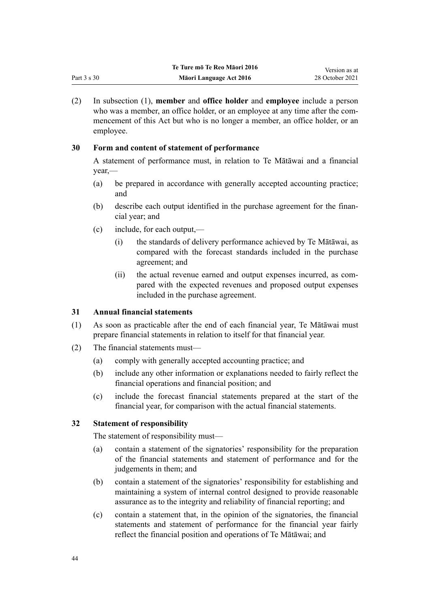<span id="page-43-0"></span>

|             | Te Ture mō Te Reo Māori 2016 | Version as at   |
|-------------|------------------------------|-----------------|
| Part 3 s 30 | Māori Language Act 2016      | 28 October 2021 |

(2) In subsection (1), **member** and **office holder** and **employee** include a person who was a member, an office holder, or an employee at any time after the commencement of this Act but who is no longer a member, an office holder, or an employee.

## **30 Form and content of statement of performance**

A statement of performance must, in relation to Te Mātāwai and a financial year,—

- (a) be prepared in accordance with generally accepted accounting practice; and
- (b) describe each output identified in the purchase agreement for the financial year; and
- (c) include, for each output,—
	- (i) the standards of delivery performance achieved by Te Mātāwai, as compared with the forecast standards included in the purchase agreement; and
	- (ii) the actual revenue earned and output expenses incurred, as compared with the expected revenues and proposed output expenses included in the purchase agreement.

## **31 Annual financial statements**

- (1) As soon as practicable after the end of each financial year, Te Mātāwai must prepare financial statements in relation to itself for that financial year.
- (2) The financial statements must—
	- (a) comply with generally accepted accounting practice; and
	- (b) include any other information or explanations needed to fairly reflect the financial operations and financial position; and
	- (c) include the forecast financial statements prepared at the start of the financial year, for comparison with the actual financial statements.

## **32 Statement of responsibility**

The statement of responsibility must—

- (a) contain a statement of the signatories' responsibility for the preparation of the financial statements and statement of performance and for the judgements in them; and
- (b) contain a statement of the signatories' responsibility for establishing and maintaining a system of internal control designed to provide reasonable assurance as to the integrity and reliability of financial reporting; and
- (c) contain a statement that, in the opinion of the signatories, the financial statements and statement of performance for the financial year fairly reflect the financial position and operations of Te Mātāwai; and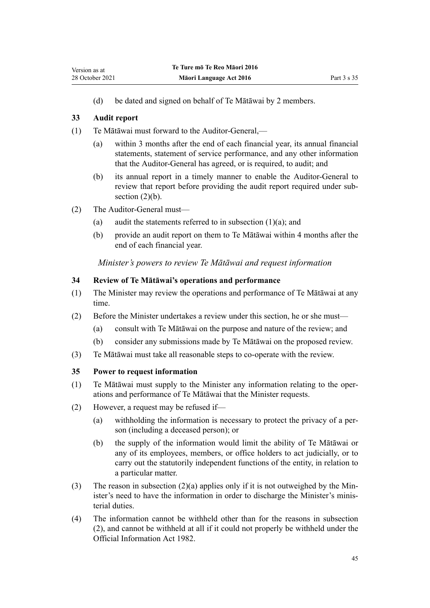(d) be dated and signed on behalf of Te Mātāwai by 2 members.

## **33 Audit report**

<span id="page-44-0"></span>Version as at

- (1) Te Mātāwai must forward to the Auditor-General,—
	- (a) within 3 months after the end of each financial year, its annual financial statements, statement of service performance, and any other information that the Auditor-General has agreed, or is required, to audit; and
	- (b) its annual report in a timely manner to enable the Auditor-General to review that report before providing the audit report required under subsection  $(2)(b)$ .
- (2) The Auditor-General must—
	- (a) audit the statements referred to in subsection  $(1)(a)$ ; and
	- (b) provide an audit report on them to Te Mātāwai within 4 months after the end of each financial year.

*Minister's powers to review Te Mātāwai and request information*

## **34 Review of Te Mātāwai's operations and performance**

- (1) The Minister may review the operations and performance of Te Mātāwai at any time.
- (2) Before the Minister undertakes a review under this section, he or she must—
	- (a) consult with Te Mātāwai on the purpose and nature of the review; and
	- (b) consider any submissions made by Te Mātāwai on the proposed review.
- (3) Te Mātāwai must take all reasonable steps to co-operate with the review.

## **35 Power to request information**

- (1) Te Mātāwai must supply to the Minister any information relating to the oper‐ ations and performance of Te Mātāwai that the Minister requests.
- (2) However, a request may be refused if—
	- (a) withholding the information is necessary to protect the privacy of a per‐ son (including a deceased person); or
	- (b) the supply of the information would limit the ability of Te Mātāwai or any of its employees, members, or office holders to act judicially, or to carry out the statutorily independent functions of the entity, in relation to a particular matter.
- (3) The reason in subsection  $(2)(a)$  applies only if it is not outweighed by the Minister's need to have the information in order to discharge the Minister's ministerial duties.
- (4) The information cannot be withheld other than for the reasons in subsection (2), and cannot be withheld at all if it could not properly be withheld under the [Official Information Act 1982.](http://legislation.govt.nz/pdflink.aspx?id=DLM64784)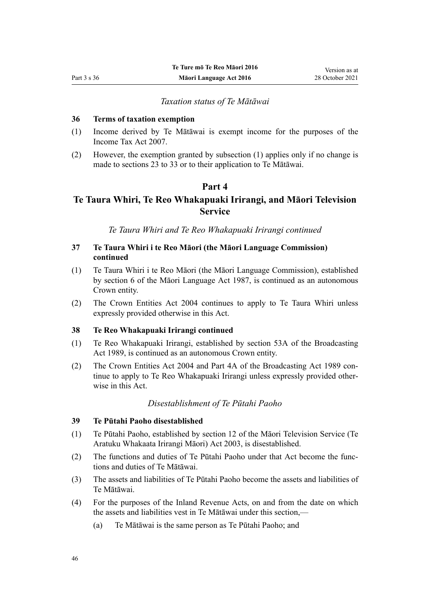#### *Taxation status of Te Mātāwai*

### <span id="page-45-0"></span>**36 Terms of taxation exemption**

- (1) Income derived by Te Mātāwai is exempt income for the purposes of the [Income Tax Act 2007](http://legislation.govt.nz/pdflink.aspx?id=DLM1512300).
- (2) However, the exemption granted by subsection (1) applies only if no change is made to [sections 23 to 33](#page-40-0) or to their application to Te Mātāwai.

## **Part 4**

# **Te Taura Whiri, Te Reo Whakapuaki Irirangi, and Māori Television Service**

*Te Taura Whiri and Te Reo Whakapuaki Irirangi continued*

## **37 Te Taura Whiri i te Reo Māori (the Māori Language Commission) continued**

- (1) Te Taura Whiri i te Reo Māori (the Māori Language Commission), established by [section 6](http://legislation.govt.nz/pdflink.aspx?id=DLM124146) of the Māori Language Act 1987, is continued as an autonomous Crown entity.
- (2) The [Crown Entities Act 2004](http://legislation.govt.nz/pdflink.aspx?id=DLM329630) continues to apply to Te Taura Whiri unless expressly provided otherwise in this Act.

#### **38 Te Reo Whakapuaki Irirangi continued**

- (1) Te Reo Whakapuaki Irirangi, established by [section 53A](http://legislation.govt.nz/pdflink.aspx?id=DLM158056) of the Broadcasting Act 1989, is continued as an autonomous Crown entity.
- (2) The [Crown Entities Act 2004](http://legislation.govt.nz/pdflink.aspx?id=DLM329630) and [Part 4A](http://legislation.govt.nz/pdflink.aspx?id=DLM158054) of the Broadcasting Act 1989 continue to apply to Te Reo Whakapuaki Irirangi unless expressly provided other‐ wise in this Act.

#### *Disestablishment of Te Pūtahi Paoho*

#### **39 Te Pūtahi Paoho disestablished**

- (1) Te Pūtahi Paoho, established by [section 12](http://legislation.govt.nz/pdflink.aspx?id=DLM194350) of the Māori Television Service (Te Aratuku Whakaata Irirangi Māori) Act 2003, is disestablished.
- (2) The functions and duties of Te Pūtahi Paoho under that Act become the func‐ tions and duties of Te Mātāwai.
- (3) The assets and liabilities of Te Pūtahi Paoho become the assets and liabilities of Te Mātāwai.
- (4) For the purposes of the Inland Revenue Acts, on and from the date on which the assets and liabilities vest in Te Mātāwai under this section,—
	- (a) Te Mātāwai is the same person as Te Pūtahi Paoho; and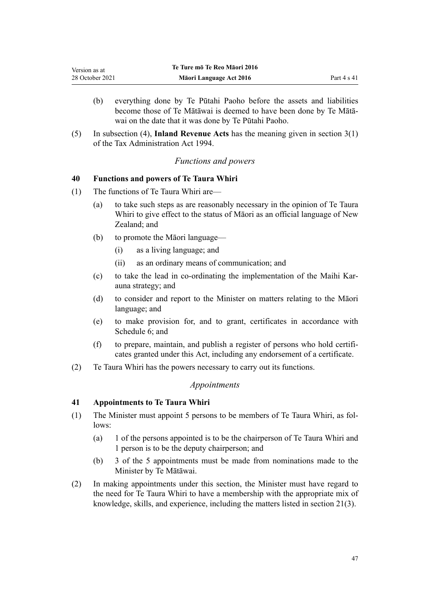- (b) everything done by Te Pūtahi Paoho before the assets and liabilities become those of Te Mātāwai is deemed to have been done by Te Mātā‐ wai on the date that it was done by Te Pūtahi Paoho.
- (5) In subsection (4), **Inland Revenue Acts** has the meaning given in [section 3\(1\)](http://legislation.govt.nz/pdflink.aspx?id=DLM348353) of the Tax Administration Act 1994.

## *Functions and powers*

## **40 Functions and powers of Te Taura Whiri**

- (1) The functions of Te Taura Whiri are—
	- (a) to take such steps as are reasonably necessary in the opinion of Te Taura Whiri to give effect to the status of Māori as an official language of New Zealand; and
	- (b) to promote the Māori language—
		- (i) as a living language; and
		- (ii) as an ordinary means of communication; and
	- (c) to take the lead in co-ordinating the implementation of the Maihi Kar‐ auna strategy; and
	- (d) to consider and report to the Minister on matters relating to the Māori language; and
	- (e) to make provision for, and to grant, certificates in accordance with [Schedule 6;](#page-102-0) and
	- (f) to prepare, maintain, and publish a register of persons who hold certifi‐ cates granted under this Act, including any endorsement of a certificate.
- (2) Te Taura Whiri has the powers necessary to carry out its functions.

#### *Appointments*

## **41 Appointments to Te Taura Whiri**

- (1) The Minister must appoint 5 persons to be members of Te Taura Whiri, as fol‐ lows:
	- (a) 1 of the persons appointed is to be the chairperson of Te Taura Whiri and 1 person is to be the deputy chairperson; and
	- (b) 3 of the 5 appointments must be made from nominations made to the Minister by Te Mātāwai.
- (2) In making appointments under this section, the Minister must have regard to the need for Te Taura Whiri to have a membership with the appropriate mix of knowledge, skills, and experience, including the matters listed in [section 21\(3\)](#page-39-0).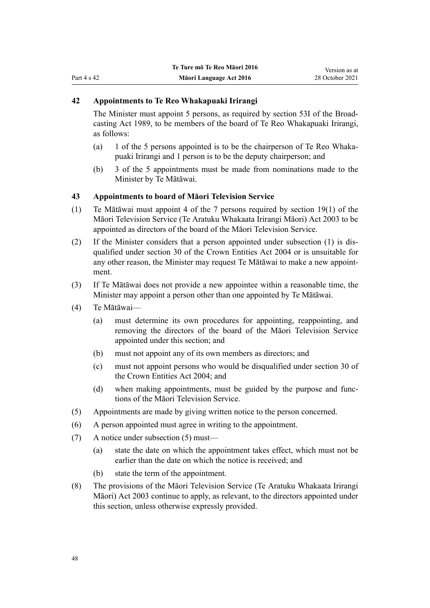## **42 Appointments to Te Reo Whakapuaki Irirangi**

The Minister must appoint 5 persons, as required by [section 53I](http://legislation.govt.nz/pdflink.aspx?id=DLM158077) of the Broad‐ casting Act 1989, to be members of the board of Te Reo Whakapuaki Irirangi, as follows:

- (a) 1 of the 5 persons appointed is to be the chairperson of Te Reo Whakapuaki Irirangi and 1 person is to be the deputy chairperson; and
- (b) 3 of the 5 appointments must be made from nominations made to the Minister by Te Mātāwai.

#### **43 Appointments to board of Māori Television Service**

- (1) Te Mātāwai must appoint 4 of the 7 persons required by [section 19\(1\)](http://legislation.govt.nz/pdflink.aspx?id=DLM194362) of the Māori Television Service (Te Aratuku Whakaata Irirangi Māori) Act 2003 to be appointed as directors of the board of the Māori Television Service.
- (2) If the Minister considers that a person appointed under subsection (1) is dis‐ qualified under [section 30](http://legislation.govt.nz/pdflink.aspx?id=DLM329956) of the Crown Entities Act 2004 or is unsuitable for any other reason, the Minister may request Te Mātāwai to make a new appoint‐ ment.
- (3) If Te Mātāwai does not provide a new appointee within a reasonable time, the Minister may appoint a person other than one appointed by Te Mātāwai.
- (4) Te Mātāwai—
	- (a) must determine its own procedures for appointing, reappointing, and removing the directors of the board of the Māori Television Service appointed under this section; and
	- (b) must not appoint any of its own members as directors; and
	- (c) must not appoint persons who would be disqualified under [section 30](http://legislation.govt.nz/pdflink.aspx?id=DLM329956) of the Crown Entities Act 2004; and
	- (d) when making appointments, must be guided by the purpose and functions of the Māori Television Service.
- (5) Appointments are made by giving written notice to the person concerned.
- (6) A person appointed must agree in writing to the appointment.
- (7) A notice under subsection (5) must—
	- (a) state the date on which the appointment takes effect, which must not be earlier than the date on which the notice is received; and
	- (b) state the term of the appointment.
- (8) The provisions of the [Māori Television Service \(Te Aratuku Whakaata Irirangi](http://legislation.govt.nz/pdflink.aspx?id=DLM193695) [Māori\) Act 2003](http://legislation.govt.nz/pdflink.aspx?id=DLM193695) continue to apply, as relevant, to the directors appointed under this section, unless otherwise expressly provided.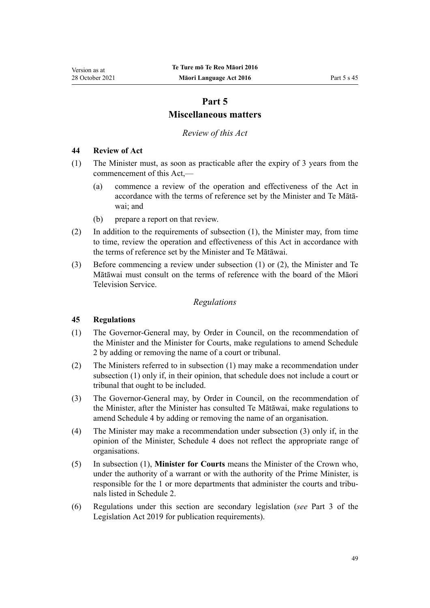# **Part 5**

# **Miscellaneous matters**

*Review of this Act*

## <span id="page-48-0"></span>**44 Review of Act**

- (1) The Minister must, as soon as practicable after the expiry of 3 years from the commencement of this Act,—
	- (a) commence a review of the operation and effectiveness of the Act in accordance with the terms of reference set by the Minister and Te Mātā‐ wai; and
	- (b) prepare a report on that review.
- (2) In addition to the requirements of subsection (1), the Minister may, from time to time, review the operation and effectiveness of this Act in accordance with the terms of reference set by the Minister and Te Mātāwai.
- (3) Before commencing a review under subsection (1) or (2), the Minister and Te Mātāwai must consult on the terms of reference with the board of the Māori Television Service.

## *Regulations*

## **45 Regulations**

- (1) The Governor-General may, by Order in Council, on the recommendation of the Minister and the Minister for Courts, make regulations to amend [Schedule](#page-84-0) [2](#page-84-0) by adding or removing the name of a court or tribunal.
- (2) The Ministers referred to in subsection (1) may make a recommendation under subsection (1) only if, in their opinion, that schedule does not include a court or tribunal that ought to be included.
- (3) The Governor-General may, by Order in Council, on the recommendation of the Minister, after the Minister has consulted Te Mātāwai, make regulations to amend [Schedule 4](#page-89-0) by adding or removing the name of an organisation.
- (4) The Minister may make a recommendation under subsection (3) only if, in the opinion of the Minister, [Schedule 4](#page-89-0) does not reflect the appropriate range of organisations.
- (5) In subsection (1), **Minister for Courts** means the Minister of the Crown who, under the authority of a warrant or with the authority of the Prime Minister, is responsible for the 1 or more departments that administer the courts and tribunals listed in [Schedule 2](#page-84-0).
- (6) Regulations under this section are secondary legislation (*see* [Part 3](http://legislation.govt.nz/pdflink.aspx?id=DLM7298343) of the Legislation Act 2019 for publication requirements).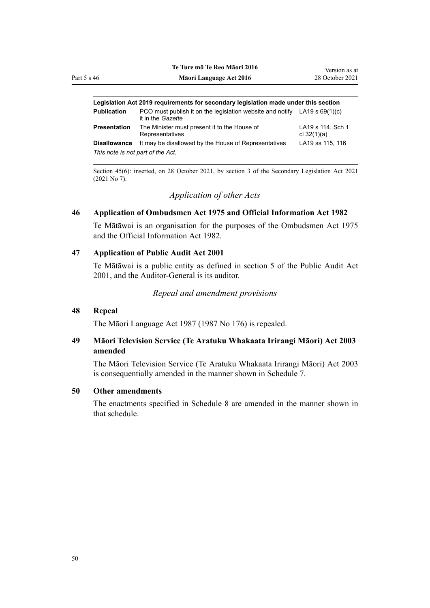| 46          | Te ture mo te neo maori zuto<br>Māori Language Act 2016                                          | Version as at<br>28 October 2021 |
|-------------|--------------------------------------------------------------------------------------------------|----------------------------------|
|             |                                                                                                  |                                  |
|             | Legislation Act 2019 reguirements for secondary legislation made under this section              |                                  |
| Publication | PCO must publish it on the legislation website and notify LA19 s $69(1)(c)$<br>it in the Gazette |                                  |

| Presentation                      | The Minister must present it to the House of<br>Representatives | LA19 s 114. Sch 1<br>cl 32(1)(a) |
|-----------------------------------|-----------------------------------------------------------------|----------------------------------|
| Disallowance                      | It may be disallowed by the House of Representatives            | LA19 ss 115, 116                 |
| This note is not part of the Act. |                                                                 |                                  |

**Te Ture mō Te Reo Māori 2016**

Section 45(6): inserted, on 28 October 2021, by [section 3](http://legislation.govt.nz/pdflink.aspx?id=LMS268932) of the Secondary Legislation Act 2021 (2021 No 7).

## *Application of other Acts*

#### **46 Application of Ombudsmen Act 1975 and Official Information Act 1982**

Te Mātāwai is an organisation for the purposes of the [Ombudsmen Act 1975](http://legislation.govt.nz/pdflink.aspx?id=DLM430983) and the [Official Information Act 1982](http://legislation.govt.nz/pdflink.aspx?id=DLM64784).

#### **47 Application of Public Audit Act 2001**

Te Mātāwai is a public entity as defined in [section 5](http://legislation.govt.nz/pdflink.aspx?id=DLM88578) of the Public Audit Act 2001, and the Auditor-General is its auditor.

#### *Repeal and amendment provisions*

#### **48 Repeal**

The [Māori Language Act 1987](http://legislation.govt.nz/pdflink.aspx?id=DLM124115) (1987 No 176) is repealed.

## **49 Māori Television Service (Te Aratuku Whakaata Irirangi Māori) Act 2003 amended**

The [Māori Television Service \(Te Aratuku Whakaata Irirangi Māori\) Act 2003](http://legislation.govt.nz/pdflink.aspx?id=DLM193695) is consequentially amended in the manner shown in [Schedule 7.](#page-105-0)

### **50 Other amendments**

The enactments specified in [Schedule 8](#page-109-0) are amended in the manner shown in that schedule.

Part 5 s 46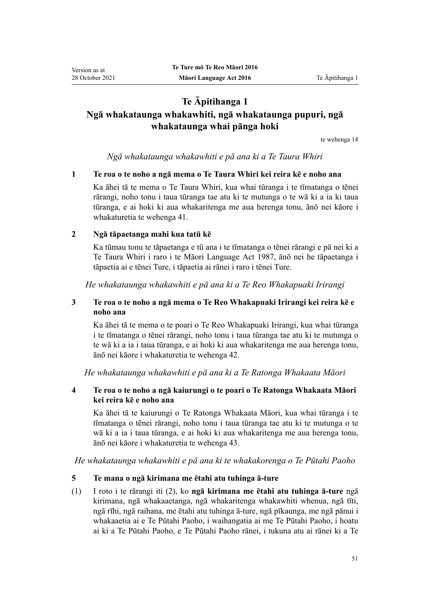# **Te Āpitihanga 1 Ngā whakataunga whakawhiti, ngā whakataunga pupuri, ngā whakataunga whai pānga hoki**

[te wehenga 14](#page-13-0)

*Ngā whakataunga whakawhiti e pā ana ki a Te Taura Whiri*

## **1 Te roa o te noho a ngā mema o Te Taura Whiri kei reira kē e noho ana**

Ka āhei tā te mema o Te Taura Whiri, kua whai tūranga i te tīmatanga o tēnei rārangi, noho tonu i taua tūranga tae atu ki te mutunga o te wā ki a ia ki taua tūranga, e ai hoki ki aua whakaritenga me aua herenga tonu, ānō nei kāore i whakaturetia te [wehenga 41.](#page-25-0)

## **2 Ngā tāpaetanga mahi kua tatū kē**

Ka tūmau tonu te tāpaetanga e tū ana i te tīmatanga o tēnei rārangi e pā nei ki a Te Taura Whiri i raro i te [Māori Language Act 1987](http://legislation.govt.nz/pdflink.aspx?id=DLM124115), ānō nei he tāpaetanga i tāpaetia ai e tēnei Ture, i tāpaetia ai rānei i raro i tēnei Ture.

*He whakataunga whakawhiti e pā ana ki a Te Reo Whakapuaki Irirangi*

# **3 Te roa o te noho a ngā mema o Te Reo Whakapuaki Irirangi kei reira kē e noho ana**

Ka āhei tā te mema o te poari o Te Reo Whakapuaki Irirangi, kua whai tūranga i te tīmatanga o tēnei rārangi, noho tonu i taua tūranga tae atu ki te mutunga o te wā ki a ia i taua tūranga, e ai hoki ki aua whakaritenga me aua herenga tonu, ānō nei kāore i whakaturetia te [wehenga 42.](#page-25-0)

*He whakataunga whakawhiti e pā ana ki a Te Ratonga Whakaata Māori*

## **4 Te roa o te noho a ngā kaiurungi o te poari o Te Ratonga Whakaata Māori kei reira kē e noho ana**

Ka āhei tā te kaiurungi o Te Ratonga Whakaata Māori, kua whai tūranga i te tīmatanga o tēnei rārangi, noho tonu i taua tūranga tae atu ki te mutunga o te wā ki a ia i taua tūranga, e ai hoki ki aua whakaritenga me aua herenga tonu, ānō nei kāore i whakaturetia te [wehenga 43.](#page-25-0)

*He whakataunga whakawhiti e pā ana ki te whakakorenga o Te Pūtahi Paoho*

## **5 Te mana o ngā kirimana me ētahi atu tuhinga ā-ture**

(1) I roto i te rārangi iti (2), ko **ngā kirimana me ētahi atu tuhinga ā-ture** ngā kirimana, ngā whakaaetanga, ngā whakaritenga whakawhiti whenua, ngā tīti, ngā rīhi, ngā raihana, me ētahi atu tuhinga ā-ture, ngā pīkaunga, me ngā pānui i whakaaetia ai e Te Pūtahi Paoho, i waihangatia ai me Te Pūtahi Paoho, i hoatu ai ki a Te Pūtahi Paoho, e Te Pūtahi Paoho rānei, i tukuna atu ai rānei ki a Te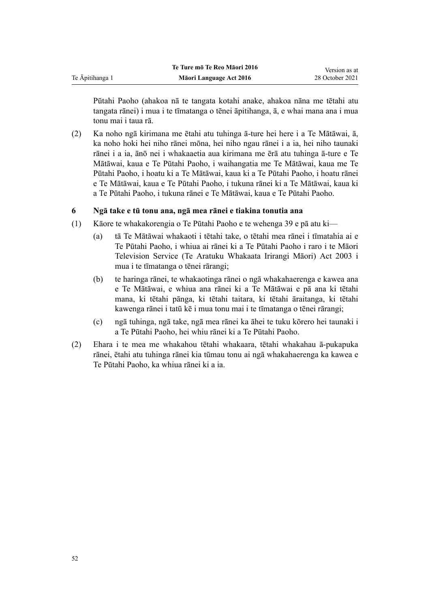|                 | Te Ture mō Te Reo Māori 2016 | Version as at   |
|-----------------|------------------------------|-----------------|
| Te Āpitihanga 1 | Māori Language Act 2016      | 28 October 2021 |
|                 |                              |                 |

Pūtahi Paoho (ahakoa nā te tangata kotahi anake, ahakoa nāna me tētahi atu tangata rānei) i mua i te tīmatanga o tēnei āpitihanga, ā, e whai mana ana i mua tonu mai i taua rā.

(2) Ka noho ngā kirimana me ētahi atu tuhinga ā-ture hei here i a Te Mātāwai, ā, ka noho hoki hei niho rānei mōna, hei niho ngau rānei i a ia, hei niho taunaki rānei i a ia, ānō nei i whakaaetia aua kirimana me ērā atu tuhinga ā-ture e Te Mātāwai, kaua e Te Pūtahi Paoho, i waihangatia me Te Mātāwai, kaua me Te Pūtahi Paoho, i hoatu ki a Te Mātāwai, kaua ki a Te Pūtahi Paoho, i hoatu rānei e Te Mātāwai, kaua e Te Pūtahi Paoho, i tukuna rānei ki a Te Mātāwai, kaua ki a Te Pūtahi Paoho, i tukuna rānei e Te Mātāwai, kaua e Te Pūtahi Paoho.

## **6 Ngā take e tū tonu ana, ngā mea rānei e tiakina tonutia ana**

- (1) Kāore te whakakorengia o Te Pūtahi Paoho e te [wehenga 39](#page-24-0) e pā atu ki—
	- (a) tā Te Mātāwai whakaoti i tētahi take, o tētahi mea rānei i tīmatahia ai e Te Pūtahi Paoho, i whiua ai rānei ki a Te Pūtahi Paoho i raro i te [Māori](http://legislation.govt.nz/pdflink.aspx?id=DLM193695) [Television Service \(Te Aratuku Whakaata Irirangi Māori\) Act 2003](http://legislation.govt.nz/pdflink.aspx?id=DLM193695) i mua i te tīmatanga o tēnei rārangi;
	- (b) te haringa rānei, te whakaotinga rānei o ngā whakahaerenga e kawea ana e Te Mātāwai, e whiua ana rānei ki a Te Mātāwai e pā ana ki tētahi mana, ki tētahi pānga, ki tētahi taitara, ki tētahi āraitanga, ki tētahi kawenga rānei i tatū kē i mua tonu mai i te tīmatanga o tēnei rārangi;
	- (c) ngā tuhinga, ngā take, ngā mea rānei ka āhei te tuku kōrero hei taunaki i a Te Pūtahi Paoho, hei whiu rānei ki a Te Pūtahi Paoho.
- (2) Ehara i te mea me whakahou tētahi whakaara, tētahi whakahau ā-pukapuka rānei, ētahi atu tuhinga rānei kia tūmau tonu ai ngā whakahaerenga ka kawea e Te Pūtahi Paoho, ka whiua rānei ki a ia.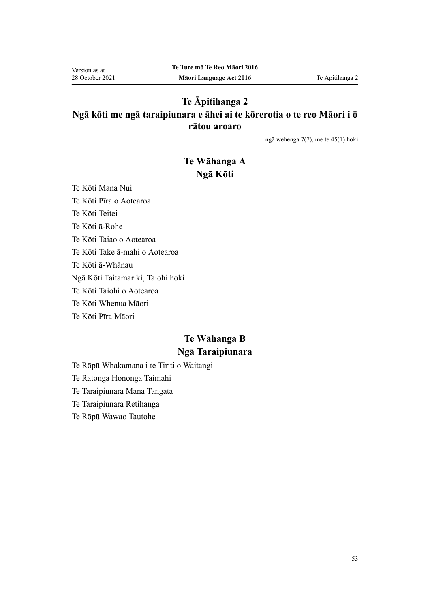# **Te Āpitihanga 2 Ngā kōti me ngā taraipiunara e āhei ai te kōrerotia o te reo Māori i ō rātou aroaro**

[ngā wehenga 7\(7\),](#page-7-0) me te [45\(1\)](#page-27-0) hoki

# **Te Wāhanga A Ngā Kōti**

Te Kōti Mana Nui Te Kōti Pīra o Aotearoa Te Kōti Teitei Te Kōti ā-Rohe Te Kōti Taiao o Aotearoa Te Kōti Take ā-mahi o Aotearoa Te Kōti ā-Whānau Ngā Kōti Taitamariki, Taiohi hoki Te Kōti Taiohi o Aotearoa Te Kōti Whenua Māori Te Kōti Pīra Māori

# **Te Wāhanga B Ngā Taraipiunara**

Te Rōpū Whakamana i te Tiriti o Waitangi

Te Ratonga Hononga Taimahi

Te Taraipiunara Mana Tangata

Te Taraipiunara Retihanga

Te Rōpū Wawao Tautohe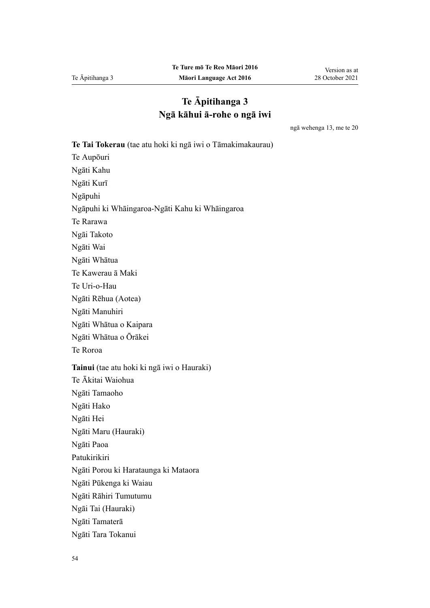# **Te Āpitihanga 3 Ngā kāhui ā-rohe o ngā iwi**

ngā [wehenga 13,](#page-11-0) me te [20](#page-16-0)

**Te Tai Tokerau** (tae atu hoki ki ngā iwi o Tāmakimakaurau) Te Aupōuri Ngāti Kahu Ngāti Kurī Ngāpuhi Ngāpuhi ki Whāingaroa-Ngāti Kahu ki Whāingaroa Te Rarawa Ngāi Takoto Ngāti Wai Ngāti Whātua Te Kawerau ā Maki Te Uri-o-Hau Ngāti Rēhua (Aotea) Ngāti Manuhiri Ngāti Whātua o Kaipara Ngāti Whātua o Ōrākei Te Roroa **Tainui** (tae atu hoki ki ngā iwi o Hauraki) Te Ākitai Waiohua Ngāti Tamaoho Ngāti Hako Ngāti Hei Ngāti Maru (Hauraki) Ngāti Paoa Patukirikiri Ngāti Porou ki Harataunga ki Mataora Ngāti Pūkenga ki Waiau Ngāti Rāhiri Tumutumu Ngāi Tai (Hauraki) Ngāti Tamaterā Ngāti Tara Tokanui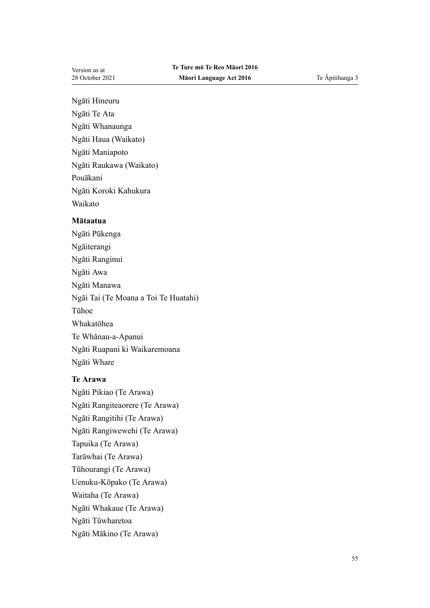Ngāti Hineuru

- Ngāti Te Ata
- Ngāti Whanaunga
- Ngāti Haua (Waikato)
- Ngāti Maniapoto
- Ngāti Raukawa (Waikato)

Pouākani

Ngāti Koroki Kahukura Waikato

## **Mātaatua**

Ngāti Pūkenga Ngāiterangi Ngāti Ranginui Ngāti Awa Ngāti Manawa Ngāi Tai (Te Moana a Toi Te Huatahi) Tūhoe Whakatōhea Te Whānau-a-Apanui Ngāti Ruapani ki Waikaremoana Ngāti Whare

# **Te Arawa**

Ngāti Pikiao (Te Arawa) Ngāti Rangiteaorere (Te Arawa) Ngāti Rangitihi (Te Arawa) Ngāti Rangiwewehi (Te Arawa) Tapuika (Te Arawa) Tarāwhai (Te Arawa) Tūhourangi (Te Arawa) Uenuku-Kōpako (Te Arawa) Waitaha (Te Arawa) Ngāti Whakaue (Te Arawa) Ngāti Tūwharetoa Ngāti Mākino (Te Arawa)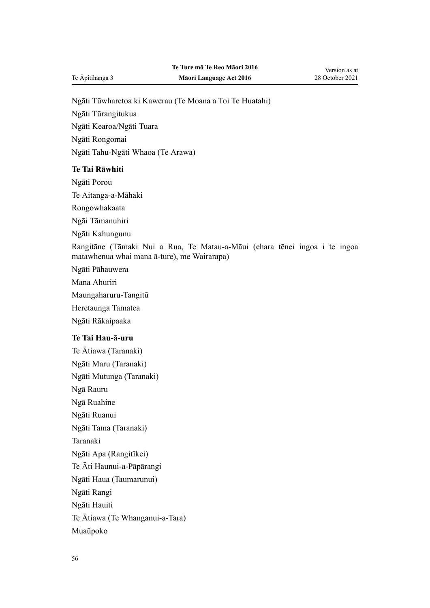Ngāti Tūwharetoa ki Kawerau (Te Moana a Toi Te Huatahi)

Ngāti Tūrangitukua

Ngāti Kearoa/Ngāti Tuara

Ngāti Rongomai

Ngāti Tahu-Ngāti Whaoa (Te Arawa)

## **Te Tai Rāwhiti**

Ngāti Porou

Te Aitanga-a-Māhaki

Rongowhakaata

Ngāi Tāmanuhiri

Ngāti Kahungunu

Rangitāne (Tāmaki Nui a Rua, Te Matau-a-Māui (ehara tēnei ingoa i te ingoa matawhenua whai mana ā-ture), me Wairarapa)

Ngāti Pāhauwera

Mana Ahuriri

Maungaharuru-Tangitū

Heretaunga Tamatea

Ngāti Rākaipaaka

## **Te Tai Hau-ā-uru**

Te Ātiawa (Taranaki) Ngāti Maru (Taranaki) Ngāti Mutunga (Taranaki) Ngā Rauru Ngā Ruahine Ngāti Ruanui Ngāti Tama (Taranaki) Taranaki Ngāti Apa (Rangitīkei) Te Āti Haunui-a-Pāpārangi Ngāti Haua (Taumarunui) Ngāti Rangi Ngāti Hauiti Te Ātiawa (Te Whanganui-a-Tara) Muaūpoko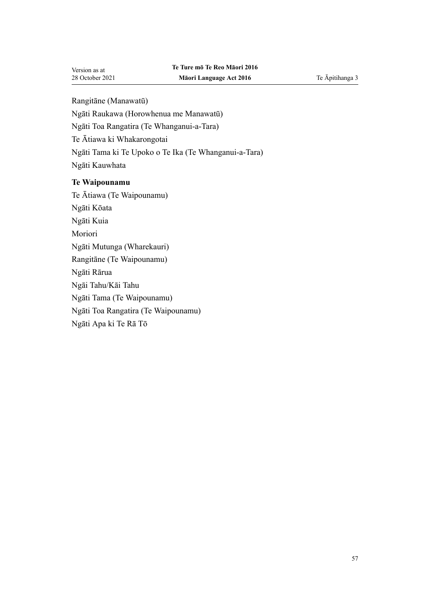Rangitāne (Manawatū)

Ngāti Raukawa (Horowhenua me Manawatū)

Ngāti Toa Rangatira (Te Whanganui-a-Tara)

Te Ātiawa ki Whakarongotai

Ngāti Tama ki Te Upoko o Te Ika (Te Whanganui-a-Tara)

Ngāti Kauwhata

## **Te Waipounamu**

Te Ātiawa (Te Waipounamu) Ngāti Kōata Ngāti Kuia Moriori Ngāti Mutunga (Wharekauri) Rangitāne (Te Waipounamu) Ngāti Rārua Ngāi Tahu/Kāi Tahu Ngāti Tama (Te Waipounamu) Ngāti Toa Rangatira (Te Waipounamu)

Ngāti Apa ki Te Rā Tō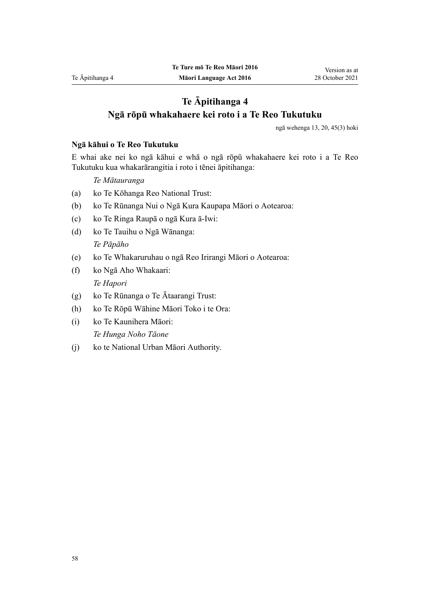# **Te Āpitihanga 4 Ngā rōpū whakahaere kei roto i a Te Reo Tukutuku**

ngā [wehenga 13](#page-11-0), [20,](#page-16-0) [45\(3\)](#page-27-0) hoki

#### **Ngā kāhui o Te Reo Tukutuku**

E whai ake nei ko ngā kāhui e whā o ngā rōpū whakahaere kei roto i a Te Reo Tukutuku kua whakarārangitia i roto i tēnei āpitihanga:

*Te Mātauranga*

- (a) ko Te Kōhanga Reo National Trust:
- (b) ko Te Rūnanga Nui o Ngā Kura Kaupapa Māori o Aotearoa:
- (c) ko Te Ringa Raupā o ngā Kura ā-Iwi:
- (d) ko Te Tauihu o Ngā Wānanga: *Te Pāpāho*
- (e) ko Te Whakaruruhau o ngā Reo Irirangi Māori o Aotearoa:
- (f) ko Ngā Aho Whakaari: *Te Hapori*
- (g) ko Te Rūnanga o Te Ātaarangi Trust:
- (h) ko Te Rōpū Wāhine Māori Toko i te Ora:
- (i) ko Te Kaunihera Māori: *Te Hunga Noho Tāone*
- (j) ko te National Urban Māori Authority.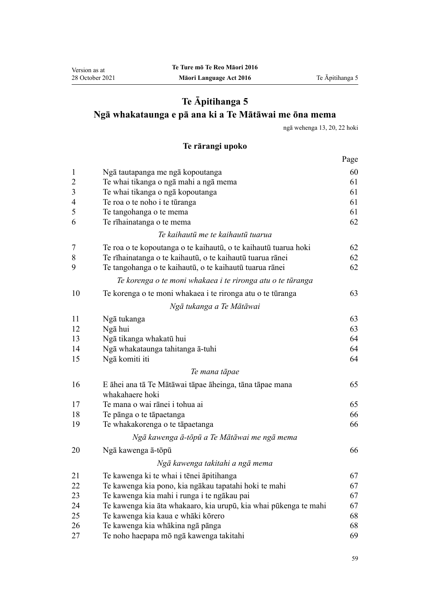# **Te Āpitihanga 5 Ngā whakataunga e pā ana ki a Te Mātāwai me ōna mema**

ngā [wehenga 13,](#page-11-0) [20](#page-16-0), [22](#page-18-0) hoki

# **Te rārangi upoko**

|                |                                                                            | Page |
|----------------|----------------------------------------------------------------------------|------|
| $\mathbf{1}$   | Ngā tautapanga me ngā kopoutanga                                           | 60   |
| $\overline{c}$ | Te whai tikanga o ngā mahi a ngā mema                                      | 61   |
| $\mathfrak{Z}$ | Te whai tikanga o ngā kopoutanga                                           | 61   |
| $\overline{4}$ | Te roa o te noho i te tūranga                                              | 61   |
| 5              | Te tangohanga o te mema                                                    | 61   |
| 6              | Te rīhainatanga o te mema                                                  | 62   |
|                | Te kaihautū me te kaihautū tuarua                                          |      |
| 7              | Te roa o te kopoutanga o te kaihautū, o te kaihautū tuarua hoki            | 62   |
| 8              | Te rīhainatanga o te kaihautū, o te kaihautū tuarua rānei                  | 62   |
| 9              | Te tangohanga o te kaihautū, o te kaihautū tuarua rānei                    | 62   |
|                | Te korenga o te moni whakaea i te rironga atu o te tūranga                 |      |
| 10             | Te korenga o te moni whakaea i te rironga atu o te tūranga                 | 63   |
|                | Ngā tukanga a Te Mātāwai                                                   |      |
| 11             | Ngā tukanga                                                                | 63   |
| 12             | Ngā hui                                                                    | 63   |
| 13             | Ngā tikanga whakatū hui                                                    | 64   |
| 14             | Ngā whakataunga tahitanga ā-tuhi                                           | 64   |
| 15             | Ngā komiti iti                                                             | 64   |
|                | Te mana tāpae                                                              |      |
| 16             | E āhei ana tā Te Mātāwai tāpae āheinga, tāna tāpae mana<br>whakahaere hoki | 65   |
| 17             | Te mana o wai rānei i tohua ai                                             | 65   |
| 18             | Te pānga o te tāpaetanga                                                   | 66   |
| 19             | Te whakakorenga o te tāpaetanga                                            | 66   |
|                | Ngā kawenga ā-tōpū a Te Mātāwai me ngā mema                                |      |
| 20             | Ngā kawenga ā-tōpū                                                         | 66   |
|                | Ngā kawenga takitahi a ngā mema                                            |      |
| 21             | Te kawenga ki te whai i tēnei āpitihanga                                   | 67   |
| 22             | Te kawenga kia pono, kia ngākau tapatahi hoki te mahi                      | 67   |
| 23             | Te kawenga kia mahi i runga i te ngākau pai                                | 67   |
| 24             | Te kawenga kia āta whakaaro, kia urupū, kia whai pūkenga te mahi           | 67   |
| 25             | Te kawenga kia kaua e whāki kōrero                                         | 68   |
| 26             | Te kawenga kia whākina ngā pānga                                           | 68   |
| 27             | Te noho haepapa mō ngā kawenga takitahi                                    | 69   |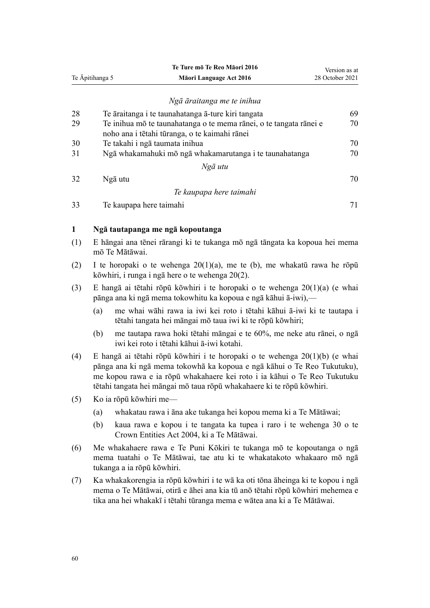<span id="page-59-0"></span>

|                 |                                                                                                                                                                                                                                                                                                              | Te Ture mō Te Reo Māori 2016                                                                                                                                                                                                              | Version as at   |
|-----------------|--------------------------------------------------------------------------------------------------------------------------------------------------------------------------------------------------------------------------------------------------------------------------------------------------------------|-------------------------------------------------------------------------------------------------------------------------------------------------------------------------------------------------------------------------------------------|-----------------|
| Te Āpitihanga 5 |                                                                                                                                                                                                                                                                                                              | Māori Language Act 2016                                                                                                                                                                                                                   | 28 October 2021 |
|                 |                                                                                                                                                                                                                                                                                                              |                                                                                                                                                                                                                                           |                 |
|                 |                                                                                                                                                                                                                                                                                                              | Ngā āraitanga me te inihua                                                                                                                                                                                                                |                 |
| 28              |                                                                                                                                                                                                                                                                                                              | Te āraitanga i te taunahatanga ā-ture kiri tangata                                                                                                                                                                                        | 69              |
| 29              |                                                                                                                                                                                                                                                                                                              | Te inihua mō te taunahatanga o te mema rānei, o te tangata rānei e                                                                                                                                                                        | 70              |
|                 |                                                                                                                                                                                                                                                                                                              | noho ana i tētahi tūranga, o te kaimahi rānei                                                                                                                                                                                             |                 |
| 30<br>31        |                                                                                                                                                                                                                                                                                                              | Te takahi i ngā taumata inihua                                                                                                                                                                                                            | 70<br>70        |
|                 |                                                                                                                                                                                                                                                                                                              | Ngā whakamahuki mō ngā whakamarutanga i te taunahatanga<br>Ngā utu                                                                                                                                                                        |                 |
| 32              |                                                                                                                                                                                                                                                                                                              | Ngā utu                                                                                                                                                                                                                                   | 70              |
|                 |                                                                                                                                                                                                                                                                                                              |                                                                                                                                                                                                                                           |                 |
|                 |                                                                                                                                                                                                                                                                                                              | Te kaupapa here taimahi                                                                                                                                                                                                                   |                 |
| 33              |                                                                                                                                                                                                                                                                                                              | Te kaupapa here taimahi                                                                                                                                                                                                                   | 71              |
| 1               |                                                                                                                                                                                                                                                                                                              | Ngā tautapanga me ngā kopoutanga                                                                                                                                                                                                          |                 |
| (1)             |                                                                                                                                                                                                                                                                                                              | E hāngai ana tēnei rārangi ki te tukanga mō ngā tāngata ka kopoua hei mema                                                                                                                                                                |                 |
|                 |                                                                                                                                                                                                                                                                                                              | mō Te Mātāwai.                                                                                                                                                                                                                            |                 |
| (2)             | I te horopaki o te wehenga $20(1)(a)$ , me te (b), me whakatū rawa he rōpū<br>kōwhiri, i runga i ngā here o te wehenga 20(2).                                                                                                                                                                                |                                                                                                                                                                                                                                           |                 |
| (3)             |                                                                                                                                                                                                                                                                                                              | E hangā ai tētahi rōpū kōwhiri i te horopaki o te wehenga 20(1)(a) (e whai<br>pānga ana ki ngā mema tokowhitu ka kopoua e ngā kāhui ā-iwi),—                                                                                              |                 |
|                 | (a)                                                                                                                                                                                                                                                                                                          | me whai wāhi rawa ia iwi kei roto i tētahi kāhui ā-iwi ki te tautapa i<br>tētahi tangata hei māngai mō taua iwi ki te rōpū kōwhiri;                                                                                                       |                 |
|                 | (b)                                                                                                                                                                                                                                                                                                          | me tautapa rawa hoki tētahi māngai e te 60%, me neke atu rānei, o ngā<br>iwi kei roto i tētahi kāhui ā-iwi kotahi.                                                                                                                        |                 |
| (4)             | E hangā ai tētahi rōpū kōwhiri i te horopaki o te wehenga $20(1)(b)$ (e whai<br>pānga ana ki ngā mema tokowhā ka kopoua e ngā kāhui o Te Reo Tukutuku),<br>me kopou rawa e ia rōpū whakahaere kei roto i ia kāhui o Te Reo Tukutuku<br>tētahi tangata hei māngai mō taua rōpū whakahaere ki te rōpū kōwhiri. |                                                                                                                                                                                                                                           |                 |
| (5)             |                                                                                                                                                                                                                                                                                                              | Ko ia rōpū kōwhiri me—                                                                                                                                                                                                                    |                 |
|                 | (a)                                                                                                                                                                                                                                                                                                          | whakatau rawa i āna ake tukanga hei kopou mema ki a Te Mātāwai;                                                                                                                                                                           |                 |
|                 | (b)                                                                                                                                                                                                                                                                                                          | kaua rawa e kopou i te tangata ka tupea i raro i te wehenga 30 o te<br>Crown Entities Act 2004, ki a Te Mātāwai.                                                                                                                          |                 |
| (6)             |                                                                                                                                                                                                                                                                                                              | Me whakahaere rawa e Te Puni Kōkiri te tukanga mō te kopoutanga o ngā<br>mema tuatahi o Te Mātāwai, tae atu ki te whakatakoto whakaaro mō ngā<br>tukanga a ia rōpū kōwhiri.                                                               |                 |
| (7)             |                                                                                                                                                                                                                                                                                                              | Ka whakakorengia ia rōpū kōwhiri i te wā ka oti tōna āheinga ki te kopou i ngā<br>mema o Te Mātāwai, otirā e āhei ana kia tū anō tētahi rōpū kōwhiri mehemea e<br>tika ana hei whakakī i tētahi tūranga mema e wātea ana ki a Te Mātāwai. |                 |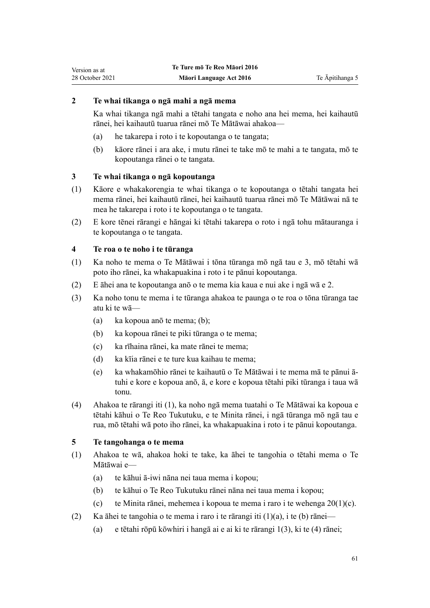# <span id="page-60-0"></span>**2 Te whai tikanga o ngā mahi a ngā mema**

Ka whai tikanga ngā mahi a tētahi tangata e noho ana hei mema, hei kaihautū rānei, hei kaihautū tuarua rānei mō Te Mātāwai ahakoa—

- (a) he takarepa i roto i te kopoutanga o te tangata;
- (b) kāore rānei i ara ake, i mutu rānei te take mō te mahi a te tangata, mō te kopoutanga rānei o te tangata.

## **3 Te whai tikanga o ngā kopoutanga**

- (1) Kāore e whakakorengia te whai tikanga o te kopoutanga o tētahi tangata hei mema rānei, hei kaihautū rānei, hei kaihautū tuarua rānei mō Te Mātāwai nā te mea he takarepa i roto i te kopoutanga o te tangata.
- (2) E kore tēnei rārangi e hāngai ki tētahi takarepa o roto i ngā tohu mātauranga i te kopoutanga o te tangata.

## **4 Te roa o te noho i te tūranga**

- (1) Ka noho te mema o Te Mātāwai i tōna tūranga mō ngā tau e 3, mō tētahi wā poto iho rānei, ka whakapuakina i roto i te pānui kopoutanga.
- (2) E āhei ana te kopoutanga anō o te mema kia kaua e nui ake i ngā wā e 2.
- (3) Ka noho tonu te mema i te tūranga ahakoa te paunga o te roa o tōna tūranga tae atu ki te wā—
	- (a) ka kopoua anō te mema; (b);
	- (b) ka kopoua rānei te piki tūranga o te mema;
	- (c) ka rīhaina rānei, ka mate rānei te mema;
	- (d) ka kīia rānei e te ture kua kaihau te mema;
	- (e) ka whakamōhio rānei te kaihautū o Te Mātāwai i te mema mā te pānui ātuhi e kore e kopoua anō, ā, e kore e kopoua tētahi piki tūranga i taua wā tonu.
- (4) Ahakoa te rārangi iti (1), ka noho ngā mema tuatahi o Te Mātāwai ka kopoua e tētahi kāhui o Te Reo Tukutuku, e te Minita rānei, i ngā tūranga mō ngā tau e rua, mō tētahi wā poto iho rānei, ka whakapuakina i roto i te pānui kopoutanga.

## **5 Te tangohanga o te mema**

- (1) Ahakoa te wā, ahakoa hoki te take, ka āhei te tangohia o tētahi mema o Te Mātāwai e—
	- (a) te kāhui ā-iwi nāna nei taua mema i kopou;
	- (b) te kāhui o Te Reo Tukutuku rānei nāna nei taua mema i kopou;
	- (c) te Minita rānei, mehemea i kopoua te mema i raro i te wehenga  $20(1)(c)$ .
- (2) Ka āhei te tangohia o te mema i raro i te rārangi iti (1)(a), i te (b) rānei—
	- (a) e tētahi rōpū kōwhiri i hangā ai e ai ki te rārangi 1(3), ki te (4) rānei;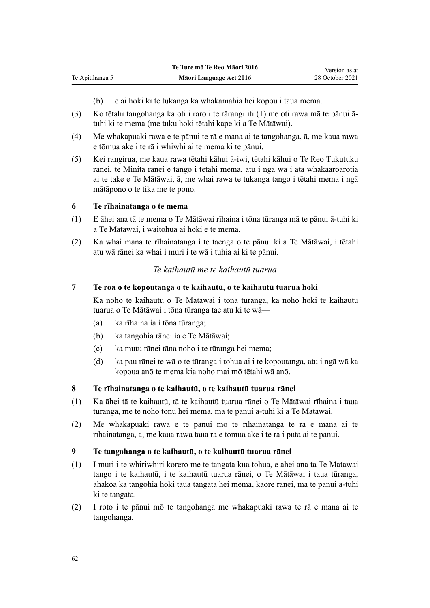- (b) e ai hoki ki te tukanga ka whakamahia hei kopou i taua mema.
- (3) Ko tētahi tangohanga ka oti i raro i te rārangi iti (1) me oti rawa mā te pānui ātuhi ki te mema (me tuku hoki tētahi kape ki a Te Mātāwai).
- (4) Me whakapuaki rawa e te pānui te rā e mana ai te tangohanga, ā, me kaua rawa e tōmua ake i te rā i whiwhi ai te mema ki te pānui.
- (5) Kei rangirua, me kaua rawa tētahi kāhui ā-iwi, tētahi kāhui o Te Reo Tukutuku rānei, te Minita rānei e tango i tētahi mema, atu i ngā wā i āta whakaaroarotia ai te take e Te Mātāwai, ā, me whai rawa te tukanga tango i tētahi mema i ngā mātāpono o te tika me te pono.

## **6 Te rīhainatanga o te mema**

<span id="page-61-0"></span>Te Āpitihanga 5

- (1) E āhei ana tā te mema o Te Mātāwai rīhaina i tōna tūranga mā te pānui ā-tuhi ki a Te Mātāwai, i waitohua ai hoki e te mema.
- (2) Ka whai mana te rīhainatanga i te taenga o te pānui ki a Te Mātāwai, i tētahi atu wā rānei ka whai i muri i te wā i tuhia ai ki te pānui.

# *Te kaihautū me te kaihautū tuarua*

## **7 Te roa o te kopoutanga o te kaihautū, o te kaihautū tuarua hoki**

Ka noho te kaihautū o Te Mātāwai i tōna turanga, ka noho hoki te kaihautū tuarua o Te Mātāwai i tōna tūranga tae atu ki te wā—

- (a) ka rīhaina ia i tōna tūranga;
- (b) ka tangohia rānei ia e Te Mātāwai;
- (c) ka mutu rānei tāna noho i te tūranga hei mema;
- (d) ka pau rānei te wā o te tūranga i tohua ai i te kopoutanga, atu i ngā wā ka kopoua anō te mema kia noho mai mō tētahi wā anō.

## **8 Te rīhainatanga o te kaihautū, o te kaihautū tuarua rānei**

- (1) Ka āhei tā te kaihautū, tā te kaihautū tuarua rānei o Te Mātāwai rīhaina i taua tūranga, me te noho tonu hei mema, mā te pānui ā-tuhi ki a Te Mātāwai.
- (2) Me whakapuaki rawa e te pānui mō te rīhainatanga te rā e mana ai te rīhainatanga, ā, me kaua rawa taua rā e tōmua ake i te rā i puta ai te pānui.

#### **9 Te tangohanga o te kaihautū, o te kaihautū tuarua rānei**

- (1) I muri i te whiriwhiri kōrero me te tangata kua tohua, e āhei ana tā Te Mātāwai tango i te kaihautū, i te kaihautū tuarua rānei, o Te Mātāwai i taua tūranga, ahakoa ka tangohia hoki taua tangata hei mema, kāore rānei, mā te pānui ā-tuhi ki te tangata.
- (2) I roto i te pānui mō te tangohanga me whakapuaki rawa te rā e mana ai te tangohanga.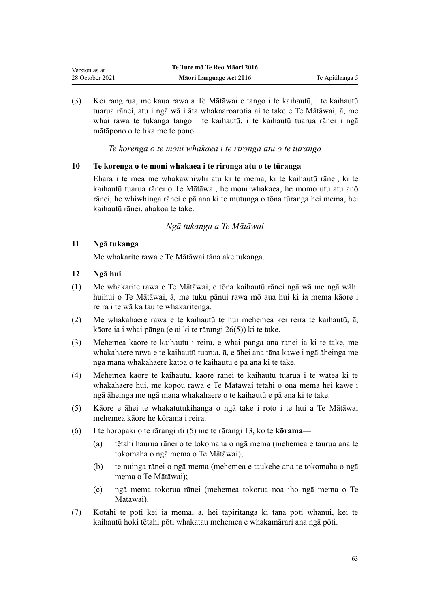<span id="page-62-0"></span>(3) Kei rangirua, me kaua rawa a Te Mātāwai e tango i te kaihautū, i te kaihautū tuarua rānei, atu i ngā wā i āta whakaaroarotia ai te take e Te Mātāwai, ā, me whai rawa te tukanga tango i te kaihautū, i te kaihautū tuarua rānei i ngā mātāpono o te tika me te pono.

*Te korenga o te moni whakaea i te rironga atu o te tūranga*

## **10 Te korenga o te moni whakaea i te rironga atu o te tūranga**

Ehara i te mea me whakawhiwhi atu ki te mema, ki te kaihautū rānei, ki te kaihautū tuarua rānei o Te Mātāwai, he moni whakaea, he momo utu atu anō rānei, he whiwhinga rānei e pā ana ki te mutunga o tōna tūranga hei mema, hei kaihautū rānei, ahakoa te take.

*Ngā tukanga a Te Mātāwai*

## **11 Ngā tukanga**

Me whakarite rawa e Te Mātāwai tāna ake tukanga.

## **12 Ngā hui**

- (1) Me whakarite rawa e Te Mātāwai, e tōna kaihautū rānei ngā wā me ngā wāhi huihui o Te Mātāwai, ā, me tuku pānui rawa mō aua hui ki ia mema kāore i reira i te wā ka tau te whakaritenga.
- (2) Me whakahaere rawa e te kaihautū te hui mehemea kei reira te kaihautū, ā, kāore ia i whai pānga (e ai ki te [rārangi 26\(5\)\)](#page-67-0) ki te take.
- (3) Mehemea kāore te kaihautū i reira, e whai pānga ana rānei ia ki te take, me whakahaere rawa e te kaihautū tuarua, ā, e āhei ana tāna kawe i ngā āheinga me ngā mana whakahaere katoa o te kaihautū e pā ana ki te take.
- (4) Mehemea kāore te kaihautū, kāore rānei te kaihautū tuarua i te wātea ki te whakahaere hui, me kopou rawa e Te Mātāwai tētahi o ōna mema hei kawe i ngā āheinga me ngā mana whakahaere o te kaihautū e pā ana ki te take.
- (5) Kāore e āhei te whakatutukihanga o ngā take i roto i te hui a Te Mātāwai mehemea kāore he kōrama i reira.
- (6) I te horopaki o te rārangi iti (5) me te [rārangi 13,](#page-63-0) ko te **kōrama**
	- (a) tētahi haurua rānei o te tokomaha o ngā mema (mehemea e taurua ana te tokomaha o ngā mema o Te Mātāwai);
	- (b) te nuinga rānei o ngā mema (mehemea e taukehe ana te tokomaha o ngā mema o Te Mātāwai);
	- (c) ngā mema tokorua rānei (mehemea tokorua noa iho ngā mema o Te Mātāwai).
- (7) Kotahi te pōti kei ia mema, ā, hei tāpiritanga ki tāna pōti whānui, kei te kaihautū hoki tētahi pōti whakatau mehemea e whakamārari ana ngā pōti.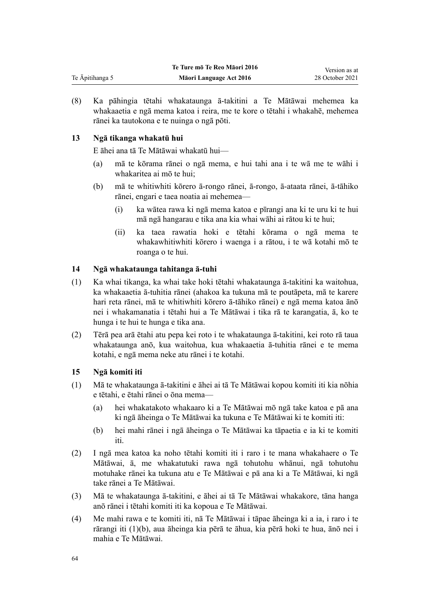<span id="page-63-0"></span>

|                 | Te Ture mō Te Reo Māori 2016 | Version as at   |
|-----------------|------------------------------|-----------------|
| Te Āpitihanga 5 | Māori Language Act 2016      | 28 October 2021 |

(8) Ka pāhingia tētahi whakataunga ā-takitini a Te Mātāwai mehemea ka whakaaetia e ngā mema katoa i reira, me te kore o tētahi i whakahē, mehemea rānei ka tautokona e te nuinga o ngā pōti.

## **13 Ngā tikanga whakatū hui**

E āhei ana tā Te Mātāwai whakatū hui—

- (a) mā te kōrama rānei o ngā mema, e hui tahi ana i te wā me te wāhi i whakaritea ai mō te hui;
- (b) mā te whitiwhiti kōrero ā-rongo rānei, ā-rongo, ā-ataata rānei, ā-tāhiko rānei, engari e taea noatia ai mehemea—
	- (i) ka wātea rawa ki ngā mema katoa e pīrangi ana ki te uru ki te hui mā ngā hangarau e tika ana kia whai wāhi ai rātou ki te hui;
	- (ii) ka taea rawatia hoki e tētahi kōrama o ngā mema te whakawhitiwhiti kōrero i waenga i a rātou, i te wā kotahi mō te roanga o te hui.

## **14 Ngā whakataunga tahitanga ā-tuhi**

- (1) Ka whai tikanga, ka whai take hoki tētahi whakataunga ā-takitini ka waitohua, ka whakaaetia ā-tuhitia rānei (ahakoa ka tukuna mā te poutāpeta, mā te karere hari reta rānei, mā te whitiwhiti kōrero ā-tāhiko rānei) e ngā mema katoa ānō nei i whakamanatia i tētahi hui a Te Mātāwai i tika rā te karangatia, ā, ko te hunga i te hui te hunga e tika ana.
- (2) Tērā pea arā ētahi atu pepa kei roto i te whakataunga ā-takitini, kei roto rā taua whakataunga anō, kua waitohua, kua whakaaetia ā-tuhitia rānei e te mema kotahi, e ngā mema neke atu rānei i te kotahi.

## **15 Ngā komiti iti**

- (1) Mā te whakataunga ā-takitini e āhei ai tā Te Mātāwai kopou komiti iti kia nōhia e tētahi, e ētahi rānei o ōna mema—
	- (a) hei whakatakoto whakaaro ki a Te Mātāwai mō ngā take katoa e pā ana ki ngā āheinga o Te Mātāwai ka tukuna e Te Mātāwai ki te komiti iti:
	- (b) hei mahi rānei i ngā āheinga o Te Mātāwai ka tāpaetia e ia ki te komiti iti.
- (2) I ngā mea katoa ka noho tētahi komiti iti i raro i te mana whakahaere o Te Mātāwai, ā, me whakatutuki rawa ngā tohutohu whānui, ngā tohutohu motuhake rānei ka tukuna atu e Te Mātāwai e pā ana ki a Te Mātāwai, ki ngā take rānei a Te Mātāwai.
- (3) Mā te whakataunga ā-takitini, e āhei ai tā Te Mātāwai whakakore, tāna hanga anō rānei i tētahi komiti iti ka kopoua e Te Mātāwai.
- (4) Me mahi rawa e te komiti iti, nā Te Mātāwai i tāpae āheinga ki a ia, i raro i te rārangi iti (1)(b), aua āheinga kia pērā te āhua, kia pērā hoki te hua, ānō nei i mahia e Te Mātāwai.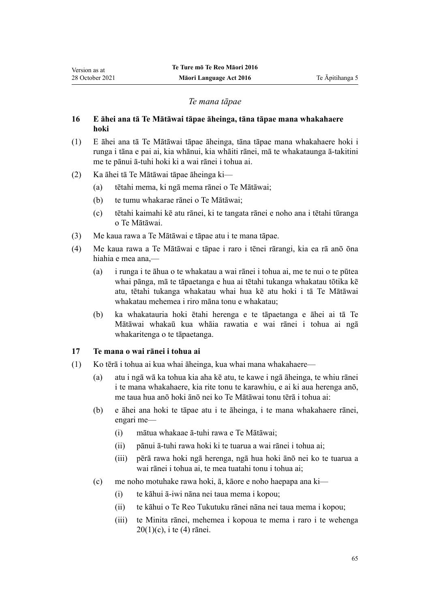## *Te mana tāpae*

## **16 E āhei ana tā Te Mātāwai tāpae āheinga, tāna tāpae mana whakahaere hoki**

- (1) E āhei ana tā Te Mātāwai tāpae āheinga, tāna tāpae mana whakahaere hoki i runga i tāna e pai ai, kia whānui, kia whāiti rānei, mā te whakataunga ā-takitini me te pānui ā-tuhi hoki ki a wai rānei i tohua ai.
- (2) Ka āhei tā Te Mātāwai tāpae āheinga ki—

<span id="page-64-0"></span>Version as at 28 October 2021

- (a) tētahi mema, ki ngā mema rānei o Te Mātāwai;
- (b) te tumu whakarae rānei o Te Mātāwai;
- (c) tētahi kaimahi kē atu rānei, ki te tangata rānei e noho ana i tētahi tūranga o Te Mātāwai.
- (3) Me kaua rawa a Te Mātāwai e tāpae atu i te mana tāpae.
- (4) Me kaua rawa a Te Mātāwai e tāpae i raro i tēnei rārangi, kia ea rā anō ōna hiahia e mea ana,—
	- (a) i runga i te āhua o te whakatau a wai rānei i tohua ai, me te nui o te pūtea whai pānga, mā te tāpaetanga e hua ai tētahi tukanga whakatau tōtika kē atu, tētahi tukanga whakatau whai hua kē atu hoki i tā Te Mātāwai whakatau mehemea i riro māna tonu e whakatau;
	- (b) ka whakatauria hoki ētahi herenga e te tāpaetanga e āhei ai tā Te Mātāwai whakaū kua whāia rawatia e wai rānei i tohua ai ngā whakaritenga o te tāpaetanga.

## **17 Te mana o wai rānei i tohua ai**

- (1) Ko tērā i tohua ai kua whai āheinga, kua whai mana whakahaere—
	- (a) atu i ngā wā ka tohua kia aha kē atu, te kawe i ngā āheinga, te whiu rānei i te mana whakahaere, kia rite tonu te karawhiu, e ai ki aua herenga anō, me taua hua anō hoki ānō nei ko Te Mātāwai tonu tērā i tohua ai:
	- (b) e āhei ana hoki te tāpae atu i te āheinga, i te mana whakahaere rānei, engari me—
		- (i) mātua whakaae ā-tuhi rawa e Te Mātāwai;
		- (ii) pānui ā-tuhi rawa hoki ki te tuarua a wai rānei i tohua ai;
		- (iii) pērā rawa hoki ngā herenga, ngā hua hoki ānō nei ko te tuarua a wai rānei i tohua ai, te mea tuatahi tonu i tohua ai;
	- (c) me noho motuhake rawa hoki, ā, kāore e noho haepapa ana ki—
		- (i) te kāhui ā-iwi nāna nei taua mema i kopou;
		- (ii) te kāhui o Te Reo Tukutuku rānei nāna nei taua mema i kopou;
		- (iii) te Minita rānei, mehemea i kopoua te mema i raro i te [wehenga](#page-16-0) [20\(1\)\(c\), i te \(4\)](#page-16-0) rānei.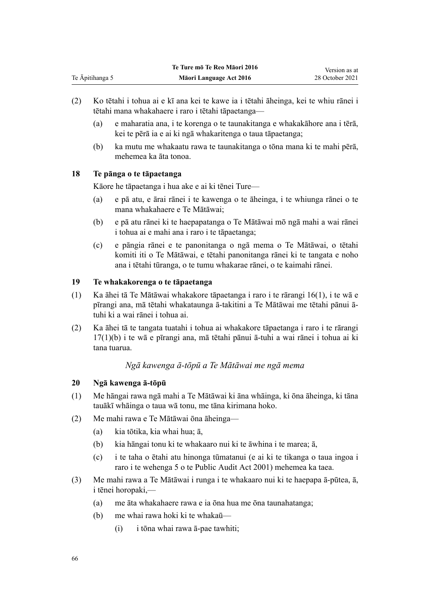- <span id="page-65-0"></span>(2) Ko tētahi i tohua ai e kī ana kei te kawe ia i tētahi āheinga, kei te whiu rānei i tētahi mana whakahaere i raro i tētahi tāpaetanga—
	- (a) e maharatia ana, i te korenga o te taunakitanga e whakakāhore ana i tērā, kei te pērā ia e ai ki ngā whakaritenga o taua tāpaetanga;
	- (b) ka mutu me whakaatu rawa te taunakitanga o tōna mana ki te mahi pērā, mehemea ka āta tonoa.

# **18 Te pānga o te tāpaetanga**

Kāore he tāpaetanga i hua ake e ai ki tēnei Ture—

- (a) e pā atu, e ārai rānei i te kawenga o te āheinga, i te whiunga rānei o te mana whakahaere e Te Mātāwai;
- (b) e pā atu rānei ki te haepapatanga o Te Mātāwai mō ngā mahi a wai rānei i tohua ai e mahi ana i raro i te tāpaetanga;
- (c) e pāngia rānei e te panonitanga o ngā mema o Te Mātāwai, o tētahi komiti iti o Te Mātāwai, e tētahi panonitanga rānei ki te tangata e noho ana i tētahi tūranga, o te tumu whakarae rānei, o te kaimahi rānei.

## **19 Te whakakorenga o te tāpaetanga**

- (1) Ka āhei tā Te Mātāwai whakakore tāpaetanga i raro i te [rārangi 16\(1\)](#page-64-0), i te wā e pīrangi ana, mā tētahi whakataunga ā-takitini a Te Mātāwai me tētahi pānui ātuhi ki a wai rānei i tohua ai.
- (2) Ka āhei tā te tangata tuatahi i tohua ai whakakore tāpaetanga i raro i te [rārangi](#page-64-0) [17\(1\)\(b\)](#page-64-0) i te wā e pīrangi ana, mā tētahi pānui ā-tuhi a wai rānei i tohua ai ki tana tuarua.

## *Ngā kawenga ā-tōpū a Te Mātāwai me ngā mema*

## **20 Ngā kawenga ā-tōpū**

- (1) Me hāngai rawa ngā mahi a Te Mātāwai ki āna whāinga, ki ōna āheinga, ki tāna tauākī whāinga o taua wā tonu, me tāna kirimana hoko.
- (2) Me mahi rawa e Te Mātāwai ōna āheinga—
	- (a) kia tōtika, kia whai hua; ā,
	- (b) kia hāngai tonu ki te whakaaro nui ki te āwhina i te marea; ā,
	- (c) i te taha o ētahi atu hinonga tūmatanui (e ai ki te tikanga o taua ingoa i raro i te [wehenga 5](http://legislation.govt.nz/pdflink.aspx?id=DLM88578) o te Public Audit Act 2001) mehemea ka taea.
- (3) Me mahi rawa a Te Mātāwai i runga i te whakaaro nui ki te haepapa ā-pūtea, ā, i tēnei horopaki,—
	- (a) me āta whakahaere rawa e ia ōna hua me ōna taunahatanga;
	- (b) me whai rawa hoki ki te whakaū—
		- (i) i tōna whai rawa ā-pae tawhiti;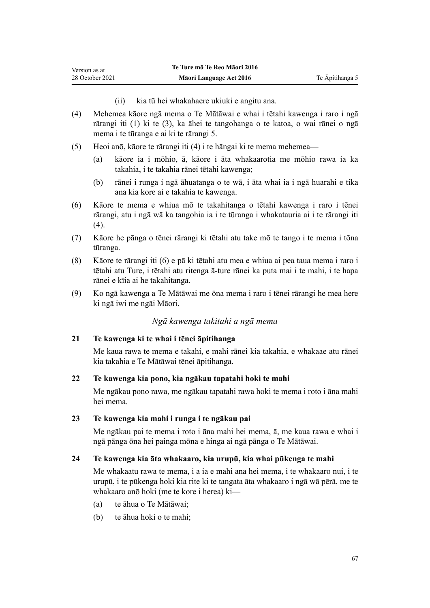(ii) kia tū hei whakahaere ukiuki e angitu ana.

- <span id="page-66-0"></span>(4) Mehemea kāore ngā mema o Te Mātāwai e whai i tētahi kawenga i raro i ngā rārangi iti (1) ki te (3), ka āhei te tangohanga o te katoa, o wai rānei o ngā mema i te tūranga e ai ki te rārangi 5.
- (5) Heoi anō, kāore te rārangi iti (4) i te hāngai ki te mema mehemea—
	- (a) kāore ia i mōhio, ā, kāore i āta whakaarotia me mōhio rawa ia ka takahia, i te takahia rānei tētahi kawenga;
	- (b) rānei i runga i ngā āhuatanga o te wā, i āta whai ia i ngā huarahi e tika ana kia kore ai e takahia te kawenga.
- (6) Kāore te mema e whiua mō te takahitanga o tētahi kawenga i raro i tēnei rārangi, atu i ngā wā ka tangohia ia i te tūranga i whakatauria ai i te rārangi iti (4).
- (7) Kāore he pānga o tēnei rārangi ki tētahi atu take mō te tango i te mema i tōna tūranga.
- (8) Kāore te rārangi iti (6) e pā ki tētahi atu mea e whiua ai pea taua mema i raro i tētahi atu Ture, i tētahi atu ritenga ā-ture rānei ka puta mai i te mahi, i te hapa rānei e kīia ai he takahitanga.
- (9) Ko ngā kawenga a Te Mātāwai me ōna mema i raro i tēnei rārangi he mea here ki ngā iwi me ngāi Māori.

## *Ngā kawenga takitahi a ngā mema*

### **21 Te kawenga ki te whai i tēnei āpitihanga**

Me kaua rawa te mema e takahi, e mahi rānei kia takahia, e whakaae atu rānei kia takahia e Te Mātāwai tēnei āpitihanga.

## **22 Te kawenga kia pono, kia ngākau tapatahi hoki te mahi**

Me ngākau pono rawa, me ngākau tapatahi rawa hoki te mema i roto i āna mahi hei mema.

### **23 Te kawenga kia mahi i runga i te ngākau pai**

Me ngākau pai te mema i roto i āna mahi hei mema, ā, me kaua rawa e whai i ngā pānga ōna hei painga mōna e hinga ai ngā pānga o Te Mātāwai.

## **24 Te kawenga kia āta whakaaro, kia urupū, kia whai pūkenga te mahi**

Me whakaatu rawa te mema, i a ia e mahi ana hei mema, i te whakaaro nui, i te urupū, i te pūkenga hoki kia rite ki te tangata āta whakaaro i ngā wā pērā, me te whakaaro anō hoki (me te kore i herea) ki—

- (a) te āhua o Te Mātāwai;
- (b) te āhua hoki o te mahi;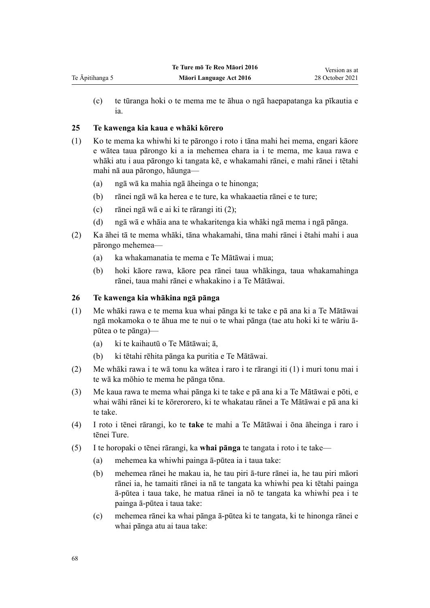(c) te tūranga hoki o te mema me te āhua o ngā haepapatanga ka pīkautia e ia.

# **25 Te kawenga kia kaua e whāki kōrero**

<span id="page-67-0"></span>Te Āpitihanga 5

- (1) Ko te mema ka whiwhi ki te pārongo i roto i tāna mahi hei mema, engari kāore e wātea taua pārongo ki a ia mehemea ehara ia i te mema, me kaua rawa e whāki atu i aua pārongo ki tangata kē, e whakamahi rānei, e mahi rānei i tētahi mahi nā aua pārongo, hāunga—
	- (a) ngā wā ka mahia ngā āheinga o te hinonga;
	- (b) rānei ngā wā ka herea e te ture, ka whakaaetia rānei e te ture;
	- (c) rānei ngā wā e ai ki te rārangi iti (2);
	- (d) ngā wā e whāia ana te whakaritenga kia whāki ngā mema i ngā pānga.
- (2) Ka āhei tā te mema whāki, tāna whakamahi, tāna mahi rānei i ētahi mahi i aua pārongo mehemea—
	- (a) ka whakamanatia te mema e Te Mātāwai i mua;
	- (b) hoki kāore rawa, kāore pea rānei taua whākinga, taua whakamahinga rānei, taua mahi rānei e whakakino i a Te Mātāwai.

## **26 Te kawenga kia whākina ngā pānga**

- (1) Me whāki rawa e te mema kua whai pānga ki te take e pā ana ki a Te Mātāwai ngā mokamoka o te āhua me te nui o te whai pānga (tae atu hoki ki te wāriu āpūtea o te pānga)—
	- (a) ki te kaihautū o Te Mātāwai; ā,
	- (b) ki tētahi rēhita pānga ka puritia e Te Mātāwai.
- (2) Me whāki rawa i te wā tonu ka wātea i raro i te rārangi iti (1) i muri tonu mai i te wā ka mōhio te mema he pānga tōna.
- (3) Me kaua rawa te mema whai pānga ki te take e pā ana ki a Te Mātāwai e pōti, e whai wāhi rānei ki te kōrerorero, ki te whakatau rānei a Te Mātāwai e pā ana ki te take.
- (4) I roto i tēnei rārangi, ko te **take** te mahi a Te Mātāwai i ōna āheinga i raro i tēnei Ture.
- (5) I te horopaki o tēnei rārangi, ka **whai pānga** te tangata i roto i te take—
	- (a) mehemea ka whiwhi painga ā-pūtea ia i taua take:
	- (b) mehemea rānei he makau ia, he tau piri ā-ture rānei ia, he tau piri māori rānei ia, he tamaiti rānei ia nā te tangata ka whiwhi pea ki tētahi painga ā-pūtea i taua take, he matua rānei ia nō te tangata ka whiwhi pea i te painga ā-pūtea i taua take:
	- (c) mehemea rānei ka whai pānga ā-pūtea ki te tangata, ki te hinonga rānei e whai pānga atu ai taua take: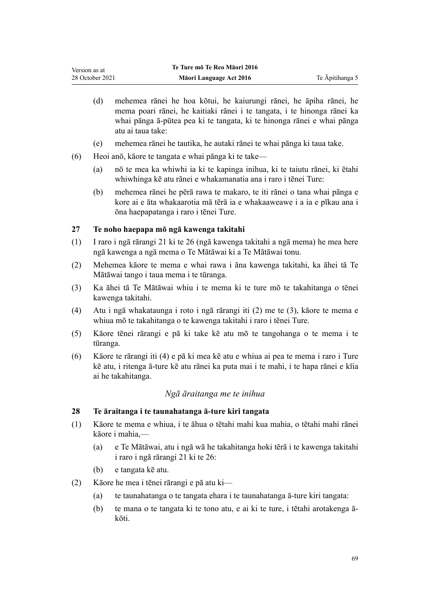- <span id="page-68-0"></span>(d) mehemea rānei he hoa kōtui, he kaiurungi rānei, he āpiha rānei, he mema poari rānei, he kaitiaki rānei i te tangata, i te hinonga rānei ka whai pānga ā-pūtea pea ki te tangata, ki te hinonga rānei e whai pānga atu ai taua take:
- (e) mehemea rānei he tautika, he autaki rānei te whai pānga ki taua take.
- (6) Heoi anō, kāore te tangata e whai pānga ki te take—
	- (a) nō te mea ka whiwhi ia ki te kapinga inihua, ki te taiutu rānei, ki ētahi whiwhinga kē atu rānei e whakamanatia ana i raro i tēnei Ture:
	- (b) mehemea rānei he pērā rawa te makaro, te iti rānei o tana whai pānga e kore ai e āta whakaarotia mā tērā ia e whakaaweawe i a ia e pīkau ana i ōna haepapatanga i raro i tēnei Ture.

## **27 Te noho haepapa mō ngā kawenga takitahi**

- (1) I raro i ngā [rārangi 21 ki te 26](#page-66-0) (ngā kawenga takitahi a ngā mema) he mea here ngā kawenga a ngā mema o Te Mātāwai ki a Te Mātāwai tonu.
- (2) Mehemea kāore te mema e whai rawa i āna kawenga takitahi, ka āhei tā Te Mātāwai tango i taua mema i te tūranga.
- (3) Ka āhei tā Te Mātāwai whiu i te mema ki te ture mō te takahitanga o tēnei kawenga takitahi.
- (4) Atu i ngā whakataunga i roto i ngā rārangi iti (2) me te (3), kāore te mema e whiua mō te takahitanga o te kawenga takitahi i raro i tēnei Ture.
- (5) Kāore tēnei rārangi e pā ki take kē atu mō te tangohanga o te mema i te tūranga.
- (6) Kāore te rārangi iti (4) e pā ki mea kē atu e whiua ai pea te mema i raro i Ture kē atu, i ritenga ā-ture kē atu rānei ka puta mai i te mahi, i te hapa rānei e kīia ai he takahitanga.

## *Ngā āraitanga me te inihua*

## **28 Te āraitanga i te taunahatanga ā-ture kiri tangata**

- (1) Kāore te mema e whiua, i te āhua o tētahi mahi kua mahia, o tētahi mahi rānei kāore i mahia,—
	- (a) e Te Mātāwai, atu i ngā wā he takahitanga hoki tērā i te kawenga takitahi i raro i ngā [rārangi 21 ki te 26:](#page-66-0)
	- (b) e tangata kē atu.
- (2) Kāore he mea i tēnei rārangi e pā atu ki—
	- (a) te taunahatanga o te tangata ehara i te taunahatanga ā-ture kiri tangata:
	- (b) te mana o te tangata ki te tono atu, e ai ki te ture, i tētahi arotakenga ākōti.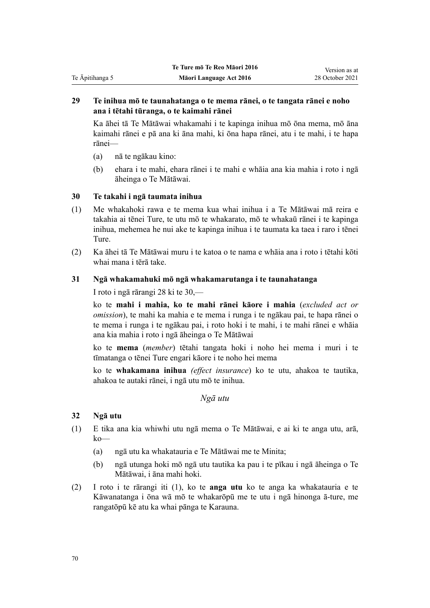# **29 Te inihua mō te taunahatanga o te mema rānei, o te tangata rānei e noho ana i tētahi tūranga, o te kaimahi rānei**

Ka āhei tā Te Mātāwai whakamahi i te kapinga inihua mō ōna mema, mō āna kaimahi rānei e pā ana ki āna mahi, ki ōna hapa rānei, atu i te mahi, i te hapa rānei—

(a) nā te ngākau kino:

<span id="page-69-0"></span>Te Āpitihanga 5

(b) ehara i te mahi, ehara rānei i te mahi e whāia ana kia mahia i roto i ngā āheinga o Te Mātāwai.

# **30 Te takahi i ngā taumata inihua**

- (1) Me whakahoki rawa e te mema kua whai inihua i a Te Mātāwai mā reira e takahia ai tēnei Ture, te utu mō te whakarato, mō te whakaū rānei i te kapinga inihua, mehemea he nui ake te kapinga inihua i te taumata ka taea i raro i tēnei Ture.
- (2) Ka āhei tā Te Mātāwai muru i te katoa o te nama e whāia ana i roto i tētahi kōti whai mana i tērā take.

# **31 Ngā whakamahuki mō ngā whakamarutanga i te taunahatanga**

I roto i ngā [rārangi 28 ki te 30](#page-68-0),—

ko te **mahi i mahia, ko te mahi rānei kāore i mahia** (*excluded act or omission*), te mahi ka mahia e te mema i runga i te ngākau pai, te hapa rānei o te mema i runga i te ngākau pai, i roto hoki i te mahi, i te mahi rānei e whāia ana kia mahia i roto i ngā āheinga o Te Mātāwai

ko te **mema** (*member*) tētahi tangata hoki i noho hei mema i muri i te tīmatanga o tēnei Ture engari kāore i te noho hei mema

ko te **whakamana inihua** *(effect insurance*) ko te utu, ahakoa te tautika, ahakoa te autaki rānei, i ngā utu mō te inihua.

*Ngā utu*

# **32 Ngā utu**

- (1) E tika ana kia whiwhi utu ngā mema o Te Mātāwai, e ai ki te anga utu, arā, ko—
	- (a) ngā utu ka whakatauria e Te Mātāwai me te Minita;
	- (b) ngā utunga hoki mō ngā utu tautika ka pau i te pīkau i ngā āheinga o Te Mātāwai, i āna mahi hoki.
- (2) I roto i te rārangi iti (1), ko te **anga utu** ko te anga ka whakatauria e te Kāwanatanga i ōna wā mō te whakarōpū me te utu i ngā hinonga ā-ture, me rangatōpū kē atu ka whai pānga te Karauna.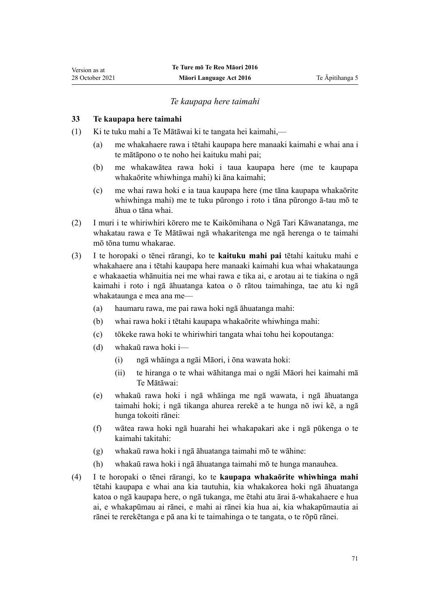## *Te kaupapa here taimahi*

## **33 Te kaupapa here taimahi**

<span id="page-70-0"></span>Version as at 28 October 2021

- (1) Ki te tuku mahi a Te Mātāwai ki te tangata hei kaimahi,—
	- (a) me whakahaere rawa i tētahi kaupapa here manaaki kaimahi e whai ana i te mātāpono o te noho hei kaituku mahi pai;
	- (b) me whakawātea rawa hoki i taua kaupapa here (me te kaupapa whakaōrite whiwhinga mahi) ki āna kaimahi;
	- (c) me whai rawa hoki e ia taua kaupapa here (me tāna kaupapa whakaōrite whiwhinga mahi) me te tuku pūrongo i roto i tāna pūrongo ā-tau mō te āhua o tāna whai.
- (2) I muri i te whiriwhiri kōrero me te Kaikōmihana o Ngā Tari Kāwanatanga, me whakatau rawa e Te Mātāwai ngā whakaritenga me ngā herenga o te taimahi mō tōna tumu whakarae.
- (3) I te horopaki o tēnei rārangi, ko te **kaituku mahi pai** tētahi kaituku mahi e whakahaere ana i tētahi kaupapa here manaaki kaimahi kua whai whakataunga e whakaaetia whānuitia nei me whai rawa e tika ai, e arotau ai te tiakina o ngā kaimahi i roto i ngā āhuatanga katoa o ō rātou taimahinga, tae atu ki ngā whakataunga e mea ana me—
	- (a) haumaru rawa, me pai rawa hoki ngā āhuatanga mahi:
	- (b) whai rawa hoki i tētahi kaupapa whakaōrite whiwhinga mahi:
	- (c) tōkeke rawa hoki te whiriwhiri tangata whai tohu hei kopoutanga:
	- (d) whakaū rawa hoki i—
		- (i) ngā whāinga a ngāi Māori, i ōna wawata hoki:
		- (ii) te hiranga o te whai wāhitanga mai o ngāi Māori hei kaimahi mā Te Mātāwai:
	- (e) whakaū rawa hoki i ngā whāinga me ngā wawata, i ngā āhuatanga taimahi hoki; i ngā tikanga ahurea rerekē a te hunga nō iwi kē, a ngā hunga tokoiti rānei:
	- (f) wātea rawa hoki ngā huarahi hei whakapakari ake i ngā pūkenga o te kaimahi takitahi:
	- (g) whakaū rawa hoki i ngā āhuatanga taimahi mō te wāhine:
	- (h) whakaū rawa hoki i ngā āhuatanga taimahi mō te hunga manauhea.
- (4) I te horopaki o tēnei rārangi, ko te **kaupapa whakaōrite whiwhinga mahi** tētahi kaupapa e whai ana kia tautuhia, kia whakakorea hoki ngā āhuatanga katoa o ngā kaupapa here, o ngā tukanga, me ētahi atu ārai ā-whakahaere e hua ai, e whakapūmau ai rānei, e mahi ai rānei kia hua ai, kia whakapūmautia ai rānei te rerekētanga e pā ana ki te taimahinga o te tangata, o te rōpū rānei.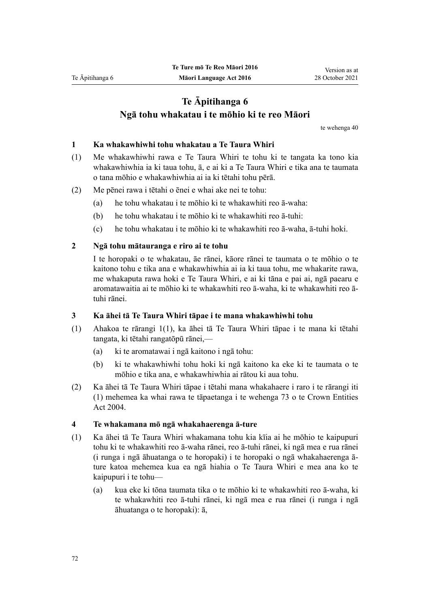# **Te Āpitihanga 6 Ngā tohu whakatau i te mōhio ki te reo Māori**

te [wehenga 40](#page-24-0)

## **1 Ka whakawhiwhi tohu whakatau a Te Taura Whiri**

- (1) Me whakawhiwhi rawa e Te Taura Whiri te tohu ki te tangata ka tono kia whakawhiwhia ia ki taua tohu, ā, e ai ki a Te Taura Whiri e tika ana te taumata o tana mōhio e whakawhiwhia ai ia ki tētahi tohu pērā.
- (2) Me pēnei rawa i tētahi o ēnei e whai ake nei te tohu:
	- (a) he tohu whakatau i te mōhio ki te whakawhiti reo ā-waha:
	- (b) he tohu whakatau i te mōhio ki te whakawhiti reo ā-tuhi:
	- (c) he tohu whakatau i te mōhio ki te whakawhiti reo ā-waha, ā-tuhi hoki.

#### **2 Ngā tohu mātauranga e riro ai te tohu**

I te horopaki o te whakatau, āe rānei, kāore rānei te taumata o te mōhio o te kaitono tohu e tika ana e whakawhiwhia ai ia ki taua tohu, me whakarite rawa, me whakaputa rawa hoki e Te Taura Whiri, e ai ki tāna e pai ai, ngā paearu e aromatawaitia ai te mōhio ki te whakawhiti reo ā-waha, ki te whakawhiti reo ātuhi rānei.

#### **3 Ka āhei tā Te Taura Whiri tāpae i te mana whakawhiwhi tohu**

- (1) Ahakoa te [rārangi 1\(1\)](#page-73-0), ka āhei tā Te Taura Whiri tāpae i te mana ki tētahi tangata, ki tētahi rangatōpū rānei,—
	- (a) ki te aromatawai i ngā kaitono i ngā tohu:
	- (b) ki te whakawhiwhi tohu hoki ki ngā kaitono ka eke ki te taumata o te mōhio e tika ana, e whakawhiwhia ai rātou ki aua tohu.
- (2) Ka āhei tā Te Taura Whiri tāpae i tētahi mana whakahaere i raro i te rārangi iti (1) mehemea ka whai rawa te tāpaetanga i te [wehenga 73](http://legislation.govt.nz/pdflink.aspx?id=DLM330308) o te Crown Entities Act 2004.

#### **4 Te whakamana mō ngā whakahaerenga ā-ture**

- (1) Ka āhei tā Te Taura Whiri whakamana tohu kia kīia ai he mōhio te kaipupuri tohu ki te whakawhiti reo ā-waha rānei, reo ā-tuhi rānei, ki ngā mea e rua rānei (i runga i ngā āhuatanga o te horopaki) i te horopaki o ngā whakahaerenga āture katoa mehemea kua ea ngā hiahia o Te Taura Whiri e mea ana ko te kaipupuri i te tohu—
	- (a) kua eke ki tōna taumata tika o te mōhio ki te whakawhiti reo ā-waha, ki te whakawhiti reo ā-tuhi rānei, ki ngā mea e rua rānei (i runga i ngā āhuatanga o te horopaki): ā,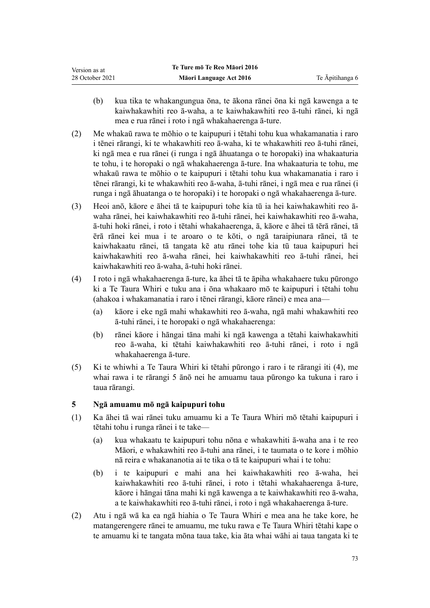- <span id="page-72-0"></span>(b) kua tika te whakangungua ōna, te ākona rānei ōna ki ngā kawenga a te kaiwhakawhiti reo ā-waha, a te kaiwhakawhiti reo ā-tuhi rānei, ki ngā mea e rua rānei i roto i ngā whakahaerenga ā-ture.
- (2) Me whakaū rawa te mōhio o te kaipupuri i tētahi tohu kua whakamanatia i raro i tēnei rārangi, ki te whakawhiti reo ā-waha, ki te whakawhiti reo ā-tuhi rānei, ki ngā mea e rua rānei (i runga i ngā āhuatanga o te horopaki) ina whakaaturia te tohu, i te horopaki o ngā whakahaerenga ā-ture. Ina whakaaturia te tohu, me whakaū rawa te mōhio o te kaipupuri i tētahi tohu kua whakamanatia i raro i tēnei rārangi, ki te whakawhiti reo ā-waha, ā-tuhi rānei, i ngā mea e rua rānei (i runga i ngā āhuatanga o te horopaki) i te horopaki o ngā whakahaerenga ā-ture.
- (3) Heoi anō, kāore e āhei tā te kaipupuri tohe kia tū ia hei kaiwhakawhiti reo āwaha rānei, hei kaiwhakawhiti reo ā-tuhi rānei, hei kaiwhakawhiti reo ā-waha, ā-tuhi hoki rānei, i roto i tētahi whakahaerenga, ā, kāore e āhei tā tērā rānei, tā ērā rānei kei mua i te aroaro o te kōti, o ngā taraipiunara rānei, tā te kaiwhakaatu rānei, tā tangata kē atu rānei tohe kia tū taua kaipupuri hei kaiwhakawhiti reo ā-waha rānei, hei kaiwhakawhiti reo ā-tuhi rānei, hei kaiwhakawhiti reo ā-waha, ā-tuhi hoki rānei.
- (4) I roto i ngā whakahaerenga ā-ture, ka āhei tā te āpiha whakahaere tuku pūrongo ki a Te Taura Whiri e tuku ana i ōna whakaaro mō te kaipupuri i tētahi tohu (ahakoa i whakamanatia i raro i tēnei rārangi, kāore rānei) e mea ana—
	- (a) kāore i eke ngā mahi whakawhiti reo ā-waha, ngā mahi whakawhiti reo ā-tuhi rānei, i te horopaki o ngā whakahaerenga:
	- (b) rānei kāore i hāngai tāna mahi ki ngā kawenga a tētahi kaiwhakawhiti reo ā-waha, ki tētahi kaiwhakawhiti reo ā-tuhi rānei, i roto i ngā whakahaerenga ā-ture.
- (5) Ki te whiwhi a Te Taura Whiri ki tētahi pūrongo i raro i te rārangi iti (4), me whai rawa i te rārangi 5 ānō nei he amuamu taua pūrongo ka tukuna i raro i taua rārangi.

### **5 Ngā amuamu mō ngā kaipupuri tohu**

- (1) Ka āhei tā wai rānei tuku amuamu ki a Te Taura Whiri mō tētahi kaipupuri i tētahi tohu i runga rānei i te take—
	- (a) kua whakaatu te kaipupuri tohu nōna e whakawhiti ā-waha ana i te reo Māori, e whakawhiti reo ā-tuhi ana rānei, i te taumata o te kore i mōhio nā reira e whakananotia ai te tika o tā te kaipupuri whai i te tohu:
	- (b) i te kaipupuri e mahi ana hei kaiwhakawhiti reo ā-waha, hei kaiwhakawhiti reo ā-tuhi rānei, i roto i tētahi whakahaerenga ā-ture, kāore i hāngai tāna mahi ki ngā kawenga a te kaiwhakawhiti reo ā-waha, a te kaiwhakawhiti reo ā-tuhi rānei, i roto i ngā whakahaerenga ā-ture.
- (2) Atu i ngā wā ka ea ngā hiahia o Te Taura Whiri e mea ana he take kore, he matangerengere rānei te amuamu, me tuku rawa e Te Taura Whiri tētahi kape o te amuamu ki te tangata mōna taua take, kia āta whai wāhi ai taua tangata ki te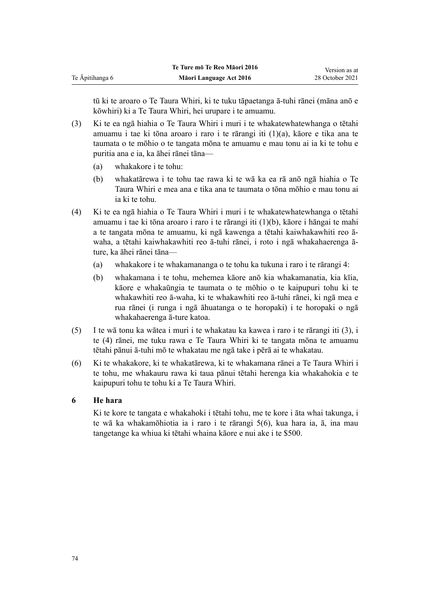tū ki te aroaro o Te Taura Whiri, ki te tuku tāpaetanga ā-tuhi rānei (māna anō e kōwhiri) ki a Te Taura Whiri, hei urupare i te amuamu.

- (3) Ki te ea ngā hiahia o Te Taura Whiri i muri i te whakatewhatewhanga o tētahi amuamu i tae ki tōna aroaro i raro i te rārangi iti (1)(a), kāore e tika ana te taumata o te mōhio o te tangata mōna te amuamu e mau tonu ai ia ki te tohu e puritia ana e ia, ka āhei rānei tāna—
	- (a) whakakore i te tohu:
	- (b) whakatārewa i te tohu tae rawa ki te wā ka ea rā anō ngā hiahia o Te Taura Whiri e mea ana e tika ana te taumata o tōna mōhio e mau tonu ai ia ki te tohu.
- (4) Ki te ea ngā hiahia o Te Taura Whiri i muri i te whakatewhatewhanga o tētahi amuamu i tae ki tōna aroaro i raro i te rārangi iti (1)(b), kāore i hāngai te mahi a te tangata mōna te amuamu, ki ngā kawenga a tētahi kaiwhakawhiti reo āwaha, a tētahi kaiwhakawhiti reo ā-tuhi rānei, i roto i ngā whakahaerenga āture, ka āhei rānei tāna—
	- (a) whakakore i te whakamananga o te tohu ka tukuna i raro i te [rārangi 4](#page-71-0):
	- (b) whakamana i te tohu, mehemea kāore anō kia whakamanatia, kia kīia, kāore e whakaūngia te taumata o te mōhio o te kaipupuri tohu ki te whakawhiti reo ā-waha, ki te whakawhiti reo ā-tuhi rānei, ki ngā mea e rua rānei (i runga i ngā āhuatanga o te horopaki) i te horopaki o ngā whakahaerenga ā-ture katoa.
- (5) I te wā tonu ka wātea i muri i te whakatau ka kawea i raro i te rārangi iti (3), i te (4) rānei, me tuku rawa e Te Taura Whiri ki te tangata mōna te amuamu tētahi pānui ā-tuhi mō te whakatau me ngā take i pērā ai te whakatau.
- (6) Ki te whakakore, ki te whakatārewa, ki te whakamana rānei a Te Taura Whiri i te tohu, me whakauru rawa ki taua pānui tētahi herenga kia whakahokia e te kaipupuri tohu te tohu ki a Te Taura Whiri.

#### **6 He hara**

Ki te kore te tangata e whakahoki i tētahi tohu, me te kore i āta whai takunga, i te wā ka whakamōhiotia ia i raro i te [rārangi 5\(6\),](#page-72-0) kua hara ia, ā, ina mau tangetange ka whiua ki tētahi whaina kāore e nui ake i te \$500.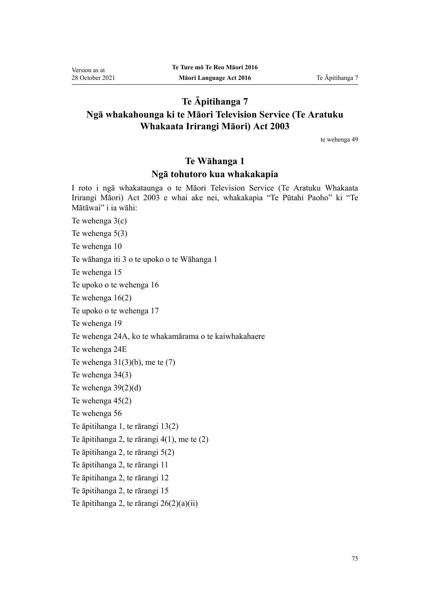## **Te Āpitihanga 7**

## **Ngā whakahounga ki te Māori Television Service (Te Aratuku Whakaata Irirangi Māori) Act 2003**

te [wehenga 49](#page-28-0)

## **Te Wāhanga 1**

### **Ngā tohutoro kua whakakapia**

I roto i ngā whakataunga o te [Māori Television Service \(Te Aratuku Whakaata](http://legislation.govt.nz/pdflink.aspx?id=DLM193695) [Irirangi Māori\) Act 2003](http://legislation.govt.nz/pdflink.aspx?id=DLM193695) e whai ake nei, whakakapia "Te Pūtahi Paoho" ki "Te Mātāwai" i ia wāhi:

Te [wehenga 3\(c\)](http://legislation.govt.nz/pdflink.aspx?id=DLM194305)

Te [wehenga 5\(3\)](http://legislation.govt.nz/pdflink.aspx?id=DLM194307)

Te [wehenga 10](http://legislation.govt.nz/pdflink.aspx?id=DLM194347)

Te [wāhanga iti 3](http://legislation.govt.nz/pdflink.aspx?id=DLM194349) o te upoko o te Wāhanga 1

Te [wehenga 15](http://legislation.govt.nz/pdflink.aspx?id=DLM194353)

Te upoko o te [wehenga 16](http://legislation.govt.nz/pdflink.aspx?id=DLM194354)

Te [wehenga 16\(2\)](http://legislation.govt.nz/pdflink.aspx?id=DLM194354)

Te upoko o te [wehenga 17](http://legislation.govt.nz/pdflink.aspx?id=DLM194356)

Te [wehenga 19](http://legislation.govt.nz/pdflink.aspx?id=DLM194362)

Te [wehenga 24A,](http://legislation.govt.nz/pdflink.aspx?id=DLM5770062) ko te whakamārama o te kaiwhakahaere

Te [wehenga 24E](http://legislation.govt.nz/pdflink.aspx?id=DLM5770069)

Te wehenga  $31(3)(b)$ , me te (7)

Te [wehenga 34\(3\)](http://legislation.govt.nz/pdflink.aspx?id=DLM194506)

Te [wehenga 39\(2\)\(d\)](http://legislation.govt.nz/pdflink.aspx?id=DLM194512)

Te [wehenga 45\(2\)](http://legislation.govt.nz/pdflink.aspx?id=DLM194521)

Te [wehenga 56](http://legislation.govt.nz/pdflink.aspx?id=DLM194559)

Te āpitihanga 1, te [rārangi 13\(2\)](http://legislation.govt.nz/pdflink.aspx?id=DLM194585)

Te āpitihanga 2, te [rārangi 4\(1\), me te \(2\)](http://legislation.govt.nz/pdflink.aspx?id=DLM194901)

Te āpitihanga 2, te [rārangi 5\(2\)](http://legislation.govt.nz/pdflink.aspx?id=DLM194903)

Te āpitihanga 2, te [rārangi 11](http://legislation.govt.nz/pdflink.aspx?id=DLM194912)

Te āpitihanga 2, te [rārangi 12](http://legislation.govt.nz/pdflink.aspx?id=DLM194913)

Te āpitihanga 2, te [rārangi 15](http://legislation.govt.nz/pdflink.aspx?id=DLM194917)

Te āpitihanga 2, te [rārangi 26\(2\)\(a\)\(ii\)](http://legislation.govt.nz/pdflink.aspx?id=DLM194939)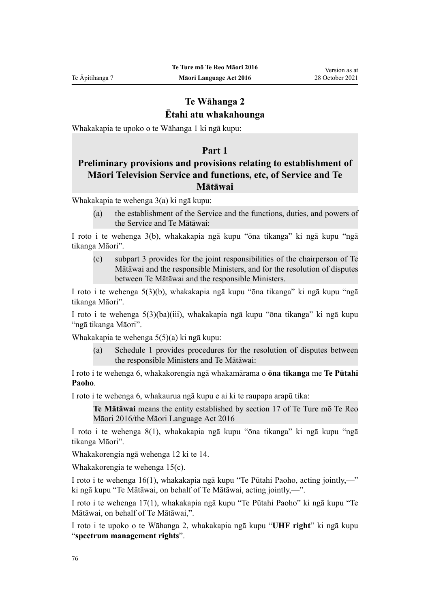## **Te Wāhanga 2 Ētahi atu whakahounga**

Whakakapia te upoko o te [Wāhanga 1](http://legislation.govt.nz/pdflink.aspx?id=DLM194302) ki ngā kupu:

### **Part 1**

## **Preliminary provisions and provisions relating to establishment of Māori Television Service and functions, etc, of Service and Te Mātāwai**

Whakakapia te [wehenga 3\(a\)](http://legislation.govt.nz/pdflink.aspx?id=DLM194305) ki ngā kupu:

(a) the establishment of the Service and the functions, duties, and powers of the Service and Te Mātāwai:

I roto i te [wehenga 3\(b\),](http://legislation.govt.nz/pdflink.aspx?id=DLM194305) whakakapia ngā kupu "ōna tikanga" ki ngā kupu "ngā tikanga Māori".

(c) subpart 3 provides for the joint responsibilities of the chairperson of Te Mātāwai and the responsible Ministers, and for the resolution of disputes between Te Mātāwai and the responsible Ministers.

I roto i te [wehenga 5\(3\)\(b\)](http://legislation.govt.nz/pdflink.aspx?id=DLM194307), whakakapia ngā kupu "ōna tikanga" ki ngā kupu "ngā tikanga Māori".

I roto i te [wehenga 5\(3\)\(ba\)\(iii\)](http://legislation.govt.nz/pdflink.aspx?id=DLM194307), whakakapia ngā kupu "ōna tikanga" ki ngā kupu "ngā tikanga Māori".

Whakakapia te [wehenga 5\(5\)\(a\)](http://legislation.govt.nz/pdflink.aspx?id=DLM194307) ki ngā kupu:

Schedule 1 provides procedures for the resolution of disputes between the responsible Ministers and Te Mātāwai:

I roto i te [wehenga 6](http://legislation.govt.nz/pdflink.aspx?id=DLM194308), whakakorengia ngā whakamārama o **ōna tikanga** me **Te Pūtahi Paoho**.

I roto i te [wehenga 6](http://legislation.govt.nz/pdflink.aspx?id=DLM194308), whakaurua ngā kupu e ai ki te raupapa arapū tika:

**Te Mātāwai** means the entity established by section 17 of Te Ture mō Te Reo Māori 2016/the Māori Language Act 2016

I roto i te [wehenga 8\(1\),](http://legislation.govt.nz/pdflink.aspx?id=DLM194345) whakakapia ngā kupu "ōna tikanga" ki ngā kupu "ngā tikanga Māori".

Whakakorengia ngā [wehenga 12 ki te 14.](http://legislation.govt.nz/pdflink.aspx?id=DLM194350)

Whakakorengia te [wehenga 15\(c\)](http://legislation.govt.nz/pdflink.aspx?id=DLM194353).

I roto i te [wehenga 16\(1\)](http://legislation.govt.nz/pdflink.aspx?id=DLM194354), whakakapia ngā kupu "Te Pūtahi Paoho, acting jointly,—" ki ngā kupu "Te Mātāwai, on behalf of Te Mātāwai, acting jointly,—".

I roto i te [wehenga 17\(1\)](http://legislation.govt.nz/pdflink.aspx?id=DLM194356), whakakapia ngā kupu "Te Pūtahi Paoho" ki ngā kupu "Te Mātāwai, on behalf of Te Mātāwai,".

I roto i te upoko o te [Wāhanga 2](http://legislation.govt.nz/pdflink.aspx?id=DLM194357), whakakapia ngā kupu "**UHF right**" ki ngā kupu "**spectrum management rights**".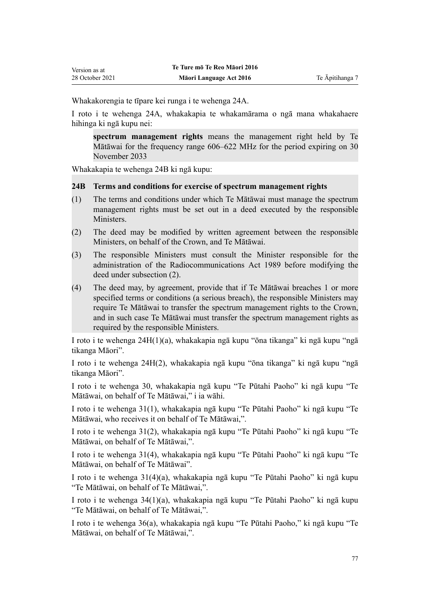Whakakorengia te tīpare kei runga i te [wehenga 24A.](http://legislation.govt.nz/pdflink.aspx?id=DLM5770062)

I roto i te [wehenga 24A,](http://legislation.govt.nz/pdflink.aspx?id=DLM5770062) whakakapia te whakamārama o ngā mana whakahaere hihinga ki ngā kupu nei:

**spectrum management rights** means the management right held by Te Mātāwai for the frequency range 606–622 MHz for the period expiring on 30 November 2033

Whakakapia te [wehenga 24B](http://legislation.govt.nz/pdflink.aspx?id=DLM5766940) ki ngā kupu:

### **24B Terms and conditions for exercise of spectrum management rights**

- (1) The terms and conditions under which Te Mātāwai must manage the spectrum management rights must be set out in a deed executed by the responsible Ministers.
- (2) The deed may be modified by written agreement between the responsible Ministers, on behalf of the Crown, and Te Mātāwai.
- (3) The responsible Ministers must consult the Minister responsible for the administration of the Radiocommunications Act 1989 before modifying the deed under subsection (2).
- (4) The deed may, by agreement, provide that if Te Mātāwai breaches 1 or more specified terms or conditions (a serious breach), the responsible Ministers may require Te Mātāwai to transfer the spectrum management rights to the Crown, and in such case Te Mātāwai must transfer the spectrum management rights as required by the responsible Ministers.

I roto i te [wehenga 24H\(1\)\(a\),](http://legislation.govt.nz/pdflink.aspx?id=DLM5770075) whakakapia ngā kupu "ōna tikanga" ki ngā kupu "ngā tikanga Māori".

I roto i te [wehenga 24H\(2\),](http://legislation.govt.nz/pdflink.aspx?id=DLM5770075) whakakapia ngā kupu "ōna tikanga" ki ngā kupu "ngā tikanga Māori".

I roto i te [wehenga 30](http://legislation.govt.nz/pdflink.aspx?id=DLM194500), whakakapia ngā kupu "Te Pūtahi Paoho" ki ngā kupu "Te Mātāwai, on behalf of Te Mātāwai," i ia wāhi.

I roto i te [wehenga 31\(1\)](http://legislation.govt.nz/pdflink.aspx?id=DLM194502), whakakapia ngā kupu "Te Pūtahi Paoho" ki ngā kupu "Te Mātāwai, who receives it on behalf of Te Mātāwai,".

I roto i te [wehenga 31\(2\)](http://legislation.govt.nz/pdflink.aspx?id=DLM194502), whakakapia ngā kupu "Te Pūtahi Paoho" ki ngā kupu "Te Mātāwai, on behalf of Te Mātāwai,".

I roto i te [wehenga 31\(4\)](http://legislation.govt.nz/pdflink.aspx?id=DLM194502), whakakapia ngā kupu "Te Pūtahi Paoho" ki ngā kupu "Te Mātāwai, on behalf of Te Mātāwai".

I roto i te [wehenga 31\(4\)\(a\),](http://legislation.govt.nz/pdflink.aspx?id=DLM194502) whakakapia ngā kupu "Te Pūtahi Paoho" ki ngā kupu "Te Mātāwai, on behalf of Te Mātāwai,".

I roto i te [wehenga 34\(1\)\(a\),](http://legislation.govt.nz/pdflink.aspx?id=DLM194506) whakakapia ngā kupu "Te Pūtahi Paoho" ki ngā kupu "Te Mātāwai, on behalf of Te Mātāwai,".

I roto i te [wehenga 36\(a\),](http://legislation.govt.nz/pdflink.aspx?id=DLM194508) whakakapia ngā kupu "Te Pūtahi Paoho," ki ngā kupu "Te Mātāwai, on behalf of Te Mātāwai,".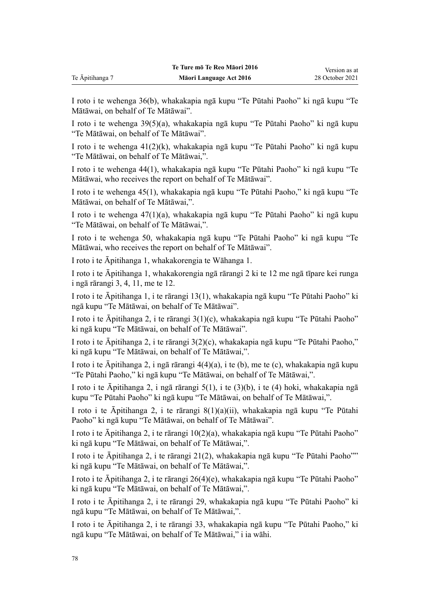I roto i te [wehenga 36\(b\)](http://legislation.govt.nz/pdflink.aspx?id=DLM194508), whakakapia ngā kupu "Te Pūtahi Paoho" ki ngā kupu "Te Mātāwai, on behalf of Te Mātāwai".

I roto i te [wehenga 39\(5\)\(a\),](http://legislation.govt.nz/pdflink.aspx?id=DLM194512) whakakapia ngā kupu "Te Pūtahi Paoho" ki ngā kupu "Te Mātāwai, on behalf of Te Mātāwai".

I roto i te [wehenga 41\(2\)\(k\)](http://legislation.govt.nz/pdflink.aspx?id=DLM194515), whakakapia ngā kupu "Te Pūtahi Paoho" ki ngā kupu "Te Mātāwai, on behalf of Te Mātāwai,".

I roto i te [wehenga 44\(1\)](http://legislation.govt.nz/pdflink.aspx?id=DLM194519), whakakapia ngā kupu "Te Pūtahi Paoho" ki ngā kupu "Te Mātāwai, who receives the report on behalf of Te Mātāwai".

I roto i te [wehenga 45\(1\)](http://legislation.govt.nz/pdflink.aspx?id=DLM194521), whakakapia ngā kupu "Te Pūtahi Paoho," ki ngā kupu "Te Mātāwai, on behalf of Te Mātāwai,".

I roto i te [wehenga 47\(1\)\(a\),](http://legislation.govt.nz/pdflink.aspx?id=DLM194523) whakakapia ngā kupu "Te Pūtahi Paoho" ki ngā kupu "Te Mātāwai, on behalf of Te Mātāwai,".

I roto i te [wehenga 50](http://legislation.govt.nz/pdflink.aspx?id=DLM194551), whakakapia ngā kupu "Te Pūtahi Paoho" ki ngā kupu "Te Mātāwai, who receives the report on behalf of Te Mātāwai".

I roto i te Āpitihanga 1, whakakorengia te [Wāhanga 1](http://legislation.govt.nz/pdflink.aspx?id=DLM194566).

I roto i te Āpitihanga 1, whakakorengia ngā [rārangi 2 ki te 12](http://legislation.govt.nz/pdflink.aspx?id=DLM194569) me ngā tīpare kei runga i ngā [rārangi 3,](http://legislation.govt.nz/pdflink.aspx?id=DLM194571) [4](http://legislation.govt.nz/pdflink.aspx?id=DLM194573), [11](http://legislation.govt.nz/pdflink.aspx?id=DLM194581), me te [12.](http://legislation.govt.nz/pdflink.aspx?id=DLM194583)

I roto i te Āpitihanga 1, i te [rārangi 13\(1\),](http://legislation.govt.nz/pdflink.aspx?id=DLM194585) whakakapia ngā kupu "Te Pūtahi Paoho" ki ngā kupu "Te Mātāwai, on behalf of Te Mātāwai".

I roto i te Āpitihanga 2, i te [rārangi 3\(1\)\(c\),](http://legislation.govt.nz/pdflink.aspx?id=DLM194900) whakakapia ngā kupu "Te Pūtahi Paoho" ki ngā kupu "Te Mātāwai, on behalf of Te Mātāwai".

I roto i te Āpitihanga 2, i te [rārangi 3\(2\)\(c\)](http://legislation.govt.nz/pdflink.aspx?id=DLM194900), whakakapia ngā kupu "Te Pūtahi Paoho," ki ngā kupu "Te Mātāwai, on behalf of Te Mātāwai,".

I roto i te Āpitihanga 2, i ngā [rārangi 4\(4\)\(a\), i te \(b\), me te \(c\)](http://legislation.govt.nz/pdflink.aspx?id=DLM194901), whakakapia ngā kupu "Te Pūtahi Paoho," ki ngā kupu "Te Mātāwai, on behalf of Te Mātāwai,".

I roto i te Āpitihanga 2, i ngā [rārangi 5\(1\), i te \(3\)\(b\), i te \(4\)](http://legislation.govt.nz/pdflink.aspx?id=DLM194903) hoki, whakakapia ngā kupu "Te Pūtahi Paoho" ki ngā kupu "Te Mātāwai, on behalf of Te Mātāwai,".

I roto i te Āpitihanga 2, i te [rārangi 8\(1\)\(a\)\(ii\),](http://legislation.govt.nz/pdflink.aspx?id=DLM194908) whakakapia ngā kupu "Te Pūtahi Paoho" ki ngā kupu "Te Mātāwai, on behalf of Te Mātāwai".

I roto i te Āpitihanga 2, i te [rārangi 10\(2\)\(a\)](http://legislation.govt.nz/pdflink.aspx?id=DLM194910), whakakapia ngā kupu "Te Pūtahi Paoho" ki ngā kupu "Te Mātāwai, on behalf of Te Mātāwai,".

I roto i te Āpitihanga 2, i te [rārangi 21\(2\)](http://legislation.govt.nz/pdflink.aspx?id=DLM194926), whakakapia ngā kupu "Te Pūtahi Paoho"" ki ngā kupu "Te Mātāwai, on behalf of Te Mātāwai,".

I roto i te Āpitihanga 2, i te [rārangi 26\(4\)\(e\)](http://legislation.govt.nz/pdflink.aspx?id=DLM194939), whakakapia ngā kupu "Te Pūtahi Paoho" ki ngā kupu "Te Mātāwai, on behalf of Te Mātāwai,".

I roto i te Āpitihanga 2, i te [rārangi 29](http://legislation.govt.nz/pdflink.aspx?id=DLM194943), whakakapia ngā kupu "Te Pūtahi Paoho" ki ngā kupu "Te Mātāwai, on behalf of Te Mātāwai,".

I roto i te Āpitihanga 2, i te [rārangi 33](http://legislation.govt.nz/pdflink.aspx?id=DLM194948), whakakapia ngā kupu "Te Pūtahi Paoho," ki ngā kupu "Te Mātāwai, on behalf of Te Mātāwai," i ia wāhi.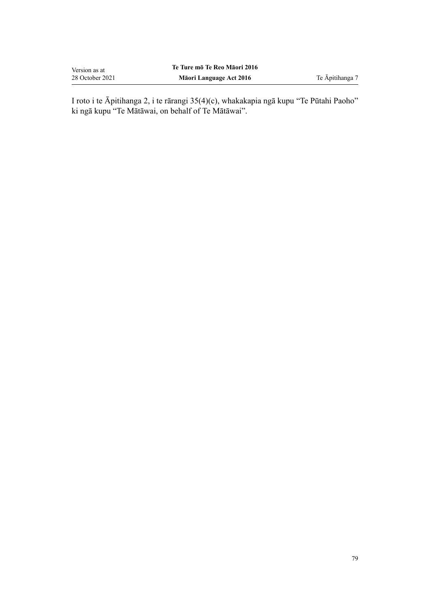| Version as at   | Te Ture mō Te Reo Māori 2016 |
|-----------------|------------------------------|
| 28 October 2021 | Māori Language Act 2016      |

I roto i te Āpitihanga 2, i te [rārangi 35\(4\)\(c\)](http://legislation.govt.nz/pdflink.aspx?id=DLM194953), whakakapia ngā kupu "Te Pūtahi Paoho" ki ngā kupu "Te Mātāwai, on behalf of Te Mātāwai".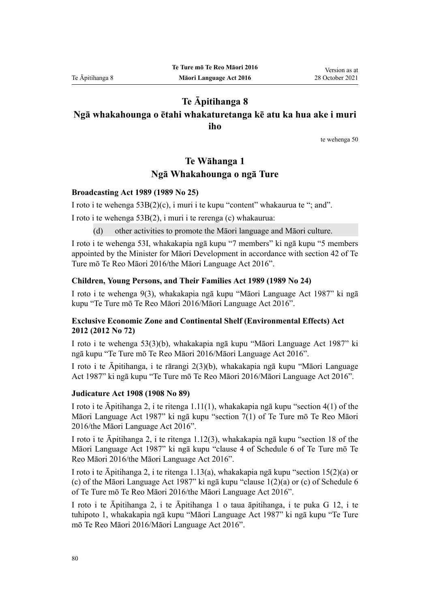## **Te Āpitihanga 8 Ngā whakahounga o ētahi whakaturetanga kē atu ka hua ake i muri**

**iho**

te [wehenga 50](#page-28-0)

# **Te Wāhanga 1 Ngā Whakahounga o ngā Ture**

#### **Broadcasting Act 1989 (1989 No 25)**

I roto i te [wehenga 53B\(2\)\(c\),](http://legislation.govt.nz/pdflink.aspx?id=DLM158060) i muri i te kupu "content" whakaurua te "; and".

I roto i te [wehenga 53B\(2\),](http://legislation.govt.nz/pdflink.aspx?id=DLM158060) i muri i te rerenga (c) whakaurua:

(d) other activities to promote the Māori language and Māori culture.

I roto i te [wehenga 53I,](http://legislation.govt.nz/pdflink.aspx?id=DLM158077) whakakapia ngā kupu "7 members" ki ngā kupu "5 members appointed by the Minister for Māori Development in accordance with section 42 of Te Ture mō Te Reo Māori 2016/the Māori Language Act 2016".

#### **Children, Young Persons, and Their Families Act 1989 (1989 No 24)**

I roto i te [wehenga 9\(3\)](http://legislation.govt.nz/pdflink.aspx?id=DLM149448), whakakapia ngā kupu "Māori Language Act 1987" ki ngā kupu "Te Ture mō Te Reo Māori 2016/Māori Language Act 2016".

### **Exclusive Economic Zone and Continental Shelf (Environmental Effects) Act 2012 (2012 No 72)**

I roto i te [wehenga 53\(3\)\(b\)](http://legislation.govt.nz/pdflink.aspx?id=DLM3956205), whakakapia ngā kupu "Māori Language Act 1987" ki ngā kupu "Te Ture mō Te Reo Māori 2016/Māori Language Act 2016".

I roto i te Āpitihanga, i te [rārangi 2\(3\)\(b\)](http://legislation.govt.nz/pdflink.aspx?id=DLM5968421), whakakapia ngā kupu "Māori Language Act 1987" ki ngā kupu "Te Ture mō Te Reo Māori 2016/Māori Language Act 2016".

#### **Judicature Act 1908 (1908 No 89)**

I roto i te Āpitihanga 2, i te [ritenga 1.11\(1\),](http://legislation.govt.nz/pdflink.aspx?id=DLM1818550) whakakapia ngā kupu "section 4(1) of the Māori Language Act 1987" ki ngā kupu "section 7(1) of Te Ture mō Te Reo Māori 2016/the Māori Language Act 2016".

I roto i te Āpitihanga 2, i te [ritenga 1.12\(3\)](http://legislation.govt.nz/pdflink.aspx?id=DLM1818551), whakakapia ngā kupu "section 18 of the Māori Language Act 1987" ki ngā kupu "clause 4 of Schedule 6 of Te Ture mō Te Reo Māori 2016/the Māori Language Act 2016".

I roto i te Āpitihanga 2, i te ritenga 1.13(a), whakakapia ngā kupu "section 15(2)(a) or (c) of the Māori Language Act 1987" ki ngā kupu "clause 1(2)(a) or (c) of Schedule 6 of Te Ture mō Te Reo Māori 2016/the Māori Language Act 2016".

I roto i te Āpitihanga 2, i te Āpitihanga 1 o taua āpitihanga, i te [puka G 12](http://legislation.govt.nz/pdflink.aspx?id=DLM1817622), i te tuhipoto 1, whakakapia ngā kupu "Māori Language Act 1987" ki ngā kupu "Te Ture mō Te Reo Māori 2016/Māori Language Act 2016".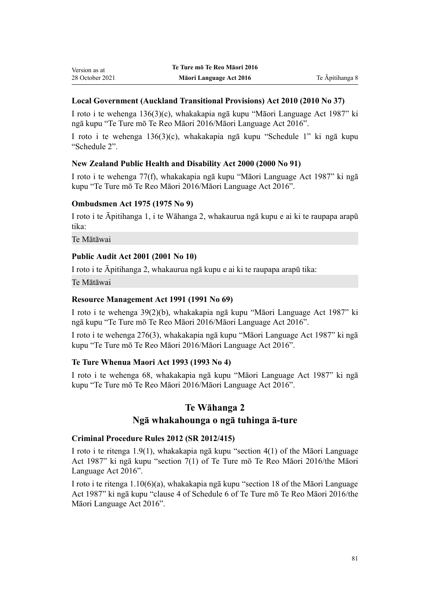### **Local Government (Auckland Transitional Provisions) Act 2010 (2010 No 37)**

I roto i te [wehenga 136\(3\)\(c\)](http://legislation.govt.nz/pdflink.aspx?id=DLM5600676), whakakapia ngā kupu "Māori Language Act 1987" ki ngā kupu "Te Ture mō Te Reo Māori 2016/Māori Language Act 2016".

I roto i te [wehenga 136\(3\)\(c\)](http://legislation.govt.nz/pdflink.aspx?id=DLM5600676), whakakapia ngā kupu "Schedule 1" ki ngā kupu "Schedule 2".

### **New Zealand Public Health and Disability Act 2000 (2000 No 91)**

I roto i te [wehenga 77\(f\),](http://legislation.govt.nz/pdflink.aspx?id=DLM81274) whakakapia ngā kupu "Māori Language Act 1987" ki ngā kupu "Te Ture mō Te Reo Māori 2016/Māori Language Act 2016".

### **Ombudsmen Act 1975 (1975 No 9)**

I roto i te Āpitihanga 1, i te [Wāhanga 2](http://legislation.govt.nz/pdflink.aspx?id=DLM431296), whakaurua ngā kupu e ai ki te raupapa arapū tika:

Te Mātāwai

### **Public Audit Act 2001 (2001 No 10)**

I roto i te [Āpitihanga 2](http://legislation.govt.nz/pdflink.aspx?id=DLM88987), whakaurua ngā kupu e ai ki te raupapa arapū tika:

Te Mātāwai

### **Resource Management Act 1991 (1991 No 69)**

I roto i te [wehenga 39\(2\)\(b\)](http://legislation.govt.nz/pdflink.aspx?id=DLM233065), whakakapia ngā kupu "Māori Language Act 1987" ki ngā kupu "Te Ture mō Te Reo Māori 2016/Māori Language Act 2016".

I roto i te [wehenga 276\(3\),](http://legislation.govt.nz/pdflink.aspx?id=DLM237764) whakakapia ngā kupu "Māori Language Act 1987" ki ngā kupu "Te Ture mō Te Reo Māori 2016/Māori Language Act 2016".

### **Te Ture Whenua Maori Act 1993 (1993 No 4)**

I roto i te [wehenga 68](http://legislation.govt.nz/pdflink.aspx?id=DLM290956), whakakapia ngā kupu "Māori Language Act 1987" ki ngā kupu "Te Ture mō Te Reo Māori 2016/Māori Language Act 2016".

### **Te Wāhanga 2**

### **Ngā whakahounga o ngā tuhinga ā-ture**

### **Criminal Procedure Rules 2012 (SR 2012/415)**

I roto i te [ritenga 1.9\(1\)](http://legislation.govt.nz/pdflink.aspx?id=DLM4914750), whakakapia ngā kupu "section 4(1) of the Māori Language Act 1987" ki ngā kupu "section 7(1) of Te Ture mō Te Reo Māori 2016/the Māori Language Act 2016".

I roto i te [ritenga 1.10\(6\)\(a\),](http://legislation.govt.nz/pdflink.aspx?id=DLM4914751) whakakapia ngā kupu "section 18 of the Māori Language Act 1987" ki ngā kupu "clause 4 of Schedule 6 of Te Ture mō Te Reo Māori 2016/the Māori Language Act 2016".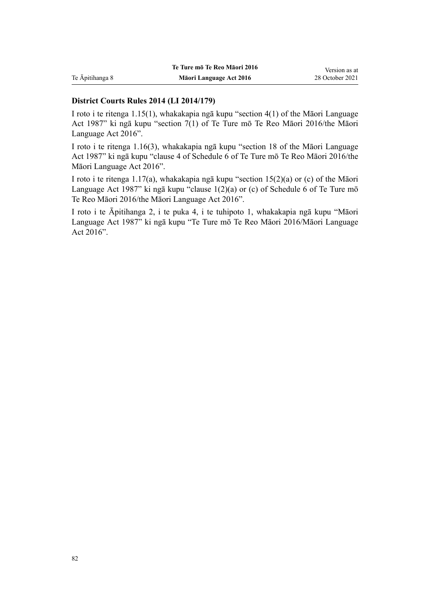|                 | Te Ture mō Te Reo Māori 2016 | Version as at   |
|-----------------|------------------------------|-----------------|
| Te Āpitihanga 8 | Māori Language Act 2016      | 28 October 2021 |

### **District Courts Rules 2014 (LI 2014/179)**

I roto i te [ritenga 1.15\(1\)](http://legislation.govt.nz/pdflink.aspx?id=DLM4891460), whakakapia ngā kupu "section 4(1) of the Māori Language Act 1987" ki ngā kupu "section 7(1) of Te Ture mō Te Reo Māori 2016/the Māori Language Act 2016".

I roto i te [ritenga 1.16\(3\),](http://legislation.govt.nz/pdflink.aspx?id=DLM4891461) whakakapia ngā kupu "section 18 of the Māori Language Act 1987" ki ngā kupu "clause 4 of Schedule 6 of Te Ture mō Te Reo Māori 2016/the Māori Language Act 2016".

I roto i te [ritenga 1.17\(a\)](http://legislation.govt.nz/pdflink.aspx?id=DLM4891462), whakakapia ngā kupu "section 15(2)(a) or (c) of the Māori Language Act 1987" ki ngā kupu "clause 1(2)(a) or (c) of Schedule 6 of Te Ture mō Te Reo Māori 2016/the Māori Language Act 2016".

I roto i te Āpitihanga 2, i te [puka 4,](http://legislation.govt.nz/pdflink.aspx?id=DLM6115760) i te tuhipoto 1, whakakapia ngā kupu "Māori Language Act 1987" ki ngā kupu "Te Ture mō Te Reo Māori 2016/Māori Language Act 2016".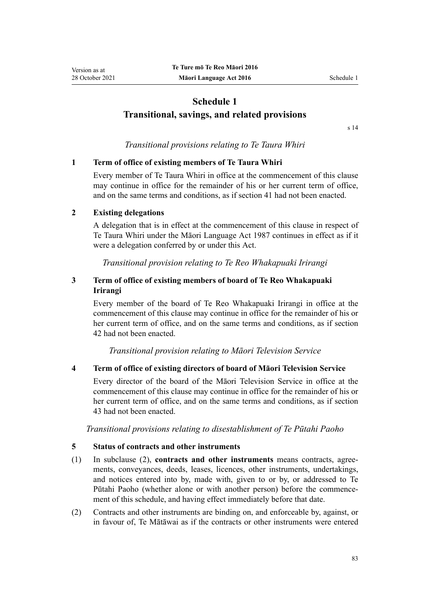# **Schedule 1 Transitional, savings, and related provisions**

[s 14](#page-35-0)

### *Transitional provisions relating to Te Taura Whiri*

#### **1 Term of office of existing members of Te Taura Whiri**

Every member of Te Taura Whiri in office at the commencement of this clause may continue in office for the remainder of his or her current term of office, and on the same terms and conditions, as if [section 41](#page-46-0) had not been enacted.

#### **2 Existing delegations**

A delegation that is in effect at the commencement of this clause in respect of Te Taura Whiri under the [Māori Language Act 1987](http://legislation.govt.nz/pdflink.aspx?id=DLM124115) continues in effect as if it were a delegation conferred by or under this Act.

*Transitional provision relating to Te Reo Whakapuaki Irirangi*

### **3 Term of office of existing members of board of Te Reo Whakapuaki Irirangi**

Every member of the board of Te Reo Whakapuaki Irirangi in office at the commencement of this clause may continue in office for the remainder of his or her current term of office, and on the same terms and conditions, as if [section](#page-47-0) [42](#page-47-0) had not been enacted.

*Transitional provision relating to Māori Television Service*

#### **4 Term of office of existing directors of board of Māori Television Service**

Every director of the board of the Māori Television Service in office at the commencement of this clause may continue in office for the remainder of his or her current term of office, and on the same terms and conditions, as if [section](#page-47-0) [43](#page-47-0) had not been enacted.

*Transitional provisions relating to disestablishment of Te Pūtahi Paoho*

#### **5 Status of contracts and other instruments**

- (1) In subclause (2), **contracts and other instruments** means contracts, agree‐ ments, conveyances, deeds, leases, licences, other instruments, undertakings, and notices entered into by, made with, given to or by, or addressed to Te Pūtahi Paoho (whether alone or with another person) before the commence‐ ment of this schedule, and having effect immediately before that date.
- (2) Contracts and other instruments are binding on, and enforceable by, against, or in favour of, Te Mātāwai as if the contracts or other instruments were entered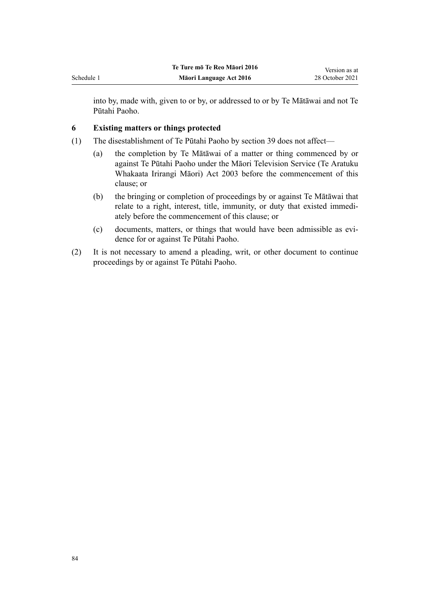into by, made with, given to or by, or addressed to or by Te Mātāwai and not Te Pūtahi Paoho.

### **6 Existing matters or things protected**

- (1) The disestablishment of Te Pūtahi Paoho by [section 39](#page-45-0) does not affect—
	- (a) the completion by Te Mātāwai of a matter or thing commenced by or against Te Pūtahi Paoho under the [Māori Television Service \(Te Aratuku](http://legislation.govt.nz/pdflink.aspx?id=DLM193695) [Whakaata Irirangi Māori\) Act 2003](http://legislation.govt.nz/pdflink.aspx?id=DLM193695) before the commencement of this clause; or
	- (b) the bringing or completion of proceedings by or against Te Mātāwai that relate to a right, interest, title, immunity, or duty that existed immedi‐ ately before the commencement of this clause; or
	- (c) documents, matters, or things that would have been admissible as evidence for or against Te Pūtahi Paoho.
- (2) It is not necessary to amend a pleading, writ, or other document to continue proceedings by or against Te Pūtahi Paoho.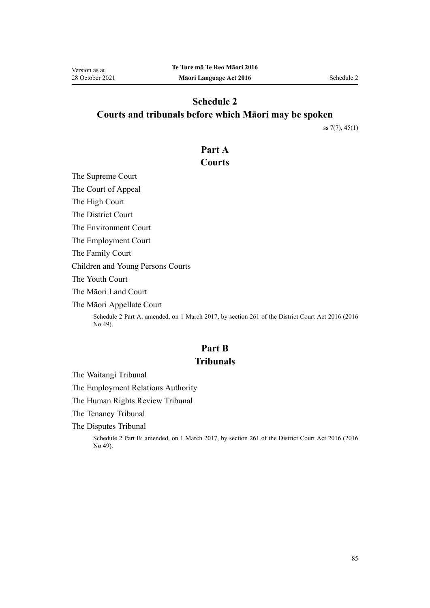# **Schedule 2 Courts and tribunals before which Māori may be spoken**

[ss 7\(7\)](#page-30-0), [45\(1\)](#page-48-0)

## **Part A**

## **Courts**

The Supreme Court

The Court of Appeal

The High Court

The District Court

The Environment Court

The Employment Court

The Family Court

Children and Young Persons Courts

The Youth Court

The Māori Land Court

The Māori Appellate Court

Schedule 2 Part A: amended, on 1 March 2017, by [section 261](http://legislation.govt.nz/pdflink.aspx?id=DLM6942680) of the District Court Act 2016 (2016 No 49).

# **Part B Tribunals**

The Waitangi Tribunal

The Employment Relations Authority

The Human Rights Review Tribunal

The Tenancy Tribunal

The Disputes Tribunal

Schedule 2 Part B: amended, on 1 March 2017, by [section 261](http://legislation.govt.nz/pdflink.aspx?id=DLM6942680) of the District Court Act 2016 (2016 No 49).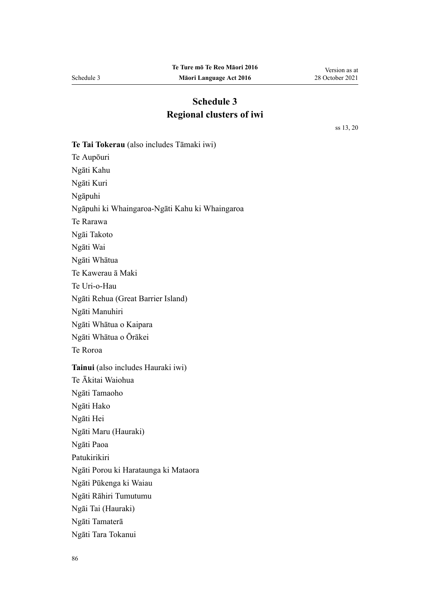# **Schedule 3 Regional clusters of iwi**

[ss 13,](#page-33-0) [20](#page-38-0)

**Te Tai Tokerau** (also includes Tāmaki iwi) Te Aupōuri Ngāti Kahu Ngāti Kuri Ngāpuhi Ngāpuhi ki Whaingaroa-Ngāti Kahu ki Whaingaroa Te Rarawa Ngāi Takoto Ngāti Wai Ngāti Whātua Te Kawerau ā Maki Te Uri-o-Hau Ngāti Rehua (Great Barrier Island) Ngāti Manuhiri Ngāti Whātua o Kaipara Ngāti Whātua o Ōrākei Te Roroa **Tainui** (also includes Hauraki iwi) Te Ākitai Waiohua Ngāti Tamaoho Ngāti Hako Ngāti Hei Ngāti Maru (Hauraki) Ngāti Paoa Patukirikiri Ngāti Porou ki Harataunga ki Mataora Ngāti Pūkenga ki Waiau Ngāti Rāhiri Tumutumu Ngāi Tai (Hauraki) Ngāti Tamaterā Ngāti Tara Tokanui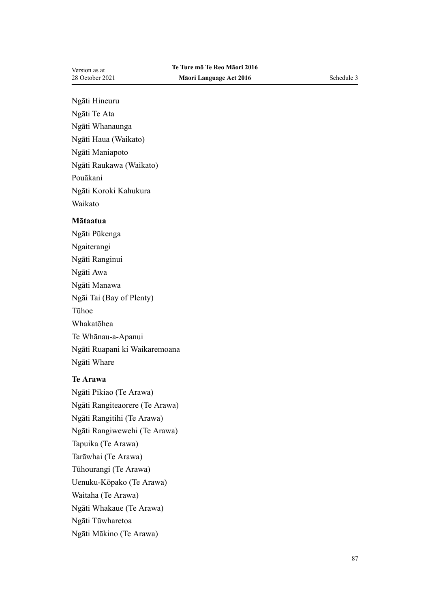Ngāti Hineuru

Ngāti Te Ata

Ngāti Whanaunga

Ngāti Haua (Waikato)

Ngāti Maniapoto

Ngāti Raukawa (Waikato)

Pouākani

Ngāti Koroki Kahukura

Waikato

### **Mātaatua**

Ngāti Pūkenga Ngaiterangi Ngāti Ranginui Ngāti Awa Ngāti Manawa Ngāi Tai (Bay of Plenty) Tūhoe Whakatōhea Te Whānau-a-Apanui Ngāti Ruapani ki Waikaremoana Ngāti Whare

### **Te Arawa**

Ngāti Pikiao (Te Arawa) Ngāti Rangiteaorere (Te Arawa) Ngāti Rangitihi (Te Arawa) Ngāti Rangiwewehi (Te Arawa) Tapuika (Te Arawa) Tarāwhai (Te Arawa) Tūhourangi (Te Arawa) Uenuku-Kōpako (Te Arawa) Waitaha (Te Arawa) Ngāti Whakaue (Te Arawa) Ngāti Tūwharetoa Ngāti Mākino (Te Arawa)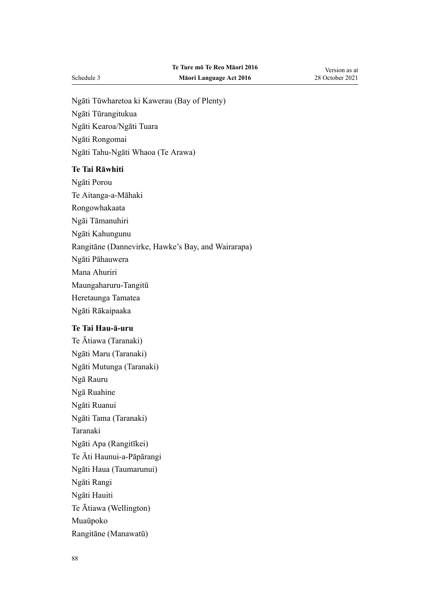Ngāti Tūwharetoa ki Kawerau (Bay of Plenty)

Ngāti Tūrangitukua

Ngāti Kearoa/Ngāti Tuara

Ngāti Rongomai

Ngāti Tahu-Ngāti Whaoa (Te Arawa)

### **Te Tai Rāwhiti**

Ngāti Porou

Te Aitanga-a-Māhaki

Rongowhakaata

Ngāi Tāmanuhiri

Ngāti Kahungunu

Rangitāne (Dannevirke, Hawke's Bay, and Wairarapa)

Ngāti Pāhauwera

Mana Ahuriri

Maungaharuru-Tangitū

Heretaunga Tamatea

Ngāti Rākaipaaka

### **Te Tai Hau-ā-uru**

Te Ātiawa (Taranaki) Ngāti Maru (Taranaki) Ngāti Mutunga (Taranaki) Ngā Rauru Ngā Ruahine Ngāti Ruanui Ngāti Tama (Taranaki) Taranaki Ngāti Apa (Rangitīkei) Te Āti Haunui-a-Pāpārangi Ngāti Haua (Taumarunui) Ngāti Rangi Ngāti Hauiti Te Ātiawa (Wellington) Muaūpoko Rangitāne (Manawatū)

Version as at 28 October 2021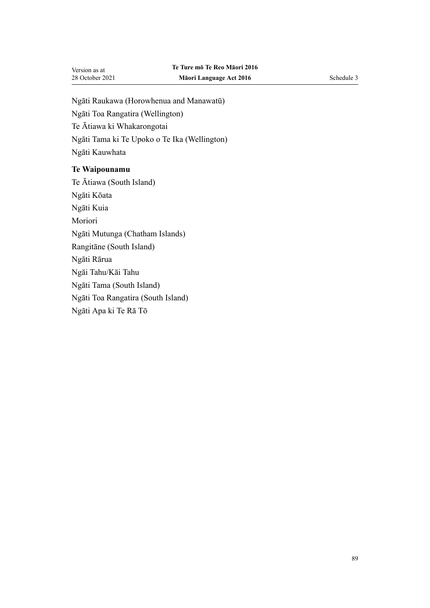Ngāti Raukawa (Horowhenua and Manawatū) Ngāti Toa Rangatira (Wellington) Te Ātiawa ki Whakarongotai Ngāti Tama ki Te Upoko o Te Ika (Wellington) Ngāti Kauwhata

#### **Te Waipounamu**

Te Ātiawa (South Island) Ngāti Kōata Ngāti Kuia Moriori Ngāti Mutunga (Chatham Islands) Rangitāne (South Island) Ngāti Rārua Ngāi Tahu/Kāi Tahu Ngāti Tama (South Island) Ngāti Toa Rangatira (South Island) Ngāti Apa ki Te Rā Tō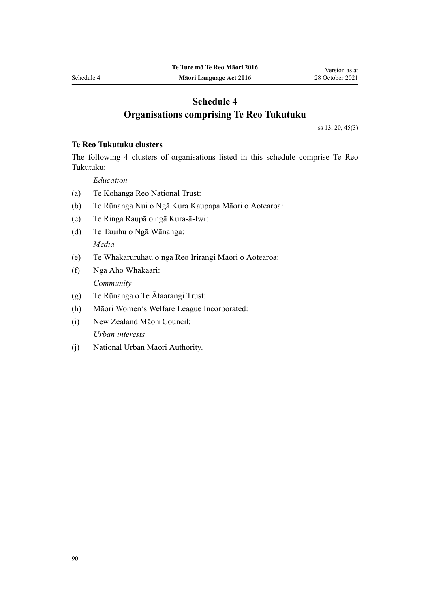# **Schedule 4 Organisations comprising Te Reo Tukutuku**

[ss 13,](#page-33-0) [20](#page-38-0), [45\(3\)](#page-48-0)

### **Te Reo Tukutuku clusters**

The following 4 clusters of organisations listed in this schedule comprise Te Reo Tukutuku:

*Education*

- (a) Te Kōhanga Reo National Trust:
- (b) Te Rūnanga Nui o Ngā Kura Kaupapa Māori o Aotearoa:
- (c) Te Ringa Raupā o ngā Kura-ā-Iwi:
- (d) Te Tauihu o Ngā Wānanga: *Media*
- (e) Te Whakaruruhau o ngā Reo Irirangi Māori o Aotearoa:
- (f) Ngā Aho Whakaari: *Community*
- (g) Te Rūnanga o Te Ātaarangi Trust:
- (h) Māori Women's Welfare League Incorporated:
- (i) New Zealand Māori Council: *Urban interests*
- (j) National Urban Māori Authority.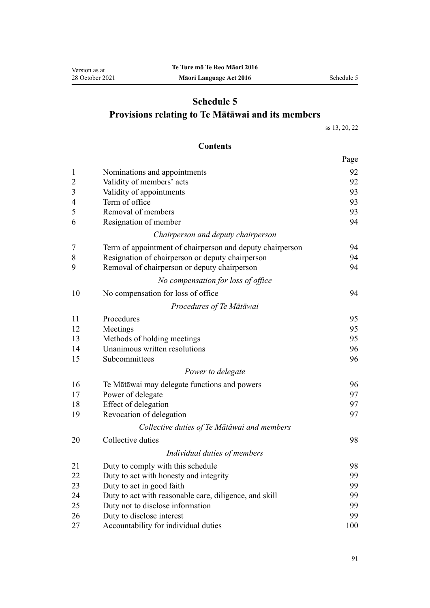# **Schedule 5 Provisions relating to Te Mātāwai and its members**

[ss 13](#page-33-0), [20,](#page-38-0) [22](#page-39-0)

### **Contents**

|                |                                                           | Page |  |  |
|----------------|-----------------------------------------------------------|------|--|--|
| $\mathbf{1}$   | Nominations and appointments                              | 92   |  |  |
| $\overline{2}$ | Validity of members' acts                                 |      |  |  |
| $\mathfrak{Z}$ | Validity of appointments                                  | 93   |  |  |
| $\overline{4}$ | Term of office                                            | 93   |  |  |
| 5              | Removal of members                                        | 93   |  |  |
| 6              | Resignation of member                                     | 94   |  |  |
|                | Chairperson and deputy chairperson                        |      |  |  |
| $\overline{7}$ | Term of appointment of chairperson and deputy chairperson | 94   |  |  |
| 8              | Resignation of chairperson or deputy chairperson          |      |  |  |
| 9              | Removal of chairperson or deputy chairperson              | 94   |  |  |
|                | No compensation for loss of office                        |      |  |  |
| 10             | No compensation for loss of office                        | 94   |  |  |
|                | Procedures of Te Mātāwai                                  |      |  |  |
| 11             | Procedures                                                | 95   |  |  |
| 12             | Meetings                                                  | 95   |  |  |
| 13             | Methods of holding meetings                               | 95   |  |  |
| 14             | Unanimous written resolutions                             | 96   |  |  |
| 15             | Subcommittees                                             | 96   |  |  |
|                | Power to delegate                                         |      |  |  |
| 16             | Te Mātāwai may delegate functions and powers              | 96   |  |  |
| 17             | Power of delegate                                         | 97   |  |  |
| 18             | Effect of delegation                                      | 97   |  |  |
| 19             | Revocation of delegation                                  | 97   |  |  |
|                | Collective duties of Te Mātāwai and members               |      |  |  |
| 20             | Collective duties                                         | 98   |  |  |
|                | Individual duties of members                              |      |  |  |
| 21             | Duty to comply with this schedule                         | 98   |  |  |
| 22             | Duty to act with honesty and integrity                    | 99   |  |  |
| 23             | Duty to act in good faith                                 | 99   |  |  |
| 24             | Duty to act with reasonable care, diligence, and skill    | 99   |  |  |
| 25             | Duty not to disclose information                          | 99   |  |  |
| 26             | Duty to disclose interest                                 | 99   |  |  |
| 27             | Accountability for individual duties                      | 100  |  |  |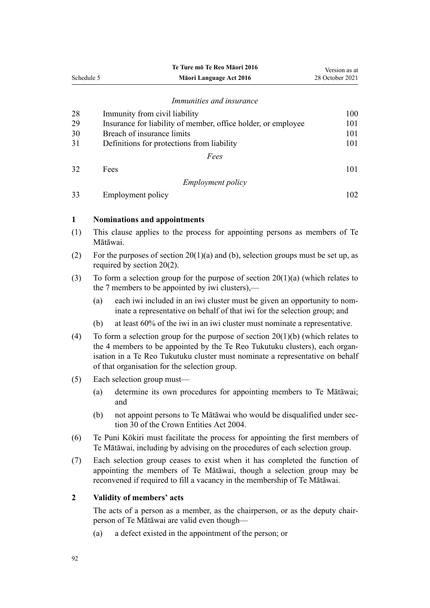<span id="page-91-0"></span>

|                                   |                                                                                                                                                                                                                                                                                                    | Te Ture mō Te Reo Māori 2016                                                                                                                          | Version as at   |
|-----------------------------------|----------------------------------------------------------------------------------------------------------------------------------------------------------------------------------------------------------------------------------------------------------------------------------------------------|-------------------------------------------------------------------------------------------------------------------------------------------------------|-----------------|
| Schedule 5                        |                                                                                                                                                                                                                                                                                                    | Māori Language Act 2016                                                                                                                               | 28 October 2021 |
|                                   |                                                                                                                                                                                                                                                                                                    | Immunities and insurance                                                                                                                              |                 |
| 28                                |                                                                                                                                                                                                                                                                                                    | Immunity from civil liability                                                                                                                         | 100             |
| 29                                |                                                                                                                                                                                                                                                                                                    | Insurance for liability of member, office holder, or employee                                                                                         | 101             |
| 30                                |                                                                                                                                                                                                                                                                                                    | Breach of insurance limits                                                                                                                            | 101             |
| 31                                |                                                                                                                                                                                                                                                                                                    | Definitions for protections from liability                                                                                                            | 101             |
|                                   |                                                                                                                                                                                                                                                                                                    | Fees                                                                                                                                                  |                 |
| 32                                | Fees                                                                                                                                                                                                                                                                                               |                                                                                                                                                       | 101             |
|                                   |                                                                                                                                                                                                                                                                                                    |                                                                                                                                                       |                 |
|                                   |                                                                                                                                                                                                                                                                                                    | <i>Employment policy</i>                                                                                                                              |                 |
| 33                                |                                                                                                                                                                                                                                                                                                    | <b>Employment policy</b>                                                                                                                              | 102             |
| $\mathbf{1}$                      |                                                                                                                                                                                                                                                                                                    | <b>Nominations and appointments</b>                                                                                                                   |                 |
| (1)                               | This clause applies to the process for appointing persons as members of Te<br>Mātāwai.                                                                                                                                                                                                             |                                                                                                                                                       |                 |
| (2)                               | For the purposes of section $20(1)(a)$ and (b), selection groups must be set up, as<br>required by section $20(2)$ .                                                                                                                                                                               |                                                                                                                                                       |                 |
| (3)                               | To form a selection group for the purpose of section $20(1)(a)$ (which relates to<br>the 7 members to be appointed by iwi clusters),—                                                                                                                                                              |                                                                                                                                                       |                 |
|                                   | (a)                                                                                                                                                                                                                                                                                                | each iwi included in an iwi cluster must be given an opportunity to nom-<br>inate a representative on behalf of that iwi for the selection group; and |                 |
|                                   | (b)                                                                                                                                                                                                                                                                                                | at least 60% of the iwi in an iwi cluster must nominate a representative.                                                                             |                 |
| (4)                               | To form a selection group for the purpose of section $20(1)(b)$ (which relates to<br>the 4 members to be appointed by the Te Reo Tukutuku clusters), each organ-<br>isation in a Te Reo Tukutuku cluster must nominate a representative on behalf<br>of that organisation for the selection group. |                                                                                                                                                       |                 |
| (5)<br>Each selection group must— |                                                                                                                                                                                                                                                                                                    |                                                                                                                                                       |                 |
|                                   | (a)                                                                                                                                                                                                                                                                                                | determine its own procedures for appointing members to Te Mātāwai;<br>and                                                                             |                 |
|                                   | (b)                                                                                                                                                                                                                                                                                                | not appoint persons to Te Mātāwai who would be disqualified under sec-<br>tion 30 of the Crown Entities Act 2004.                                     |                 |
| (6)                               | Te Puni Kōkiri must facilitate the process for appointing the first members of<br>Te Mātāwai, including by advising on the procedures of each selection group.                                                                                                                                     |                                                                                                                                                       |                 |
| (7)                               | Each selection group ceases to exist when it has completed the function of<br>appointing the members of Te Mātāwai, though a selection group may be<br>reconvened if required to fill a vacancy in the membership of Te Mātāwai.                                                                   |                                                                                                                                                       |                 |
| 2                                 |                                                                                                                                                                                                                                                                                                    | Validity of members' acts                                                                                                                             |                 |
|                                   |                                                                                                                                                                                                                                                                                                    | The acts of a person as a member, as the chairperson, or as the deputy chair-<br>person of Te Mātāwai are valid even though-                          |                 |

(a) a defect existed in the appointment of the person; or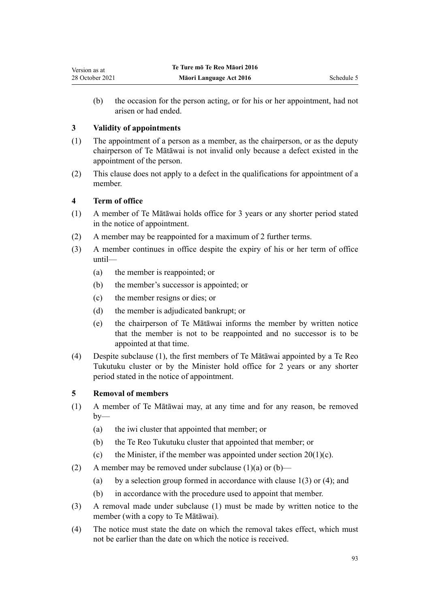<span id="page-92-0"></span>(b) the occasion for the person acting, or for his or her appointment, had not arisen or had ended.

### **3 Validity of appointments**

- (1) The appointment of a person as a member, as the chairperson, or as the deputy chairperson of Te Mātāwai is not invalid only because a defect existed in the appointment of the person.
- (2) This clause does not apply to a defect in the qualifications for appointment of a member.

### **4 Term of office**

- (1) A member of Te Mātāwai holds office for 3 years or any shorter period stated in the notice of appointment.
- (2) A member may be reappointed for a maximum of 2 further terms.
- (3) A member continues in office despite the expiry of his or her term of office until—
	- (a) the member is reappointed; or
	- (b) the member's successor is appointed; or
	- (c) the member resigns or dies; or
	- (d) the member is adjudicated bankrupt; or
	- (e) the chairperson of Te Mātāwai informs the member by written notice that the member is not to be reappointed and no successor is to be appointed at that time.
- (4) Despite subclause (1), the first members of Te Mātāwai appointed by a Te Reo Tukutuku cluster or by the Minister hold office for 2 years or any shorter period stated in the notice of appointment.

#### **5 Removal of members**

- (1) A member of Te Mātāwai may, at any time and for any reason, be removed  $by-$ 
	- (a) the iwi cluster that appointed that member; or
	- (b) the Te Reo Tukutuku cluster that appointed that member; or
	- (c) the Minister, if the member was appointed under section  $20(1)(c)$ .
- (2) A member may be removed under subclause  $(1)(a)$  or  $(b)$ 
	- (a) by a selection group formed in accordance with clause  $1(3)$  or (4); and
	- (b) in accordance with the procedure used to appoint that member.
- (3) A removal made under subclause (1) must be made by written notice to the member (with a copy to Te Mātāwai).
- (4) The notice must state the date on which the removal takes effect, which must not be earlier than the date on which the notice is received.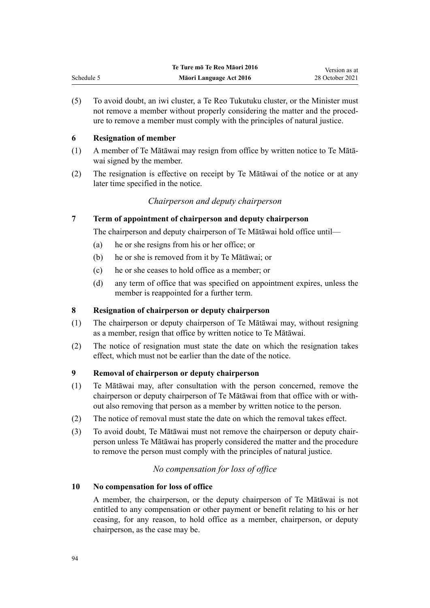(5) To avoid doubt, an iwi cluster, a Te Reo Tukutuku cluster, or the Minister must not remove a member without properly considering the matter and the procedure to remove a member must comply with the principles of natural justice.

### **6 Resignation of member**

<span id="page-93-0"></span>Schedule 5

- (1) A member of Te Mātāwai may resign from office by written notice to Te Mātā‐ wai signed by the member.
- (2) The resignation is effective on receipt by Te Mātāwai of the notice or at any later time specified in the notice.

### *Chairperson and deputy chairperson*

### **7 Term of appointment of chairperson and deputy chairperson**

The chairperson and deputy chairperson of Te Mātāwai hold office until—

- (a) he or she resigns from his or her office; or
- (b) he or she is removed from it by Te Mātāwai; or
- (c) he or she ceases to hold office as a member; or
- (d) any term of office that was specified on appointment expires, unless the member is reappointed for a further term.

### **8 Resignation of chairperson or deputy chairperson**

- (1) The chairperson or deputy chairperson of Te Mātāwai may, without resigning as a member, resign that office by written notice to Te Mātāwai.
- (2) The notice of resignation must state the date on which the resignation takes effect, which must not be earlier than the date of the notice.

### **9 Removal of chairperson or deputy chairperson**

- (1) Te Mātāwai may, after consultation with the person concerned, remove the chairperson or deputy chairperson of Te Mātāwai from that office with or with‐ out also removing that person as a member by written notice to the person.
- (2) The notice of removal must state the date on which the removal takes effect.
- (3) To avoid doubt, Te Mātāwai must not remove the chairperson or deputy chair‐ person unless Te Mātāwai has properly considered the matter and the procedure to remove the person must comply with the principles of natural justice.

### *No compensation for loss of office*

### **10 No compensation for loss of office**

A member, the chairperson, or the deputy chairperson of Te Mātāwai is not entitled to any compensation or other payment or benefit relating to his or her ceasing, for any reason, to hold office as a member, chairperson, or deputy chairperson, as the case may be.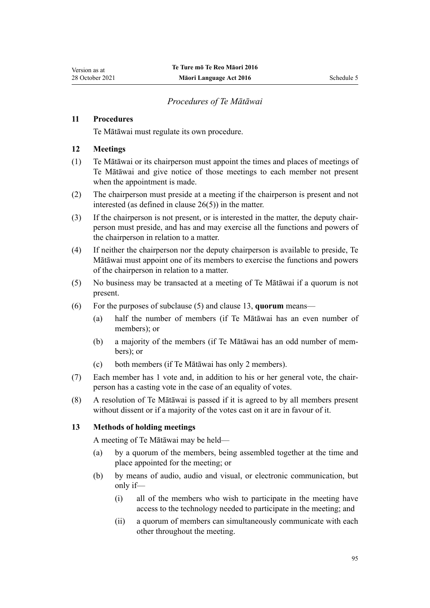### *Procedures of Te Mātāwai*

### <span id="page-94-0"></span>**11 Procedures**

Te Mātāwai must regulate its own procedure.

### **12 Meetings**

- (1) Te Mātāwai or its chairperson must appoint the times and places of meetings of Te Mātāwai and give notice of those meetings to each member not present when the appointment is made.
- (2) The chairperson must preside at a meeting if the chairperson is present and not interested (as defined in [clause 26\(5\)\)](#page-98-0) in the matter.
- (3) If the chairperson is not present, or is interested in the matter, the deputy chair‐ person must preside, and has and may exercise all the functions and powers of the chairperson in relation to a matter.
- (4) If neither the chairperson nor the deputy chairperson is available to preside, Te Mātāwai must appoint one of its members to exercise the functions and powers of the chairperson in relation to a matter.
- (5) No business may be transacted at a meeting of Te Mātāwai if a quorum is not present.
- (6) For the purposes of subclause (5) and clause 13, **quorum** means—
	- (a) half the number of members (if Te Mātāwai has an even number of members); or
	- (b) a majority of the members (if Te Mātāwai has an odd number of mem‐ bers); or
	- (c) both members (if Te Mātāwai has only 2 members).
- (7) Each member has 1 vote and, in addition to his or her general vote, the chair‐ person has a casting vote in the case of an equality of votes.
- (8) A resolution of Te Mātāwai is passed if it is agreed to by all members present without dissent or if a majority of the votes cast on it are in favour of it.

### **13 Methods of holding meetings**

A meeting of Te Mātāwai may be held—

- (a) by a quorum of the members, being assembled together at the time and place appointed for the meeting; or
- (b) by means of audio, audio and visual, or electronic communication, but only if—
	- (i) all of the members who wish to participate in the meeting have access to the technology needed to participate in the meeting; and
	- (ii) a quorum of members can simultaneously communicate with each other throughout the meeting.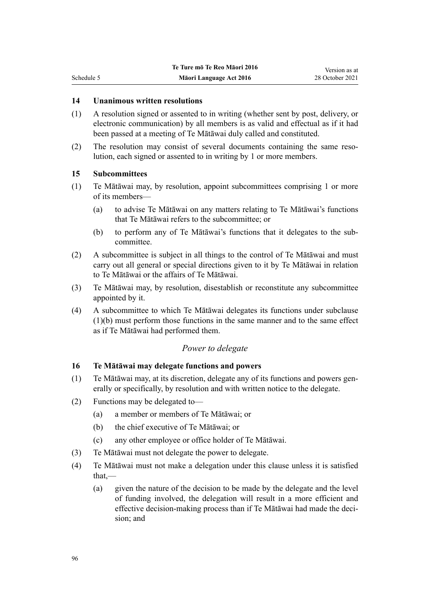### **14 Unanimous written resolutions**

- (1) A resolution signed or assented to in writing (whether sent by post, delivery, or electronic communication) by all members is as valid and effectual as if it had been passed at a meeting of Te Mātāwai duly called and constituted.
- (2) The resolution may consist of several documents containing the same resolution, each signed or assented to in writing by 1 or more members.

#### **15 Subcommittees**

<span id="page-95-0"></span>Schedule 5

- (1) Te Mātāwai may, by resolution, appoint subcommittees comprising 1 or more of its members—
	- (a) to advise Te Mātāwai on any matters relating to Te Mātāwai's functions that Te Mātāwai refers to the subcommittee; or
	- (b) to perform any of Te Mātāwai's functions that it delegates to the sub‐ committee.
- (2) A subcommittee is subject in all things to the control of Te Mātāwai and must carry out all general or special directions given to it by Te Mātāwai in relation to Te Mātāwai or the affairs of Te Mātāwai.
- (3) Te Mātāwai may, by resolution, disestablish or reconstitute any subcommittee appointed by it.
- (4) A subcommittee to which Te Mātāwai delegates its functions under subclause (1)(b) must perform those functions in the same manner and to the same effect as if Te Mātāwai had performed them.

#### *Power to delegate*

### **16 Te Mātāwai may delegate functions and powers**

- (1) Te Mātāwai may, at its discretion, delegate any of its functions and powers gen‐ erally or specifically, by resolution and with written notice to the delegate.
- (2) Functions may be delegated to—
	- (a) a member or members of Te Mātāwai; or
	- (b) the chief executive of Te Mātāwai; or
	- (c) any other employee or office holder of Te Mātāwai.
- (3) Te Mātāwai must not delegate the power to delegate.
- (4) Te Mātāwai must not make a delegation under this clause unless it is satisfied that,—
	- (a) given the nature of the decision to be made by the delegate and the level of funding involved, the delegation will result in a more efficient and effective decision-making process than if Te Mātāwai had made the deci‐ sion; and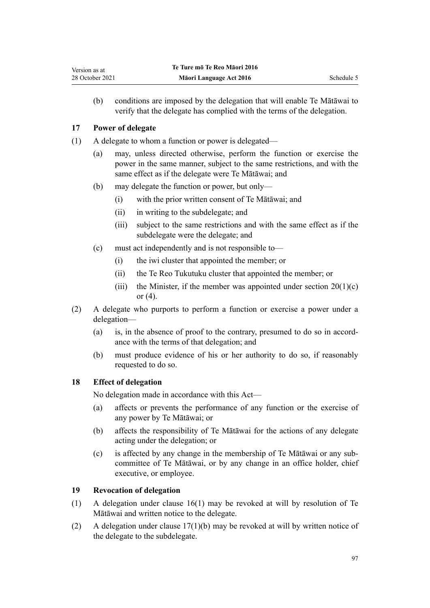<span id="page-96-0"></span>(b) conditions are imposed by the delegation that will enable Te Mātāwai to verify that the delegate has complied with the terms of the delegation.

### **17 Power of delegate**

- (1) A delegate to whom a function or power is delegated—
	- (a) may, unless directed otherwise, perform the function or exercise the power in the same manner, subject to the same restrictions, and with the same effect as if the delegate were Te Mātāwai; and
	- (b) may delegate the function or power, but only—
		- (i) with the prior written consent of Te Mātāwai; and
		- (ii) in writing to the subdelegate; and
		- (iii) subject to the same restrictions and with the same effect as if the subdelegate were the delegate; and
	- (c) must act independently and is not responsible to—
		- (i) the iwi cluster that appointed the member; or
		- (ii) the Te Reo Tukutuku cluster that appointed the member; or
		- (iii) the Minister, if the member was appointed under section  $20(1)(c)$ [or \(4\)](#page-38-0).
- (2) A delegate who purports to perform a function or exercise a power under a delegation—
	- (a) is, in the absence of proof to the contrary, presumed to do so in accordance with the terms of that delegation; and
	- (b) must produce evidence of his or her authority to do so, if reasonably requested to do so.

### **18 Effect of delegation**

No delegation made in accordance with this Act—

- (a) affects or prevents the performance of any function or the exercise of any power by Te Mātāwai; or
- (b) affects the responsibility of Te Mātāwai for the actions of any delegate acting under the delegation; or
- (c) is affected by any change in the membership of Te Mātāwai or any sub‐ committee of Te Mātāwai, or by any change in an office holder, chief executive, or employee.

### **19 Revocation of delegation**

- (1) A delegation under [clause 16\(1\)](#page-95-0) may be revoked at will by resolution of Te Mātāwai and written notice to the delegate.
- (2) A delegation under clause  $17(1)(b)$  may be revoked at will by written notice of the delegate to the subdelegate.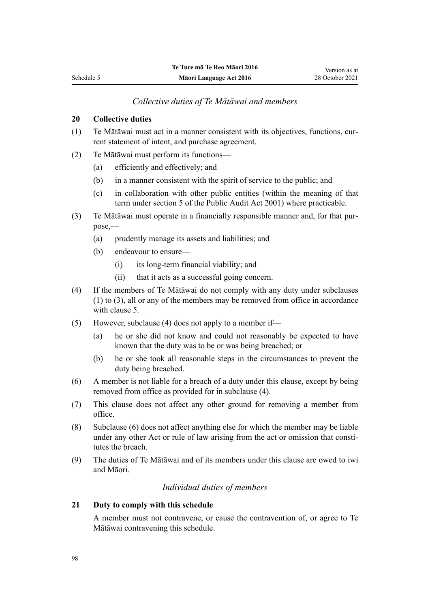### *Collective duties of Te Mātāwai and members*

### <span id="page-97-0"></span>**20 Collective duties**

- $(1)$  Te Mātāwai must act in a manner consistent with its objectives, functions, current statement of intent, and purchase agreement.
- (2) Te Mātāwai must perform its functions—
	- (a) efficiently and effectively; and
	- (b) in a manner consistent with the spirit of service to the public; and
	- (c) in collaboration with other public entities (within the meaning of that term under [section 5](http://legislation.govt.nz/pdflink.aspx?id=DLM88578) of the Public Audit Act 2001) where practicable.
- (3) Te Mātāwai must operate in a financially responsible manner and, for that pur‐ pose,—
	- (a) prudently manage its assets and liabilities; and
	- (b) endeavour to ensure—
		- (i) its long-term financial viability; and
		- (ii) that it acts as a successful going concern.
- (4) If the members of Te Mātāwai do not comply with any duty under subclauses (1) to (3), all or any of the members may be removed from office in accordance with [clause 5.](#page-92-0)
- (5) However, subclause (4) does not apply to a member if—
	- (a) he or she did not know and could not reasonably be expected to have known that the duty was to be or was being breached; or
	- (b) he or she took all reasonable steps in the circumstances to prevent the duty being breached.
- (6) A member is not liable for a breach of a duty under this clause, except by being removed from office as provided for in subclause (4).
- (7) This clause does not affect any other ground for removing a member from office.
- (8) Subclause (6) does not affect anything else for which the member may be liable under any other Act or rule of law arising from the act or omission that constitutes the breach.
- (9) The duties of Te Mātāwai and of its members under this clause are owed to iwi and Māori.

### *Individual duties of members*

#### **21 Duty to comply with this schedule**

A member must not contravene, or cause the contravention of, or agree to Te Mātāwai contravening this schedule.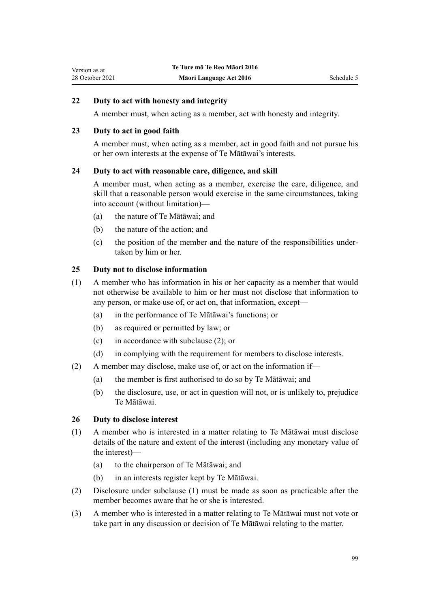### <span id="page-98-0"></span>**22 Duty to act with honesty and integrity**

A member must, when acting as a member, act with honesty and integrity.

#### **23 Duty to act in good faith**

A member must, when acting as a member, act in good faith and not pursue his or her own interests at the expense of Te Mātāwai's interests.

#### **24 Duty to act with reasonable care, diligence, and skill**

A member must, when acting as a member, exercise the care, diligence, and skill that a reasonable person would exercise in the same circumstances, taking into account (without limitation)—

- (a) the nature of Te Mātāwai; and
- (b) the nature of the action; and
- (c) the position of the member and the nature of the responsibilities under‐ taken by him or her.

#### **25 Duty not to disclose information**

- (1) A member who has information in his or her capacity as a member that would not otherwise be available to him or her must not disclose that information to any person, or make use of, or act on, that information, except—
	- (a) in the performance of Te Mātāwai's functions; or
	- (b) as required or permitted by law; or
	- (c) in accordance with subclause (2); or
	- (d) in complying with the requirement for members to disclose interests.
- (2) A member may disclose, make use of, or act on the information if—
	- (a) the member is first authorised to do so by Te Mātāwai; and
	- (b) the disclosure, use, or act in question will not, or is unlikely to, prejudice Te Mātāwai.

#### **26 Duty to disclose interest**

- (1) A member who is interested in a matter relating to Te Mātāwai must disclose details of the nature and extent of the interest (including any monetary value of the interest)—
	- (a) to the chairperson of Te Mātāwai; and
	- (b) in an interests register kept by Te Mātāwai.
- (2) Disclosure under subclause (1) must be made as soon as practicable after the member becomes aware that he or she is interested.
- (3) A member who is interested in a matter relating to Te Mātāwai must not vote or take part in any discussion or decision of Te Mātāwai relating to the matter.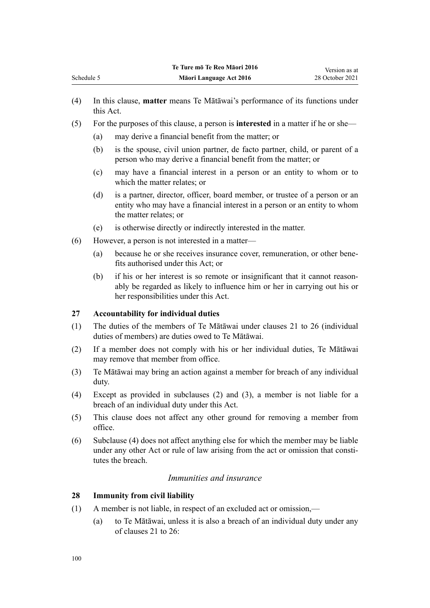- (4) In this clause, **matter** means Te Mātāwai's performance of its functions under this Act.
- (5) For the purposes of this clause, a person is **interested** in a matter if he or she—
	- (a) may derive a financial benefit from the matter; or
	- (b) is the spouse, civil union partner, de facto partner, child, or parent of a person who may derive a financial benefit from the matter; or
	- (c) may have a financial interest in a person or an entity to whom or to which the matter relates; or
	- (d) is a partner, director, officer, board member, or trustee of a person or an entity who may have a financial interest in a person or an entity to whom the matter relates; or
	- (e) is otherwise directly or indirectly interested in the matter.
- (6) However, a person is not interested in a matter—
	- (a) because he or she receives insurance cover, remuneration, or other bene‐ fits authorised under this Act; or
	- (b) if his or her interest is so remote or insignificant that it cannot reason‐ ably be regarded as likely to influence him or her in carrying out his or her responsibilities under this Act.

#### **27 Accountability for individual duties**

- (1) The duties of the members of Te Mātāwai under [clauses 21 to 26](#page-97-0) (individual duties of members) are duties owed to Te Mātāwai.
- (2) If a member does not comply with his or her individual duties, Te Mātāwai may remove that member from office.
- (3) Te Mātāwai may bring an action against a member for breach of any individual duty.
- (4) Except as provided in subclauses (2) and (3), a member is not liable for a breach of an individual duty under this Act.
- (5) This clause does not affect any other ground for removing a member from office.
- (6) Subclause (4) does not affect anything else for which the member may be liable under any other Act or rule of law arising from the act or omission that constitutes the breach.

### *Immunities and insurance*

#### **28 Immunity from civil liability**

- (1) A member is not liable, in respect of an excluded act or omission,—
	- (a) to Te Mātāwai, unless it is also a breach of an individual duty under any of [clauses 21 to 26](#page-97-0):

<span id="page-99-0"></span>Schedule 5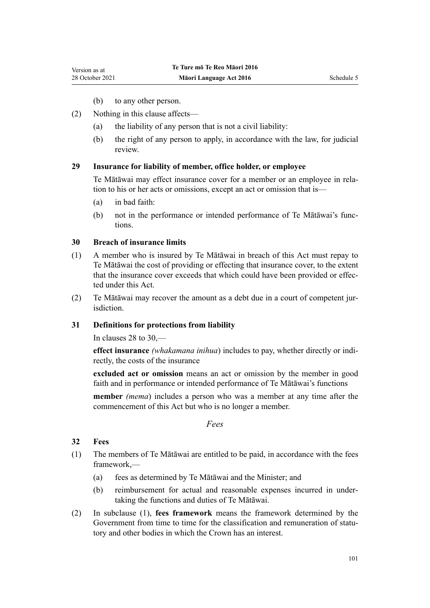- (b) to any other person.
- <span id="page-100-0"></span>(2) Nothing in this clause affects—
	- (a) the liability of any person that is not a civil liability:
	- (b) the right of any person to apply, in accordance with the law, for judicial review.

#### **29 Insurance for liability of member, office holder, or employee**

Te Mātāwai may effect insurance cover for a member or an employee in rela‐ tion to his or her acts or omissions, except an act or omission that is—

- (a) in bad faith:
- (b) not in the performance or intended performance of Te Mātāwai's func‐ tions.

### **30 Breach of insurance limits**

- (1) A member who is insured by Te Mātāwai in breach of this Act must repay to Te Mātāwai the cost of providing or effecting that insurance cover, to the extent that the insurance cover exceeds that which could have been provided or effected under this Act.
- (2) Te Mātāwai may recover the amount as a debt due in a court of competent jur‐ isdiction.

### **31 Definitions for protections from liability**

In [clauses 28 to 30](#page-99-0),—

**effect insurance** *(whakamana inihua*) includes to pay, whether directly or indi‐ rectly, the costs of the insurance

**excluded act or omission** means an act or omission by the member in good faith and in performance or intended performance of Te Mātāwai's functions

**member** *(mema*) includes a person who was a member at any time after the commencement of this Act but who is no longer a member.

*Fees*

#### **32 Fees**

- (1) The members of Te Mātāwai are entitled to be paid, in accordance with the fees framework,—
	- (a) fees as determined by Te Mātāwai and the Minister; and
	- (b) reimbursement for actual and reasonable expenses incurred in under‐ taking the functions and duties of Te Mātāwai.
- (2) In subclause (1), **fees framework** means the framework determined by the Government from time to time for the classification and remuneration of statutory and other bodies in which the Crown has an interest.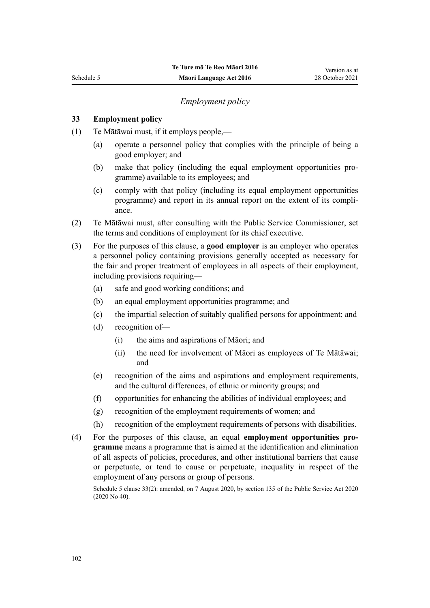### *Employment policy*

### <span id="page-101-0"></span>**33 Employment policy**

- (1) Te Mātāwai must, if it employs people,—
	- (a) operate a personnel policy that complies with the principle of being a good employer; and
	- (b) make that policy (including the equal employment opportunities programme) available to its employees; and
	- (c) comply with that policy (including its equal employment opportunities programme) and report in its annual report on the extent of its compli‐ ance.
- (2) Te Mātāwai must, after consulting with the Public Service Commissioner, set the terms and conditions of employment for its chief executive.
- (3) For the purposes of this clause, a **good employer** is an employer who operates a personnel policy containing provisions generally accepted as necessary for the fair and proper treatment of employees in all aspects of their employment, including provisions requiring—
	- (a) safe and good working conditions; and
	- (b) an equal employment opportunities programme; and
	- (c) the impartial selection of suitably qualified persons for appointment; and
	- (d) recognition of—
		- (i) the aims and aspirations of Māori; and
		- (ii) the need for involvement of Māori as employees of Te Mātāwai; and
	- (e) recognition of the aims and aspirations and employment requirements, and the cultural differences, of ethnic or minority groups; and
	- (f) opportunities for enhancing the abilities of individual employees; and
	- (g) recognition of the employment requirements of women; and
	- (h) recognition of the employment requirements of persons with disabilities.
- (4) For the purposes of this clause, an equal **employment opportunities pro‐ gramme** means a programme that is aimed at the identification and elimination of all aspects of policies, procedures, and other institutional barriers that cause or perpetuate, or tend to cause or perpetuate, inequality in respect of the employment of any persons or group of persons.

Schedule 5 clause 33(2): amended, on 7 August 2020, by [section 135](http://legislation.govt.nz/pdflink.aspx?id=LMS176959) of the Public Service Act 2020 (2020 No 40).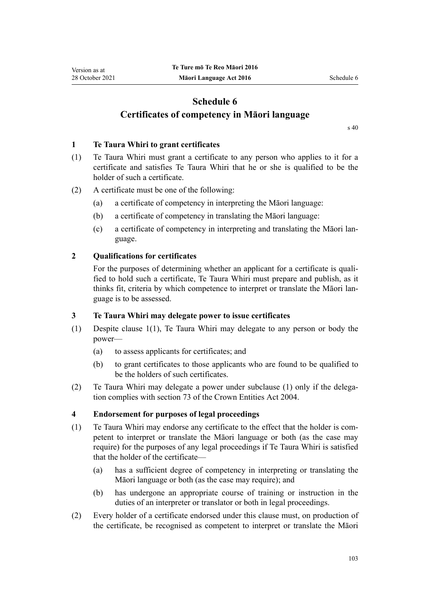## <span id="page-102-0"></span>**Schedule 6 Certificates of competency in Māori language**

[s 40](#page-46-0)

#### **1 Te Taura Whiri to grant certificates**

- (1) Te Taura Whiri must grant a certificate to any person who applies to it for a certificate and satisfies Te Taura Whiri that he or she is qualified to be the holder of such a certificate.
- (2) A certificate must be one of the following:
	- (a) a certificate of competency in interpreting the Māori language:
	- (b) a certificate of competency in translating the Māori language:
	- (c) a certificate of competency in interpreting and translating the Māori lan‐ guage.

### **2 Qualifications for certificates**

For the purposes of determining whether an applicant for a certificate is qualified to hold such a certificate, Te Taura Whiri must prepare and publish, as it thinks fit, criteria by which competence to interpret or translate the Māori lan‐ guage is to be assessed.

### **3 Te Taura Whiri may delegate power to issue certificates**

- (1) Despite clause 1(1), Te Taura Whiri may delegate to any person or body the power—
	- (a) to assess applicants for certificates; and
	- (b) to grant certificates to those applicants who are found to be qualified to be the holders of such certificates.
- (2) Te Taura Whiri may delegate a power under subclause (1) only if the delega‐ tion complies with [section 73](http://legislation.govt.nz/pdflink.aspx?id=DLM330308) of the Crown Entities Act 2004.

### **4 Endorsement for purposes of legal proceedings**

- (1) Te Taura Whiri may endorse any certificate to the effect that the holder is com‐ petent to interpret or translate the Māori language or both (as the case may require) for the purposes of any legal proceedings if Te Taura Whiri is satisfied that the holder of the certificate—
	- (a) has a sufficient degree of competency in interpreting or translating the Māori language or both (as the case may require); and
	- (b) has undergone an appropriate course of training or instruction in the duties of an interpreter or translator or both in legal proceedings.
- (2) Every holder of a certificate endorsed under this clause must, on production of the certificate, be recognised as competent to interpret or translate the Māori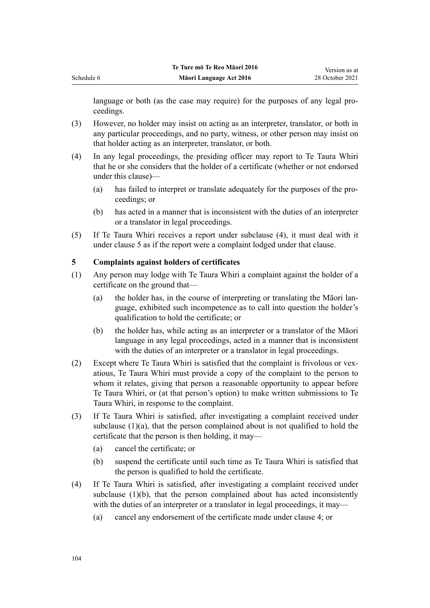language or both (as the case may require) for the purposes of any legal proceedings.

- (3) However, no holder may insist on acting as an interpreter, translator, or both in any particular proceedings, and no party, witness, or other person may insist on that holder acting as an interpreter, translator, or both.
- (4) In any legal proceedings, the presiding officer may report to Te Taura Whiri that he or she considers that the holder of a certificate (whether or not endorsed under this clause)—
	- (a) has failed to interpret or translate adequately for the purposes of the pro‐ ceedings; or
	- (b) has acted in a manner that is inconsistent with the duties of an interpreter or a translator in legal proceedings.
- (5) If Te Taura Whiri receives a report under subclause (4), it must deal with it under clause 5 as if the report were a complaint lodged under that clause.

### **5 Complaints against holders of certificates**

- (1) Any person may lodge with Te Taura Whiri a complaint against the holder of a certificate on the ground that—
	- (a) the holder has, in the course of interpreting or translating the Māori language, exhibited such incompetence as to call into question the holder's qualification to hold the certificate; or
	- (b) the holder has, while acting as an interpreter or a translator of the Māori language in any legal proceedings, acted in a manner that is inconsistent with the duties of an interpreter or a translator in legal proceedings.
- (2) Except where Te Taura Whiri is satisfied that the complaint is frivolous or vex‐ atious, Te Taura Whiri must provide a copy of the complaint to the person to whom it relates, giving that person a reasonable opportunity to appear before Te Taura Whiri, or (at that person's option) to make written submissions to Te Taura Whiri, in response to the complaint.
- (3) If Te Taura Whiri is satisfied, after investigating a complaint received under subclause (1)(a), that the person complained about is not qualified to hold the certificate that the person is then holding, it may—
	- (a) cancel the certificate; or
	- (b) suspend the certificate until such time as Te Taura Whiri is satisfied that the person is qualified to hold the certificate.
- (4) If Te Taura Whiri is satisfied, after investigating a complaint received under subclause (1)(b), that the person complained about has acted inconsistently with the duties of an interpreter or a translator in legal proceedings, it may—
	- (a) cancel any endorsement of the certificate made under [clause 4;](#page-102-0) or

<span id="page-103-0"></span>Schedule 6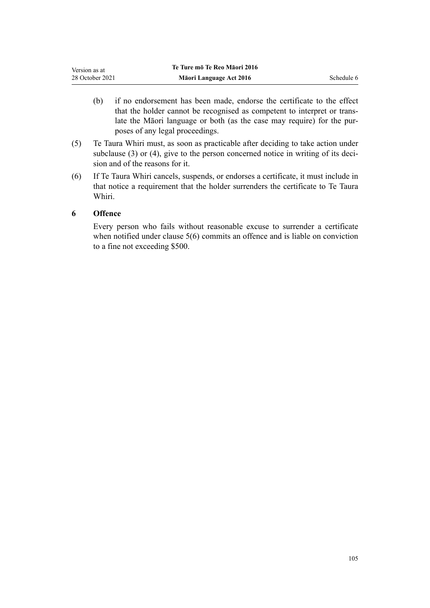| Version as at   | Te Ture mō Te Reo Māori 2016 |            |
|-----------------|------------------------------|------------|
| 28 October 2021 | Māori Language Act 2016      | Schedule 6 |

- (b) if no endorsement has been made, endorse the certificate to the effect that the holder cannot be recognised as competent to interpret or trans‐ late the Māori language or both (as the case may require) for the pur‐ poses of any legal proceedings.
- (5) Te Taura Whiri must, as soon as practicable after deciding to take action under subclause  $(3)$  or  $(4)$ , give to the person concerned notice in writing of its decision and of the reasons for it.
- (6) If Te Taura Whiri cancels, suspends, or endorses a certificate, it must include in that notice a requirement that the holder surrenders the certificate to Te Taura Whiri.

### **6 Offence**

Every person who fails without reasonable excuse to surrender a certificate when notified under [clause 5\(6\)](#page-103-0) commits an offence and is liable on conviction to a fine not exceeding \$500.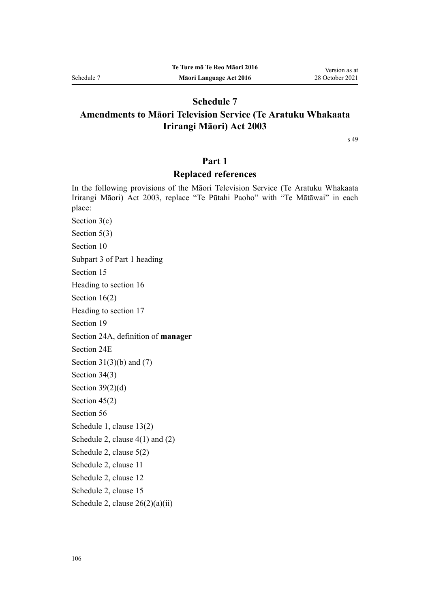### **Schedule 7**

## **Amendments to Māori Television Service (Te Aratuku Whakaata Irirangi Māori) Act 2003**

[s 49](#page-49-0)

### **Part 1**

### **Replaced references**

In the following provisions of the [Māori Television Service \(Te Aratuku Whakaata](http://legislation.govt.nz/pdflink.aspx?id=DLM193695) [Irirangi Māori\) Act 2003,](http://legislation.govt.nz/pdflink.aspx?id=DLM193695) replace "Te Pūtahi Paoho" with "Te Mātāwai" in each place:

[Section 3\(c\)](http://legislation.govt.nz/pdflink.aspx?id=DLM194305) [Section 5\(3\)](http://legislation.govt.nz/pdflink.aspx?id=DLM194307) [Section 10](http://legislation.govt.nz/pdflink.aspx?id=DLM194347) [Subpart 3](http://legislation.govt.nz/pdflink.aspx?id=DLM194349) of Part 1 heading [Section 15](http://legislation.govt.nz/pdflink.aspx?id=DLM194353) Heading to [section 16](http://legislation.govt.nz/pdflink.aspx?id=DLM194354) [Section 16\(2\)](http://legislation.govt.nz/pdflink.aspx?id=DLM194354) Heading to [section 17](http://legislation.govt.nz/pdflink.aspx?id=DLM194356) [Section 19](http://legislation.govt.nz/pdflink.aspx?id=DLM194362) [Section 24A](http://legislation.govt.nz/pdflink.aspx?id=DLM5770062), definition of **manager** [Section 24E](http://legislation.govt.nz/pdflink.aspx?id=DLM5770069) Section  $31(3)(b)$  and  $(7)$ [Section 34\(3\)](http://legislation.govt.nz/pdflink.aspx?id=DLM194506) Section  $39(2)(d)$ [Section 45\(2\)](http://legislation.govt.nz/pdflink.aspx?id=DLM194521) [Section 56](http://legislation.govt.nz/pdflink.aspx?id=DLM194559) Schedule 1, [clause 13\(2\)](http://legislation.govt.nz/pdflink.aspx?id=DLM194585) Schedule 2, [clause 4\(1\) and \(2\)](http://legislation.govt.nz/pdflink.aspx?id=DLM194901) Schedule 2, [clause 5\(2\)](http://legislation.govt.nz/pdflink.aspx?id=DLM194903) Schedule 2, [clause 11](http://legislation.govt.nz/pdflink.aspx?id=DLM194912) Schedule 2, [clause 12](http://legislation.govt.nz/pdflink.aspx?id=DLM194913) Schedule 2, [clause 15](http://legislation.govt.nz/pdflink.aspx?id=DLM194917) Schedule 2, [clause 26\(2\)\(a\)\(ii\)](http://legislation.govt.nz/pdflink.aspx?id=DLM194939)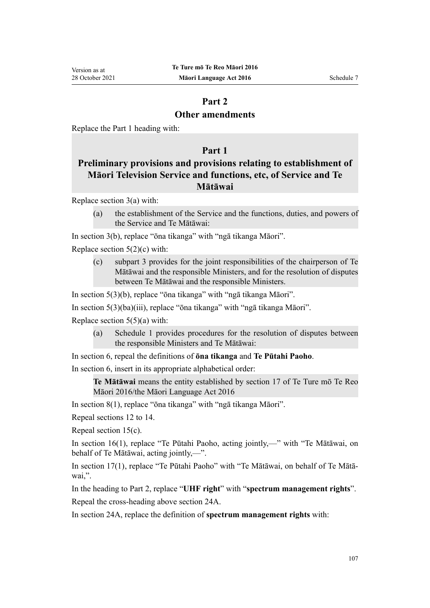## **Part 2**

### **Other amendments**

Replace the [Part 1](http://legislation.govt.nz/pdflink.aspx?id=DLM194302) heading with:

### **Part 1**

## **Preliminary provisions and provisions relating to establishment of Māori Television Service and functions, etc, of Service and Te Mātāwai**

Replace [section 3\(a\)](http://legislation.govt.nz/pdflink.aspx?id=DLM194305) with:

(a) the establishment of the Service and the functions, duties, and powers of the Service and Te Mātāwai:

In [section 3\(b\)](http://legislation.govt.nz/pdflink.aspx?id=DLM194305), replace "ōna tikanga" with "ngā tikanga Māori".

Replace [section 5\(2\)\(c\)](http://legislation.govt.nz/pdflink.aspx?id=DLM194307) with:

(c) subpart 3 provides for the joint responsibilities of the chairperson of Te Mātāwai and the responsible Ministers, and for the resolution of disputes between Te Mātāwai and the responsible Ministers.

In [section 5\(3\)\(b\),](http://legislation.govt.nz/pdflink.aspx?id=DLM194307) replace "ōna tikanga" with "ngā tikanga Māori".

In [section 5\(3\)\(ba\)\(iii\)](http://legislation.govt.nz/pdflink.aspx?id=DLM194307), replace "ōna tikanga" with "ngā tikanga Māori".

Replace section  $5(5)(a)$  with:

(a) Schedule 1 provides procedures for the resolution of disputes between the responsible Ministers and Te Mātāwai:

In [section 6,](http://legislation.govt.nz/pdflink.aspx?id=DLM194308) repeal the definitions of **ōna tikanga** and **Te Pūtahi Paoho**.

In [section 6,](http://legislation.govt.nz/pdflink.aspx?id=DLM194308) insert in its appropriate alphabetical order:

**Te Mātāwai** means the entity established by section 17 of Te Ture mō Te Reo Māori 2016/the Māori Language Act 2016

In [section 8\(1\)](http://legislation.govt.nz/pdflink.aspx?id=DLM194345), replace "ōna tikanga" with "ngā tikanga Māori".

Repeal [sections 12 to 14.](http://legislation.govt.nz/pdflink.aspx?id=DLM194350)

Repeal [section 15\(c\).](http://legislation.govt.nz/pdflink.aspx?id=DLM194353)

In [section 16\(1\)](http://legislation.govt.nz/pdflink.aspx?id=DLM194354), replace "Te Pūtahi Paoho, acting jointly,—" with "Te Mātāwai, on behalf of Te Mātāwai, acting jointly,—".

In [section 17\(1\),](http://legislation.govt.nz/pdflink.aspx?id=DLM194356) replace "Te Pūtahi Paoho" with "Te Mātāwai, on behalf of Te Mātā‐ wai,".

In the heading to [Part 2,](http://legislation.govt.nz/pdflink.aspx?id=DLM194357) replace "**UHF right**" with "**spectrum management rights**".

Repeal the cross-heading above [section 24A](http://legislation.govt.nz/pdflink.aspx?id=DLM5770062).

In [section 24A,](http://legislation.govt.nz/pdflink.aspx?id=DLM5770062) replace the definition of **spectrum management rights** with: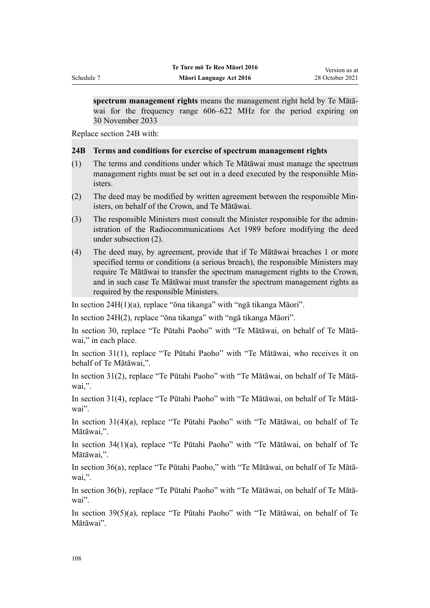**spectrum management rights** means the management right held by Te Mātā‐ wai for the frequency range 606–622 MHz for the period expiring on 30 November 2033

Replace [section 24B](http://legislation.govt.nz/pdflink.aspx?id=DLM5766940) with:

### **24B Terms and conditions for exercise of spectrum management rights**

- (1) The terms and conditions under which Te Mātāwai must manage the spectrum management rights must be set out in a deed executed by the responsible Ministers.
- (2) The deed may be modified by written agreement between the responsible Min‐ isters, on behalf of the Crown, and Te Mātāwai.
- (3) The responsible Ministers must consult the Minister responsible for the admin‐ istration of the Radiocommunications Act 1989 before modifying the deed under subsection (2).
- (4) The deed may, by agreement, provide that if Te Mātāwai breaches 1 or more specified terms or conditions (a serious breach), the responsible Ministers may require Te Mātāwai to transfer the spectrum management rights to the Crown, and in such case Te Mātāwai must transfer the spectrum management rights as required by the responsible Ministers.

In [section 24H\(1\)\(a\)](http://legislation.govt.nz/pdflink.aspx?id=DLM5770075), replace "ōna tikanga" with "ngā tikanga Māori".

In [section 24H\(2\)](http://legislation.govt.nz/pdflink.aspx?id=DLM5770075), replace "ōna tikanga" with "ngā tikanga Māori".

In [section 30](http://legislation.govt.nz/pdflink.aspx?id=DLM194500), replace "Te Pūtahi Paoho" with "Te Mātāwai, on behalf of Te Mātā‐ wai," in each place.

In [section 31\(1\)](http://legislation.govt.nz/pdflink.aspx?id=DLM194502), replace "Te Pūtahi Paoho" with "Te Mātāwai, who receives it on behalf of Te Mātāwai,".

In [section 31\(2\),](http://legislation.govt.nz/pdflink.aspx?id=DLM194502) replace "Te Pūtahi Paoho" with "Te Mātāwai, on behalf of Te Mātā‐ wai,".

In [section 31\(4\),](http://legislation.govt.nz/pdflink.aspx?id=DLM194502) replace "Te Pūtahi Paoho" with "Te Mātāwai, on behalf of Te Mātā‐ wai".

In [section 31\(4\)\(a\)](http://legislation.govt.nz/pdflink.aspx?id=DLM194502), replace "Te Pūtahi Paoho" with "Te Mātāwai, on behalf of Te Mātāwai,".

In [section 34\(1\)\(a\)](http://legislation.govt.nz/pdflink.aspx?id=DLM194506), replace "Te Pūtahi Paoho" with "Te Mātāwai, on behalf of Te Mātāwai,".

In [section 36\(a\),](http://legislation.govt.nz/pdflink.aspx?id=DLM194508) replace "Te Pūtahi Paoho," with "Te Mātāwai, on behalf of Te Mātā‐ wai,".

In [section 36\(b\),](http://legislation.govt.nz/pdflink.aspx?id=DLM194508) replace "Te Pūtahi Paoho" with "Te Mātāwai, on behalf of Te Mātā‐ wai".

In [section 39\(5\)\(a\)](http://legislation.govt.nz/pdflink.aspx?id=DLM194512), replace "Te Pūtahi Paoho" with "Te Mātāwai, on behalf of Te Mātāwai".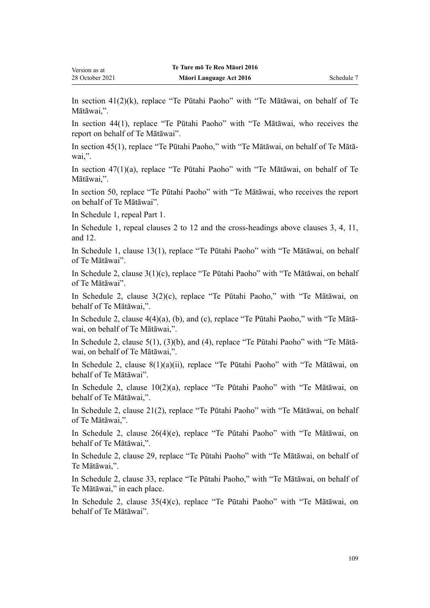In [section 41\(2\)\(k\),](http://legislation.govt.nz/pdflink.aspx?id=DLM194515) replace "Te Pūtahi Paoho" with "Te Mātāwai, on behalf of Te Mātāwai,".

In [section 44\(1\),](http://legislation.govt.nz/pdflink.aspx?id=DLM194519) replace "Te Pūtahi Paoho" with "Te Mātāwai, who receives the report on behalf of Te Mātāwai".

In [section 45\(1\)](http://legislation.govt.nz/pdflink.aspx?id=DLM194521), replace "Te Pūtahi Paoho," with "Te Mātāwai, on behalf of Te Mātā‐ wai,".

In [section 47\(1\)\(a\)](http://legislation.govt.nz/pdflink.aspx?id=DLM194523), replace "Te Pūtahi Paoho" with "Te Mātāwai, on behalf of Te Mātāwai,".

In [section 50](http://legislation.govt.nz/pdflink.aspx?id=DLM194551), replace "Te Pūtahi Paoho" with "Te Mātāwai, who receives the report on behalf of Te Mātāwai".

In Schedule 1, repeal [Part 1](http://legislation.govt.nz/pdflink.aspx?id=DLM194566).

Version as at 28 October 2021

In Schedule 1, repeal [clauses 2 to 12](http://legislation.govt.nz/pdflink.aspx?id=DLM194569) and the cross-headings above [clauses 3,](http://legislation.govt.nz/pdflink.aspx?id=DLM194571) [4](http://legislation.govt.nz/pdflink.aspx?id=DLM194573), [11](http://legislation.govt.nz/pdflink.aspx?id=DLM194581), and [12](http://legislation.govt.nz/pdflink.aspx?id=DLM194583).

In Schedule 1, [clause 13\(1\),](http://legislation.govt.nz/pdflink.aspx?id=DLM194585) replace "Te Pūtahi Paoho" with "Te Mātāwai, on behalf of Te Mātāwai".

In Schedule 2, [clause 3\(1\)\(c\)](http://legislation.govt.nz/pdflink.aspx?id=DLM194900), replace "Te Pūtahi Paoho" with "Te Mātāwai, on behalf of Te Mātāwai".

In Schedule 2, [clause 3\(2\)\(c\)](http://legislation.govt.nz/pdflink.aspx?id=DLM194900), replace "Te Pūtahi Paoho," with "Te Mātāwai, on behalf of Te Mātāwai,".

In Schedule 2, [clause 4\(4\)\(a\), \(b\), and \(c\),](http://legislation.govt.nz/pdflink.aspx?id=DLM194901) replace "Te Pūtahi Paoho," with "Te Mātā‐ wai, on behalf of Te Mātāwai,".

In Schedule 2, [clause 5\(1\), \(3\)\(b\), and \(4\),](http://legislation.govt.nz/pdflink.aspx?id=DLM194903) replace "Te Pūtahi Paoho" with "Te Mātā‐ wai, on behalf of Te Mātāwai,".

In Schedule 2, [clause 8\(1\)\(a\)\(ii\)](http://legislation.govt.nz/pdflink.aspx?id=DLM194908), replace "Te Pūtahi Paoho" with "Te Mātāwai, on behalf of Te Mātāwai".

In Schedule 2, [clause 10\(2\)\(a\),](http://legislation.govt.nz/pdflink.aspx?id=DLM194910) replace "Te Pūtahi Paoho" with "Te Mātāwai, on behalf of Te Mātāwai,".

In Schedule 2, [clause 21\(2\),](http://legislation.govt.nz/pdflink.aspx?id=DLM194926) replace "Te Pūtahi Paoho" with "Te Mātāwai, on behalf of Te Mātāwai,".

In Schedule 2, [clause 26\(4\)\(e\),](http://legislation.govt.nz/pdflink.aspx?id=DLM194939) replace "Te Pūtahi Paoho" with "Te Mātāwai, on behalf of Te Mātāwai,".

In Schedule 2, [clause 29](http://legislation.govt.nz/pdflink.aspx?id=DLM194943), replace "Te Pūtahi Paoho" with "Te Mātāwai, on behalf of Te Mātāwai,".

In Schedule 2, [clause 33](http://legislation.govt.nz/pdflink.aspx?id=DLM194948), replace "Te Pūtahi Paoho," with "Te Mātāwai, on behalf of Te Mātāwai," in each place.

In Schedule 2, [clause 35\(4\)\(c\),](http://legislation.govt.nz/pdflink.aspx?id=DLM194953) replace "Te Pūtahi Paoho" with "Te Mātāwai, on behalf of Te Mātāwai".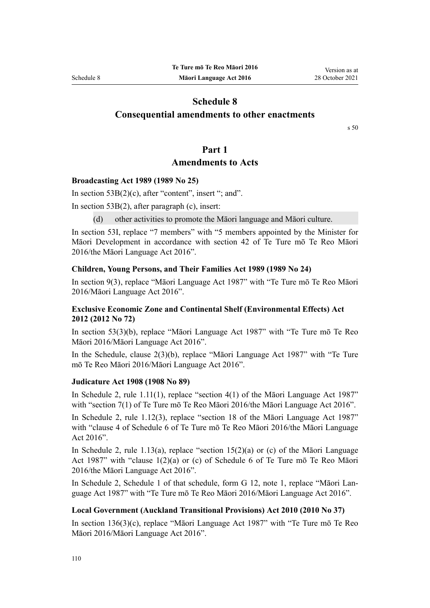# **Schedule 8**

# **Consequential amendments to other enactments**

[s 50](#page-49-0)

# **Part 1**

# **Amendments to Acts**

#### **Broadcasting Act 1989 (1989 No 25)**

In section  $53B(2)(c)$ , after "content", insert "; and".

In section  $53B(2)$ , after paragraph (c), insert:

(d) other activities to promote the Māori language and Māori culture.

In [section 53I](http://legislation.govt.nz/pdflink.aspx?id=DLM158077), replace "7 members" with "5 members appointed by the Minister for Māori Development in accordance with section 42 of Te Ture mō Te Reo Māori 2016/the Māori Language Act 2016".

## **Children, Young Persons, and Their Families Act 1989 (1989 No 24)**

In [section 9\(3\)](http://legislation.govt.nz/pdflink.aspx?id=DLM149448), replace "Māori Language Act 1987" with "Te Ture mō Te Reo Māori 2016/Māori Language Act 2016".

# **Exclusive Economic Zone and Continental Shelf (Environmental Effects) Act 2012 (2012 No 72)**

In [section 53\(3\)\(b\)](http://legislation.govt.nz/pdflink.aspx?id=DLM3956205), replace "Māori Language Act 1987" with "Te Ture mō Te Reo Māori 2016/Māori Language Act 2016".

In the Schedule, [clause 2\(3\)\(b\),](http://legislation.govt.nz/pdflink.aspx?id=DLM5968421) replace "Māori Language Act 1987" with "Te Ture mō Te Reo Māori 2016/Māori Language Act 2016".

#### **Judicature Act 1908 (1908 No 89)**

In Schedule 2, [rule 1.11\(1\)](http://legislation.govt.nz/pdflink.aspx?id=DLM1818550), replace "section 4(1) of the Māori Language Act 1987" with "section 7(1) of Te Ture mō Te Reo Māori 2016/the Māori Language Act 2016".

In Schedule 2, [rule 1.12\(3\),](http://legislation.govt.nz/pdflink.aspx?id=DLM1818551) replace "section 18 of the Māori Language Act 1987" with "clause 4 of Schedule 6 of Te Ture mō Te Reo Māori 2016/the Māori Language Act 2016".

In Schedule 2, rule 1.13(a), replace "section 15(2)(a) or (c) of the Maori Language Act 1987" with "clause 1(2)(a) or (c) of Schedule 6 of Te Ture mō Te Reo Māori 2016/the Māori Language Act 2016".

In Schedule 2, Schedule 1 of that schedule, [form G 12,](http://legislation.govt.nz/pdflink.aspx?id=DLM1817622) note 1, replace "Māori Lan‐ guage Act 1987" with "Te Ture mō Te Reo Māori 2016/Māori Language Act 2016".

# **Local Government (Auckland Transitional Provisions) Act 2010 (2010 No 37)**

In [section 136\(3\)\(c\)](http://legislation.govt.nz/pdflink.aspx?id=DLM5600676), replace "Māori Language Act 1987" with "Te Ture mō Te Reo Māori 2016/Māori Language Act 2016".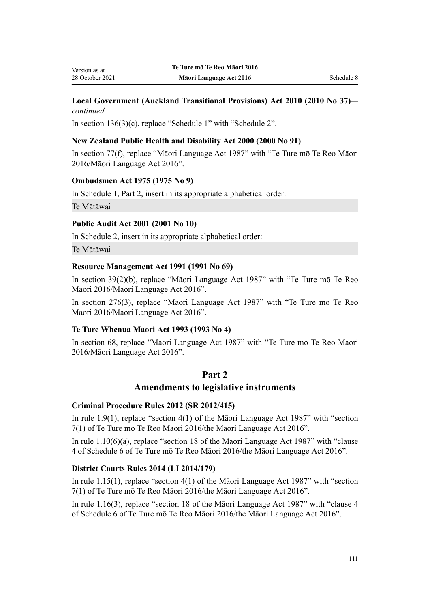## **Local Government (Auckland Transitional Provisions) Act 2010 (2010 No 37)** *continued*

In [section 136\(3\)\(c\),](http://legislation.govt.nz/pdflink.aspx?id=DLM5600676) replace "Schedule 1" with "Schedule 2".

# **New Zealand Public Health and Disability Act 2000 (2000 No 91)**

In [section 77\(f\)](http://legislation.govt.nz/pdflink.aspx?id=DLM81274), replace "Māori Language Act 1987" with "Te Ture mō Te Reo Māori 2016/Māori Language Act 2016".

## **Ombudsmen Act 1975 (1975 No 9)**

In [Schedule 1](http://legislation.govt.nz/pdflink.aspx?id=DLM431204), Part 2, insert in its appropriate alphabetical order:

Te Mātāwai

## **Public Audit Act 2001 (2001 No 10)**

In [Schedule 2](http://legislation.govt.nz/pdflink.aspx?id=DLM88987), insert in its appropriate alphabetical order:

Te Mātāwai

## **Resource Management Act 1991 (1991 No 69)**

In [section 39\(2\)\(b\)](http://legislation.govt.nz/pdflink.aspx?id=DLM233065), replace "Māori Language Act 1987" with "Te Ture mō Te Reo Māori 2016/Māori Language Act 2016".

In [section 276\(3\),](http://legislation.govt.nz/pdflink.aspx?id=DLM237764) replace "Māori Language Act 1987" with "Te Ture mō Te Reo Māori 2016/Māori Language Act 2016".

#### **Te Ture Whenua Maori Act 1993 (1993 No 4)**

In [section 68](http://legislation.govt.nz/pdflink.aspx?id=DLM290956), replace "Māori Language Act 1987" with "Te Ture mō Te Reo Māori 2016/Māori Language Act 2016".

# **Part 2**

# **Amendments to legislative instruments**

#### **Criminal Procedure Rules 2012 (SR 2012/415)**

In [rule 1.9\(1\),](http://legislation.govt.nz/pdflink.aspx?id=DLM4914750) replace "section 4(1) of the Māori Language Act 1987" with "section 7(1) of Te Ture mō Te Reo Māori 2016/the Māori Language Act 2016".

In [rule 1.10\(6\)\(a\)](http://legislation.govt.nz/pdflink.aspx?id=DLM4914751), replace "section 18 of the Māori Language Act 1987" with "clause 4 of Schedule 6 of Te Ture mō Te Reo Māori 2016/the Māori Language Act 2016".

#### **District Courts Rules 2014 (LI 2014/179)**

In [rule 1.15\(1\),](http://legislation.govt.nz/pdflink.aspx?id=DLM4891460) replace "section 4(1) of the Māori Language Act 1987" with "section 7(1) of Te Ture mō Te Reo Māori 2016/the Māori Language Act 2016".

In [rule 1.16\(3\)](http://legislation.govt.nz/pdflink.aspx?id=DLM4891461), replace "section 18 of the Māori Language Act 1987" with "clause 4 of Schedule 6 of Te Ture mō Te Reo Māori 2016/the Māori Language Act 2016".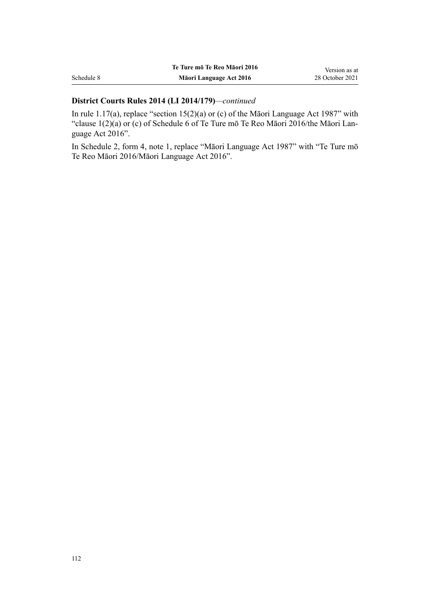|            | Te Ture mō Te Reo Māori 2016 | Version as at   |
|------------|------------------------------|-----------------|
| Schedule 8 | Māori Language Act 2016      | 28 October 2021 |

# **District Courts Rules 2014 (LI 2014/179)***—continued*

In [rule 1.17\(a\)](http://legislation.govt.nz/pdflink.aspx?id=DLM4891462), replace "section 15(2)(a) or (c) of the Māori Language Act 1987" with "clause 1(2)(a) or (c) of Schedule 6 of Te Ture mō Te Reo Māori 2016/the Māori Lan‐ guage Act 2016".

In Schedule 2, [form 4](http://legislation.govt.nz/pdflink.aspx?id=DLM6115760), note 1, replace "Māori Language Act 1987" with "Te Ture mō Te Reo Māori 2016/Māori Language Act 2016".